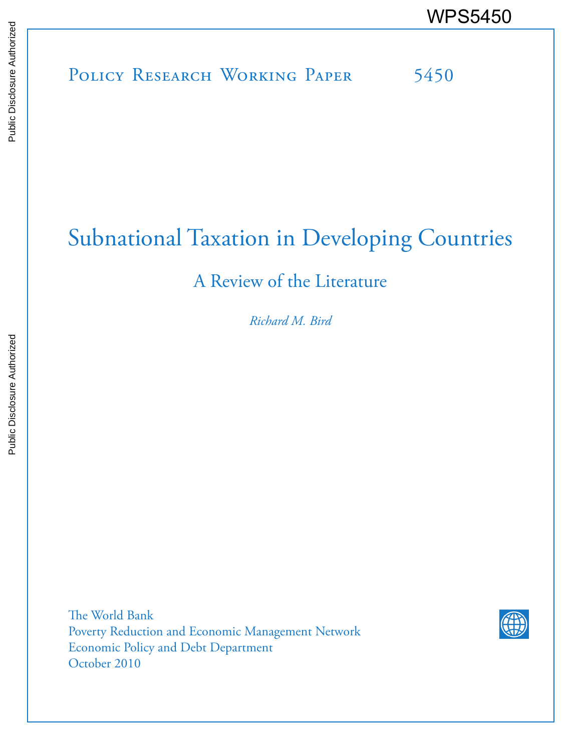# POLICY RESEARCH WORKING PAPER 5450 WPS5450<br>
MESS450<br>
MESSEARCH WORKING PAPER<br>
SERIES 5450<br>
SERIES 5450

# Subnational Taxation in Developing Countries

A Review of the Literature

*Richard M. Bird*

The World Bank Poverty Reduction and Economic Management Network Economic Policy and Debt Department October 2010

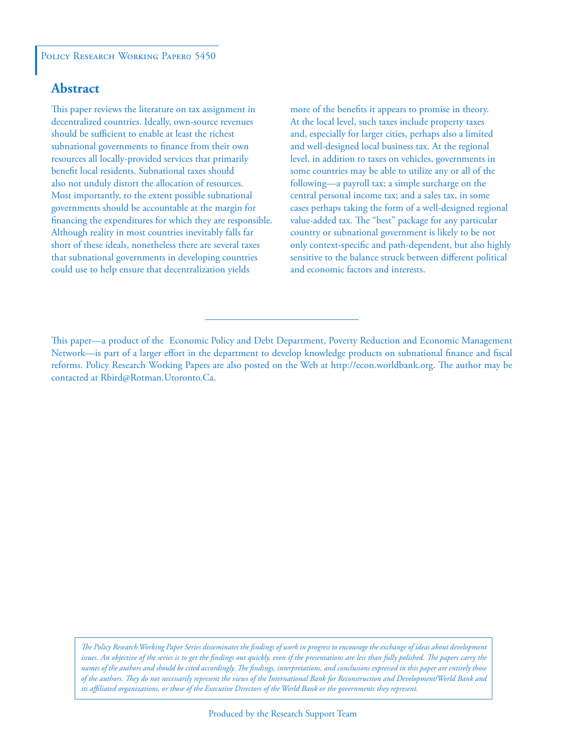#### **Abstract**

This paper reviews the literature on tax assignment in decentralized countries. Ideally, own-source revenues should be sufficient to enable at least the richest subnational governments to finance from their own resources all locally-provided services that primarily benefit local residents. Subnational taxes should also not unduly distort the allocation of resources. Most importantly, to the extent possible subnational governments should be accountable at the margin for financing the expenditures for which they are responsible. Although reality in most countries inevitably falls far short of these ideals, nonetheless there are several taxes that subnational governments in developing countries could use to help ensure that decentralization yields

more of the benefits it appears to promise in theory. At the local level, such taxes include property taxes and, especially for larger cities, perhaps also a limited and well-designed local business tax. At the regional level, in addition to taxes on vehicles, governments in some countries may be able to utilize any or all of the following—a payroll tax; a simple surcharge on the central personal income tax; and a sales tax, in some cases perhaps taking the form of a well-designed regional value-added tax. The "best" package for any particular country or subnational government is likely to be not only context-specific and path-dependent, but also highly sensitive to the balance struck between different political and economic factors and interests.

This paper—a product of the Economic Policy and Debt Department, Poverty Reduction and Economic Management Network—is part of a larger effort in the department to develop knowledge products on subnational finance and fiscal reforms. Policy Research Working Papers are also posted on the Web at http://econ.worldbank.org. The author may be contacted at Rbird@Rotman.Utoronto.Ca.

*The Policy Research Working Paper Series disseminates the findings of work in progress to encourage the exchange of ideas about development*  issues. An objective of the series is to get the findings out quickly, even if the presentations are less than fully polished. The papers carry the *names of the authors and should be cited accordingly. The findings, interpretations, and conclusions expressed in this paper are entirely those of the authors. They do not necessarily represent the views of the International Bank for Reconstruction and Development/World Bank and its affiliated organizations, or those of the Executive Directors of the World Bank or the governments they represent.*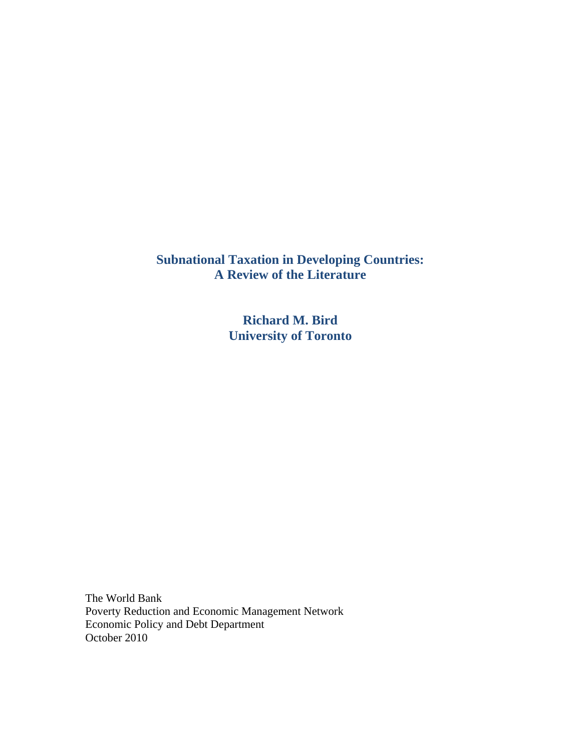**Subnational Taxation in Developing Countries: A Review of the Literature** 

> **Richard M. Bird University of Toronto**

The World Bank Poverty Reduction and Economic Management Network Economic Policy and Debt Department October 2010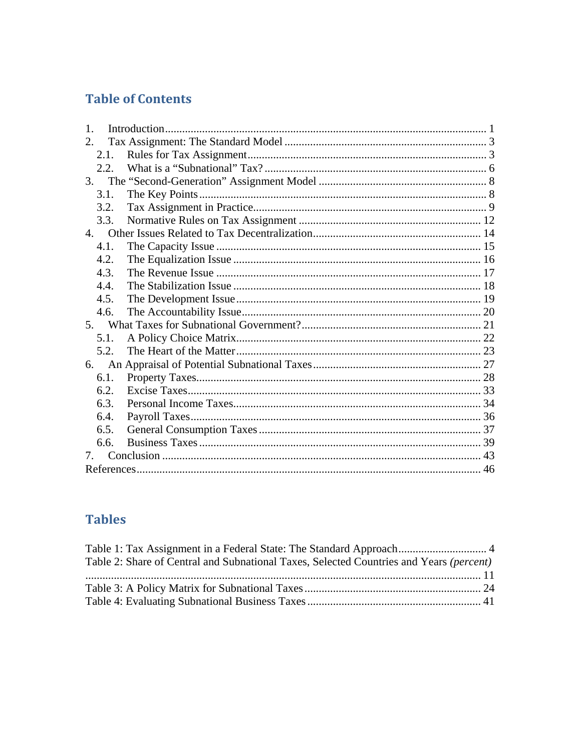# **Table of Contents**

| $\mathbf{1}$ .         |  |  |  |  |  |  |
|------------------------|--|--|--|--|--|--|
| $\mathcal{D}_{\alpha}$ |  |  |  |  |  |  |
| 2.1.                   |  |  |  |  |  |  |
| 2.2                    |  |  |  |  |  |  |
| 3.                     |  |  |  |  |  |  |
| 3.1.                   |  |  |  |  |  |  |
| 3.2.                   |  |  |  |  |  |  |
| 3.3.                   |  |  |  |  |  |  |
| 4 <sub>1</sub>         |  |  |  |  |  |  |
| 4.1.                   |  |  |  |  |  |  |
| 4.2.                   |  |  |  |  |  |  |
| 4.3.                   |  |  |  |  |  |  |
| 4.4.                   |  |  |  |  |  |  |
| 4.5.                   |  |  |  |  |  |  |
| 4.6.                   |  |  |  |  |  |  |
| 5.                     |  |  |  |  |  |  |
| 5.1.                   |  |  |  |  |  |  |
| 5.2.                   |  |  |  |  |  |  |
| 6.                     |  |  |  |  |  |  |
| 6.1.                   |  |  |  |  |  |  |
| 6.2.                   |  |  |  |  |  |  |
| 6.3.                   |  |  |  |  |  |  |
| 6.4.                   |  |  |  |  |  |  |
| 6.5.                   |  |  |  |  |  |  |
| 6.6.                   |  |  |  |  |  |  |
| $7_{-}$                |  |  |  |  |  |  |
|                        |  |  |  |  |  |  |

# **Tables**

| Table 2: Share of Central and Subnational Taxes, Selected Countries and Years (percent) |  |
|-----------------------------------------------------------------------------------------|--|
|                                                                                         |  |
|                                                                                         |  |
|                                                                                         |  |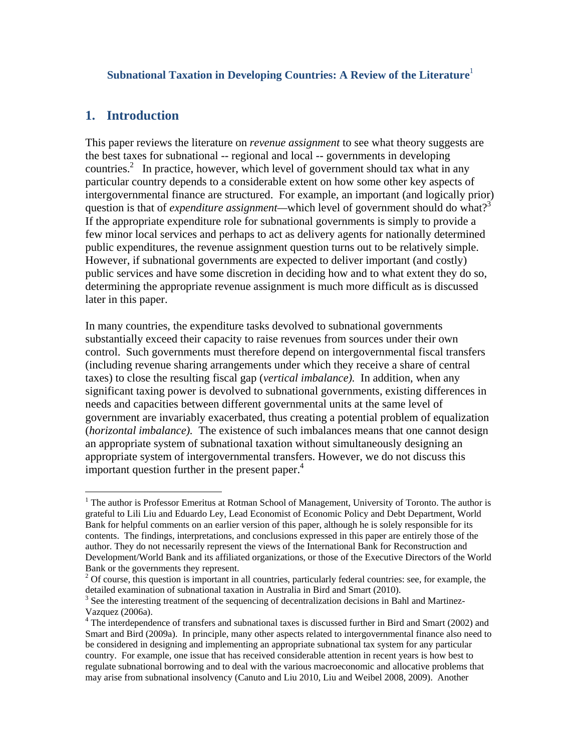#### **Subnational Taxation in Developing Countries: A Review of the Literature**<sup>1</sup>

# **1. Introduction**

 $\overline{a}$ 

This paper reviews the literature on *revenue assignment* to see what theory suggests are the best taxes for subnational -- regional and local -- governments in developing countries.<sup>2</sup> In practice, however, which level of government should tax what in any particular country depends to a considerable extent on how some other key aspects of intergovernmental finance are structured. For example, an important (and logically prior) question is that of *expenditure assignment—which level of government should do what?<sup>3</sup>* If the appropriate expenditure role for subnational governments is simply to provide a few minor local services and perhaps to act as delivery agents for nationally determined public expenditures, the revenue assignment question turns out to be relatively simple. However, if subnational governments are expected to deliver important (and costly) public services and have some discretion in deciding how and to what extent they do so, determining the appropriate revenue assignment is much more difficult as is discussed later in this paper.

In many countries, the expenditure tasks devolved to subnational governments substantially exceed their capacity to raise revenues from sources under their own control. Such governments must therefore depend on intergovernmental fiscal transfers (including revenue sharing arrangements under which they receive a share of central taxes) to close the resulting fiscal gap (*vertical imbalance).* In addition, when any significant taxing power is devolved to subnational governments, existing differences in needs and capacities between different governmental units at the same level of government are invariably exacerbated, thus creating a potential problem of equalization (*horizontal imbalance).* The existence of such imbalances means that one cannot design an appropriate system of subnational taxation without simultaneously designing an appropriate system of intergovernmental transfers. However, we do not discuss this important question further in the present paper.<sup>4</sup>

<sup>&</sup>lt;sup>1</sup> The author is Professor Emeritus at Rotman School of Management, University of Toronto. The author is grateful to Lili Liu and Eduardo Ley, Lead Economist of Economic Policy and Debt Department, World Bank for helpful comments on an earlier version of this paper, although he is solely responsible for its contents. The findings, interpretations, and conclusions expressed in this paper are entirely those of the author. They do not necessarily represent the views of the International Bank for Reconstruction and Development/World Bank and its affiliated organizations, or those of the Executive Directors of the World Bank or the governments they represent.

 $2^2$  Of course, this question is important in all countries, particularly federal countries: see, for example, the detailed examination of subnational taxation in Australia in Bird and Smart (2010).

 $3$  See the interesting treatment of the sequencing of decentralization decisions in Bahl and Martinez-Vazquez (2006a).

<sup>&</sup>lt;sup>4</sup> The interdependence of transfers and subnational taxes is discussed further in Bird and Smart (2002) and Smart and Bird (2009a). In principle, many other aspects related to intergovernmental finance also need to be considered in designing and implementing an appropriate subnational tax system for any particular country. For example, one issue that has received considerable attention in recent years is how best to regulate subnational borrowing and to deal with the various macroeconomic and allocative problems that may arise from subnational insolvency (Canuto and Liu 2010, Liu and Weibel 2008, 2009). Another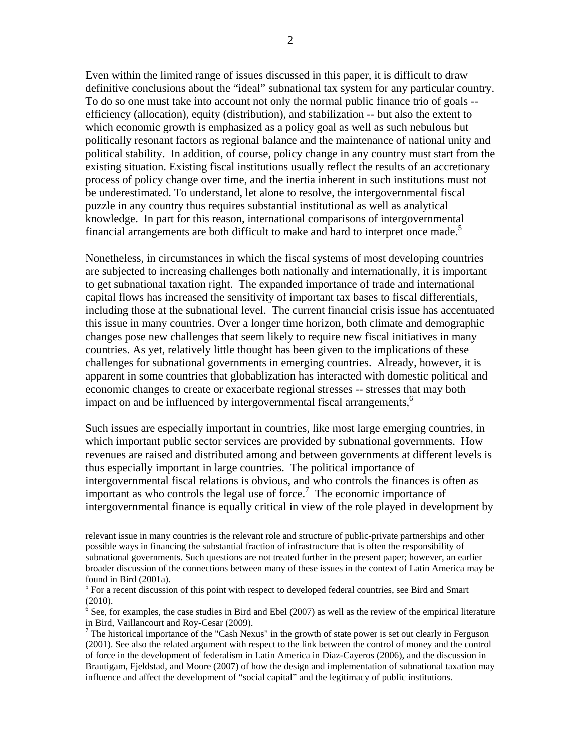Even within the limited range of issues discussed in this paper, it is difficult to draw definitive conclusions about the "ideal" subnational tax system for any particular country. To do so one must take into account not only the normal public finance trio of goals - efficiency (allocation), equity (distribution), and stabilization -- but also the extent to which economic growth is emphasized as a policy goal as well as such nebulous but politically resonant factors as regional balance and the maintenance of national unity and political stability. In addition, of course, policy change in any country must start from the existing situation. Existing fiscal institutions usually reflect the results of an accretionary process of policy change over time, and the inertia inherent in such institutions must not be underestimated. To understand, let alone to resolve, the intergovernmental fiscal puzzle in any country thus requires substantial institutional as well as analytical knowledge. In part for this reason, international comparisons of intergovernmental financial arrangements are both difficult to make and hard to interpret once made.<sup>5</sup>

Nonetheless, in circumstances in which the fiscal systems of most developing countries are subjected to increasing challenges both nationally and internationally, it is important to get subnational taxation right. The expanded importance of trade and international capital flows has increased the sensitivity of important tax bases to fiscal differentials, including those at the subnational level. The current financial crisis issue has accentuated this issue in many countries. Over a longer time horizon, both climate and demographic changes pose new challenges that seem likely to require new fiscal initiatives in many countries. As yet, relatively little thought has been given to the implications of these challenges for subnational governments in emerging countries. Already, however, it is apparent in some countries that globablization has interacted with domestic political and economic changes to create or exacerbate regional stresses -- stresses that may both impact on and be influenced by intergovernmental fiscal arrangements,<sup>6</sup>

Such issues are especially important in countries, like most large emerging countries, in which important public sector services are provided by subnational governments. How revenues are raised and distributed among and between governments at different levels is thus especially important in large countries. The political importance of intergovernmental fiscal relations is obvious, and who controls the finances is often as important as who controls the legal use of force.<sup>7</sup> The economic importance of intergovernmental finance is equally critical in view of the role played in development by

relevant issue in many countries is the relevant role and structure of public-private partnerships and other possible ways in financing the substantial fraction of infrastructure that is often the responsibility of subnational governments. Such questions are not treated further in the present paper; however, an earlier broader discussion of the connections between many of these issues in the context of Latin America may be found in Bird (2001a).

<sup>&</sup>lt;sup>5</sup> For a recent discussion of this point with respect to developed federal countries, see Bird and Smart (2010).

 $6$  See, for examples, the case studies in Bird and Ebel (2007) as well as the review of the empirical literature in Bird, Vaillancourt and Roy-Cesar (2009).

 $7$  The historical importance of the "Cash Nexus" in the growth of state power is set out clearly in Ferguson (2001). See also the related argument with respect to the link between the control of money and the control of force in the development of federalism in Latin America in Diaz-Cayeros (2006), and the discussion in Brautigam, Fjeldstad, and Moore (2007) of how the design and implementation of subnational taxation may influence and affect the development of "social capital" and the legitimacy of public institutions.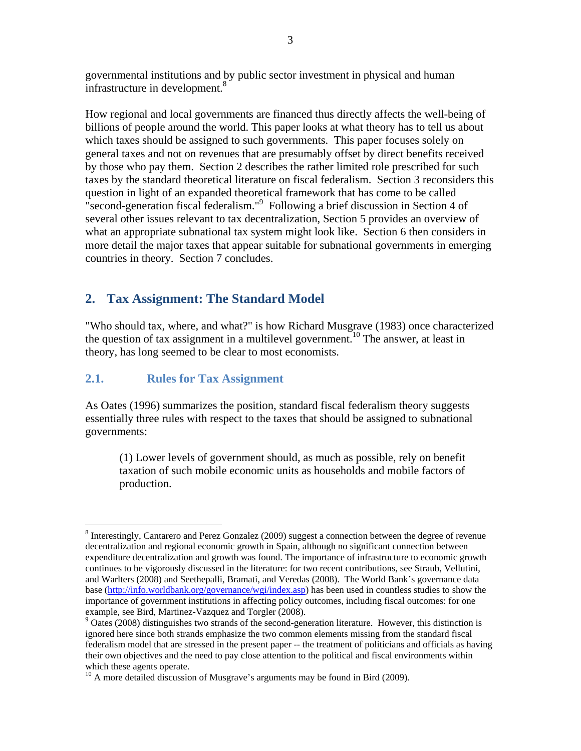governmental institutions and by public sector investment in physical and human infrastructure in development.<sup>8</sup>

How regional and local governments are financed thus directly affects the well-being of billions of people around the world. This paper looks at what theory has to tell us about which taxes should be assigned to such governments. This paper focuses solely on general taxes and not on revenues that are presumably offset by direct benefits received by those who pay them. Section 2 describes the rather limited role prescribed for such taxes by the standard theoretical literature on fiscal federalism. Section 3 reconsiders this question in light of an expanded theoretical framework that has come to be called "second-generation fiscal federalism."9 Following a brief discussion in Section 4 of several other issues relevant to tax decentralization, Section 5 provides an overview of what an appropriate subnational tax system might look like. Section 6 then considers in more detail the major taxes that appear suitable for subnational governments in emerging countries in theory. Section 7 concludes.

# **2. Tax Assignment: The Standard Model**

"Who should tax, where, and what?" is how Richard Musgrave (1983) once characterized the question of tax assignment in a multilevel government.<sup>10</sup> The answer, at least in theory, has long seemed to be clear to most economists.

#### **2.1. Rules for Tax Assignment**

 $\overline{a}$ 

As Oates (1996) summarizes the position, standard fiscal federalism theory suggests essentially three rules with respect to the taxes that should be assigned to subnational governments:

(1) Lower levels of government should, as much as possible, rely on benefit taxation of such mobile economic units as households and mobile factors of production.

<sup>&</sup>lt;sup>8</sup> Interestingly, Cantarero and Perez Gonzalez (2009) suggest a connection between the degree of revenue decentralization and regional economic growth in Spain, although no significant connection between expenditure decentralization and growth was found. The importance of infrastructure to economic growth continues to be vigorously discussed in the literature: for two recent contributions, see Straub, Vellutini, and Warlters (2008) and Seethepalli, Bramati, and Veredas (2008). The World Bank's governance data base (http://info.worldbank.org/governance/wgi/index.asp) has been used in countless studies to show the importance of government institutions in affecting policy outcomes, including fiscal outcomes: for one example, see Bird, Martinez-Vazquez and Torgler (2008).

<sup>&</sup>lt;sup>9</sup> Oates (2008) distinguishes two strands of the second-generation literature. However, this distinction is ignored here since both strands emphasize the two common elements missing from the standard fiscal federalism model that are stressed in the present paper -- the treatment of politicians and officials as having their own objectives and the need to pay close attention to the political and fiscal environments within which these agents operate.

 $10$  A more detailed discussion of Musgrave's arguments may be found in Bird (2009).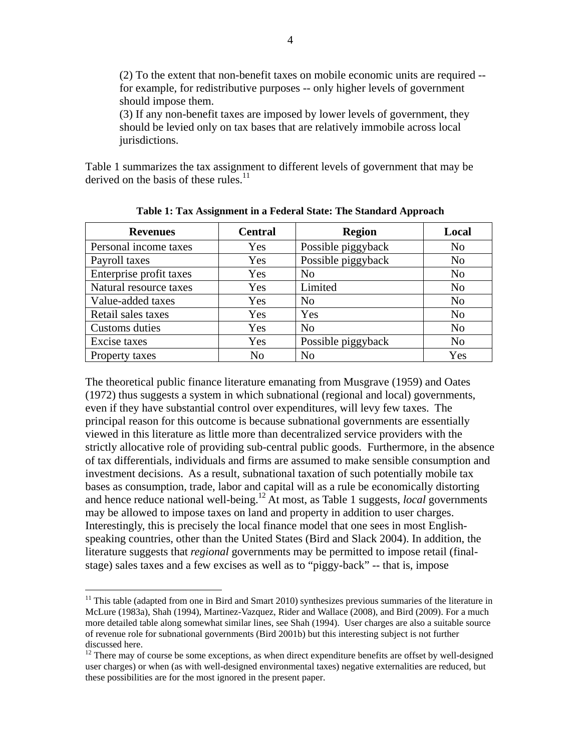(2) To the extent that non-benefit taxes on mobile economic units are required - for example, for redistributive purposes -- only higher levels of government should impose them.

(3) If any non-benefit taxes are imposed by lower levels of government, they should be levied only on tax bases that are relatively immobile across local jurisdictions.

Table 1 summarizes the tax assignment to different levels of government that may be derived on the basis of these rules. $^{11}$ 

| <b>Revenues</b>         | <b>Central</b> | <b>Region</b>      | Local          |
|-------------------------|----------------|--------------------|----------------|
| Personal income taxes   | Yes            | Possible piggyback | N <sub>0</sub> |
| Payroll taxes           | Yes            | Possible piggyback | N <sub>o</sub> |
| Enterprise profit taxes | Yes            | No                 | N <sub>o</sub> |
| Natural resource taxes  | Yes            | Limited            | N <sub>o</sub> |
| Value-added taxes       | Yes            | N <sub>o</sub>     | N <sub>o</sub> |
| Retail sales taxes      | Yes            | Yes                | N <sub>0</sub> |
| Customs duties          | Yes            | N <sub>0</sub>     | N <sub>o</sub> |
| Excise taxes            | Yes            | Possible piggyback | N <sub>o</sub> |
| Property taxes          | No             | N <sub>o</sub>     | Yes            |

**Table 1: Tax Assignment in a Federal State: The Standard Approach** 

The theoretical public finance literature emanating from Musgrave (1959) and Oates (1972) thus suggests a system in which subnational (regional and local) governments, even if they have substantial control over expenditures, will levy few taxes. The principal reason for this outcome is because subnational governments are essentially viewed in this literature as little more than decentralized service providers with the strictly allocative role of providing sub-central public goods. Furthermore, in the absence of tax differentials, individuals and firms are assumed to make sensible consumption and investment decisions. As a result, subnational taxation of such potentially mobile tax bases as consumption, trade, labor and capital will as a rule be economically distorting and hence reduce national well-being.12 At most, as Table 1 suggests, *local* governments may be allowed to impose taxes on land and property in addition to user charges. Interestingly, this is precisely the local finance model that one sees in most Englishspeaking countries, other than the United States (Bird and Slack 2004). In addition, the literature suggests that *regional* governments may be permitted to impose retail (finalstage) sales taxes and a few excises as well as to "piggy-back" -- that is, impose

 $11$  This table (adapted from one in Bird and Smart 2010) synthesizes previous summaries of the literature in McLure (1983a), Shah (1994), Martinez-Vazquez, Rider and Wallace (2008), and Bird (2009). For a much more detailed table along somewhat similar lines, see Shah (1994). User charges are also a suitable source of revenue role for subnational governments (Bird 2001b) but this interesting subject is not further discussed here.

<sup>&</sup>lt;sup>12</sup> There may of course be some exceptions, as when direct expenditure benefits are offset by well-designed user charges) or when (as with well-designed environmental taxes) negative externalities are reduced, but these possibilities are for the most ignored in the present paper.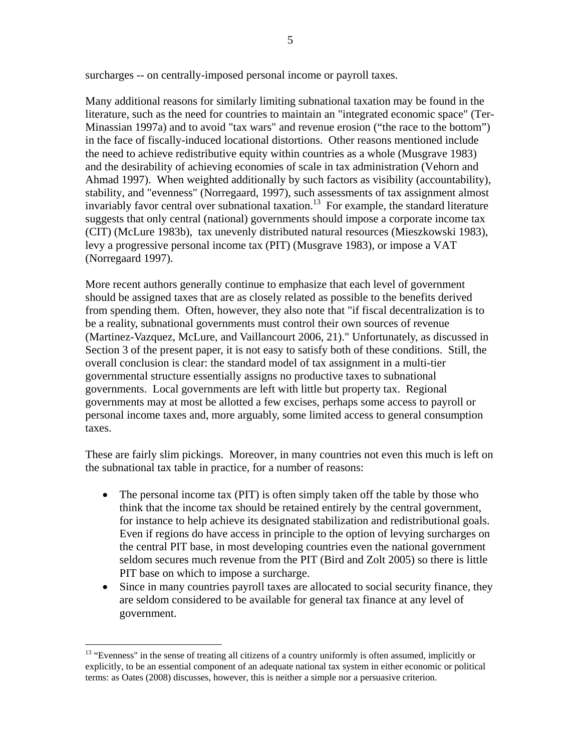surcharges -- on centrally-imposed personal income or payroll taxes.

Many additional reasons for similarly limiting subnational taxation may be found in the literature, such as the need for countries to maintain an "integrated economic space" (Ter-Minassian 1997a) and to avoid "tax wars" and revenue erosion ("the race to the bottom") in the face of fiscally-induced locational distortions. Other reasons mentioned include the need to achieve redistributive equity within countries as a whole (Musgrave 1983) and the desirability of achieving economies of scale in tax administration (Vehorn and Ahmad 1997). When weighted additionally by such factors as visibility (accountability), stability, and "evenness" (Norregaard, 1997), such assessments of tax assignment almost invariably favor central over subnational taxation.<sup>13</sup> For example, the standard literature suggests that only central (national) governments should impose a corporate income tax (CIT) (McLure 1983b), tax unevenly distributed natural resources (Mieszkowski 1983), levy a progressive personal income tax (PIT) (Musgrave 1983), or impose a VAT (Norregaard 1997).

More recent authors generally continue to emphasize that each level of government should be assigned taxes that are as closely related as possible to the benefits derived from spending them. Often, however, they also note that "if fiscal decentralization is to be a reality, subnational governments must control their own sources of revenue (Martinez-Vazquez, McLure, and Vaillancourt 2006, 21)." Unfortunately, as discussed in Section 3 of the present paper, it is not easy to satisfy both of these conditions. Still, the overall conclusion is clear: the standard model of tax assignment in a multi-tier governmental structure essentially assigns no productive taxes to subnational governments. Local governments are left with little but property tax. Regional governments may at most be allotted a few excises, perhaps some access to payroll or personal income taxes and, more arguably, some limited access to general consumption taxes.

These are fairly slim pickings. Moreover, in many countries not even this much is left on the subnational tax table in practice, for a number of reasons:

- The personal income tax (PIT) is often simply taken off the table by those who think that the income tax should be retained entirely by the central government, for instance to help achieve its designated stabilization and redistributional goals. Even if regions do have access in principle to the option of levying surcharges on the central PIT base, in most developing countries even the national government seldom secures much revenue from the PIT (Bird and Zolt 2005) so there is little PIT base on which to impose a surcharge.
- Since in many countries payroll taxes are allocated to social security finance, they are seldom considered to be available for general tax finance at any level of government.

<sup>&</sup>lt;sup>13</sup> "Evenness" in the sense of treating all citizens of a country uniformly is often assumed, implicitly or explicitly, to be an essential component of an adequate national tax system in either economic or political terms: as Oates (2008) discusses, however, this is neither a simple nor a persuasive criterion.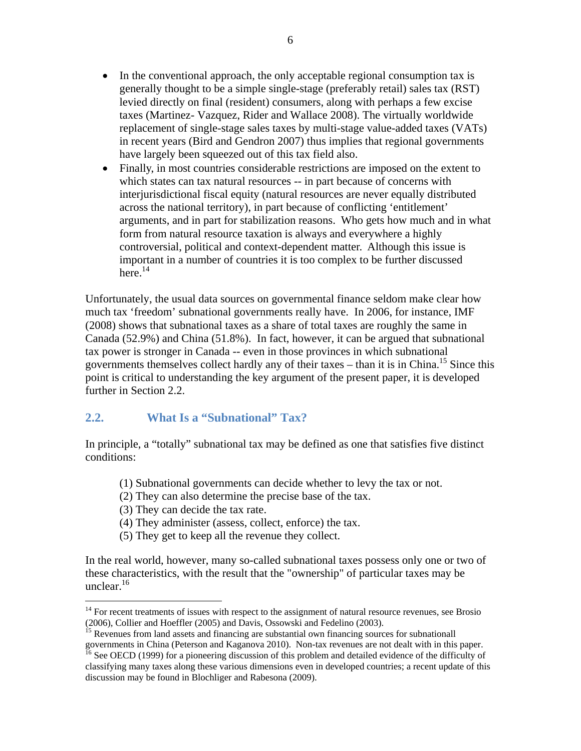- In the conventional approach, the only acceptable regional consumption tax is generally thought to be a simple single-stage (preferably retail) sales tax (RST) levied directly on final (resident) consumers, along with perhaps a few excise taxes (Martinez- Vazquez, Rider and Wallace 2008). The virtually worldwide replacement of single-stage sales taxes by multi-stage value-added taxes (VATs) in recent years (Bird and Gendron 2007) thus implies that regional governments have largely been squeezed out of this tax field also.
- Finally, in most countries considerable restrictions are imposed on the extent to which states can tax natural resources -- in part because of concerns with interjurisdictional fiscal equity (natural resources are never equally distributed across the national territory), in part because of conflicting 'entitlement' arguments, and in part for stabilization reasons. Who gets how much and in what form from natural resource taxation is always and everywhere a highly controversial, political and context-dependent matter. Although this issue is important in a number of countries it is too complex to be further discussed here. $^{14}$

Unfortunately, the usual data sources on governmental finance seldom make clear how much tax 'freedom' subnational governments really have. In 2006, for instance, IMF (2008) shows that subnational taxes as a share of total taxes are roughly the same in Canada (52.9%) and China (51.8%). In fact, however, it can be argued that subnational tax power is stronger in Canada -- even in those provinces in which subnational governments themselves collect hardly any of their taxes – than it is in China.<sup>15</sup> Since this point is critical to understanding the key argument of the present paper, it is developed further in Section 2.2.

#### **2.2. What Is a "Subnational" Tax?**

In principle, a "totally" subnational tax may be defined as one that satisfies five distinct conditions:

- (1) Subnational governments can decide whether to levy the tax or not.
- (2) They can also determine the precise base of the tax.
- (3) They can decide the tax rate.
- (4) They administer (assess, collect, enforce) the tax.
- (5) They get to keep all the revenue they collect.

In the real world, however, many so-called subnational taxes possess only one or two of these characteristics, with the result that the "ownership" of particular taxes may be unclear.<sup>16</sup>

 $\overline{a}$  $14$  For recent treatments of issues with respect to the assignment of natural resource revenues, see Brosio (2006), Collier and Hoeffler (2005) and Davis, Ossowski and Fedelino (2003).<br><sup>15</sup> Revenues from land assets and financing are substantial own financing sources for subnationall

governments in China (Peterson and Kaganova 2010). Non-tax revenues are not dealt with in this paper. <sup>16</sup> See OECD (1999) for a pioneering discussion of this problem and detailed evidence of the difficulty of classifying many taxes along these various dimensions even in developed countries; a recent update of this discussion may be found in Blochliger and Rabesona (2009).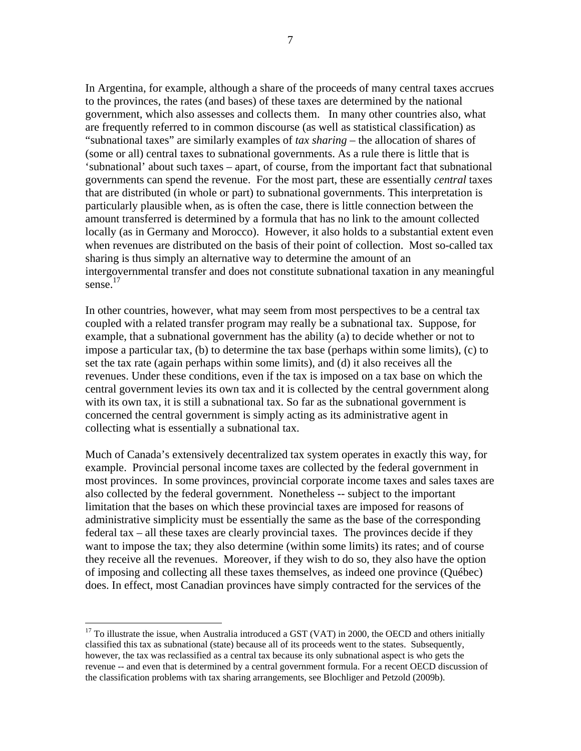In Argentina, for example, although a share of the proceeds of many central taxes accrues to the provinces, the rates (and bases) of these taxes are determined by the national government, which also assesses and collects them. In many other countries also, what are frequently referred to in common discourse (as well as statistical classification) as "subnational taxes" are similarly examples of *tax sharing* – the allocation of shares of (some or all) central taxes to subnational governments. As a rule there is little that is 'subnational' about such taxes – apart, of course, from the important fact that subnational governments can spend the revenue. For the most part, these are essentially *central* taxes that are distributed (in whole or part) to subnational governments. This interpretation is particularly plausible when, as is often the case, there is little connection between the amount transferred is determined by a formula that has no link to the amount collected locally (as in Germany and Morocco). However, it also holds to a substantial extent even when revenues are distributed on the basis of their point of collection. Most so-called tax sharing is thus simply an alternative way to determine the amount of an intergovernmental transfer and does not constitute subnational taxation in any meaningful sense. $17$ 

In other countries, however, what may seem from most perspectives to be a central tax coupled with a related transfer program may really be a subnational tax. Suppose, for example, that a subnational government has the ability (a) to decide whether or not to impose a particular tax, (b) to determine the tax base (perhaps within some limits), (c) to set the tax rate (again perhaps within some limits), and (d) it also receives all the revenues. Under these conditions, even if the tax is imposed on a tax base on which the central government levies its own tax and it is collected by the central government along with its own tax, it is still a subnational tax. So far as the subnational government is concerned the central government is simply acting as its administrative agent in collecting what is essentially a subnational tax.

Much of Canada's extensively decentralized tax system operates in exactly this way, for example. Provincial personal income taxes are collected by the federal government in most provinces. In some provinces, provincial corporate income taxes and sales taxes are also collected by the federal government. Nonetheless -- subject to the important limitation that the bases on which these provincial taxes are imposed for reasons of administrative simplicity must be essentially the same as the base of the corresponding federal tax – all these taxes are clearly provincial taxes. The provinces decide if they want to impose the tax; they also determine (within some limits) its rates; and of course they receive all the revenues. Moreover, if they wish to do so, they also have the option of imposing and collecting all these taxes themselves, as indeed one province (Québec) does. In effect, most Canadian provinces have simply contracted for the services of the

 $17$  To illustrate the issue, when Australia introduced a GST (VAT) in 2000, the OECD and others initially classified this tax as subnational (state) because all of its proceeds went to the states. Subsequently, however, the tax was reclassified as a central tax because its only subnational aspect is who gets the revenue -- and even that is determined by a central government formula. For a recent OECD discussion of the classification problems with tax sharing arrangements, see Blochliger and Petzold (2009b).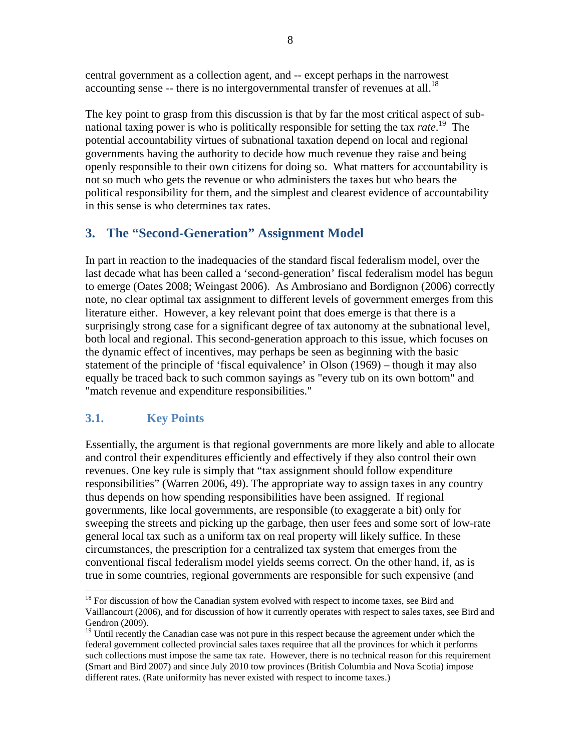central government as a collection agent, and -- except perhaps in the narrowest accounting sense -- there is no intergovernmental transfer of revenues at all.<sup>18</sup>

The key point to grasp from this discussion is that by far the most critical aspect of subnational taxing power is who is politically responsible for setting the tax *rate*. 19 The potential accountability virtues of subnational taxation depend on local and regional governments having the authority to decide how much revenue they raise and being openly responsible to their own citizens for doing so. What matters for accountability is not so much who gets the revenue or who administers the taxes but who bears the political responsibility for them, and the simplest and clearest evidence of accountability in this sense is who determines tax rates.

# **3. The "Second-Generation" Assignment Model**

In part in reaction to the inadequacies of the standard fiscal federalism model, over the last decade what has been called a 'second-generation' fiscal federalism model has begun to emerge (Oates 2008; Weingast 2006). As Ambrosiano and Bordignon (2006) correctly note, no clear optimal tax assignment to different levels of government emerges from this literature either. However, a key relevant point that does emerge is that there is a surprisingly strong case for a significant degree of tax autonomy at the subnational level, both local and regional. This second-generation approach to this issue, which focuses on the dynamic effect of incentives, may perhaps be seen as beginning with the basic statement of the principle of 'fiscal equivalence' in Olson (1969) – though it may also equally be traced back to such common sayings as "every tub on its own bottom" and "match revenue and expenditure responsibilities."

# **3.1. Key Points**

 $\overline{a}$ 

Essentially, the argument is that regional governments are more likely and able to allocate and control their expenditures efficiently and effectively if they also control their own revenues. One key rule is simply that "tax assignment should follow expenditure responsibilities" (Warren 2006, 49). The appropriate way to assign taxes in any country thus depends on how spending responsibilities have been assigned. If regional governments, like local governments, are responsible (to exaggerate a bit) only for sweeping the streets and picking up the garbage, then user fees and some sort of low-rate general local tax such as a uniform tax on real property will likely suffice. In these circumstances, the prescription for a centralized tax system that emerges from the conventional fiscal federalism model yields seems correct. On the other hand, if, as is true in some countries, regional governments are responsible for such expensive (and

 $18$  For discussion of how the Canadian system evolved with respect to income taxes, see Bird and Vaillancourt (2006), and for discussion of how it currently operates with respect to sales taxes, see Bird and Gendron (2009).

<sup>&</sup>lt;sup>19</sup> Until recently the Canadian case was not pure in this respect because the agreement under which the federal government collected provincial sales taxes requiree that all the provinces for which it performs such collections must impose the same tax rate. However, there is no technical reason for this requirement (Smart and Bird 2007) and since July 2010 tow provinces (British Columbia and Nova Scotia) impose different rates. (Rate uniformity has never existed with respect to income taxes.)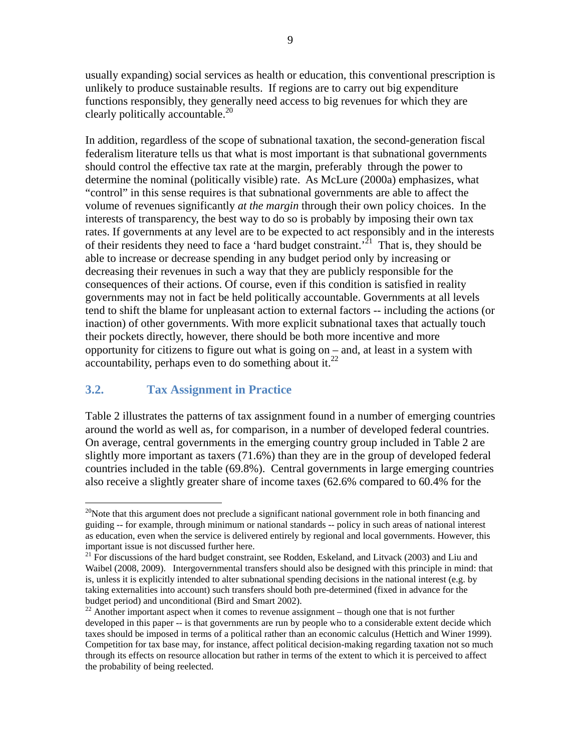usually expanding) social services as health or education, this conventional prescription is unlikely to produce sustainable results. If regions are to carry out big expenditure functions responsibly, they generally need access to big revenues for which they are clearly politically accountable.<sup>20</sup>

In addition, regardless of the scope of subnational taxation, the second-generation fiscal federalism literature tells us that what is most important is that subnational governments should control the effective tax rate at the margin, preferably through the power to determine the nominal (politically visible) rate. As McLure (2000a) emphasizes, what "control" in this sense requires is that subnational governments are able to affect the volume of revenues significantly *at the margin* through their own policy choices. In the interests of transparency, the best way to do so is probably by imposing their own tax rates. If governments at any level are to be expected to act responsibly and in the interests of their residents they need to face a 'hard budget constraint.'<sup>21</sup> That is, they should be able to increase or decrease spending in any budget period only by increasing or decreasing their revenues in such a way that they are publicly responsible for the consequences of their actions. Of course, even if this condition is satisfied in reality governments may not in fact be held politically accountable. Governments at all levels tend to shift the blame for unpleasant action to external factors -- including the actions (or inaction) of other governments. With more explicit subnational taxes that actually touch their pockets directly, however, there should be both more incentive and more opportunity for citizens to figure out what is going on – and, at least in a system with accountability, perhaps even to do something about it. $^{22}$ 

#### **3.2. Tax Assignment in Practice**

 $\overline{a}$ 

Table 2 illustrates the patterns of tax assignment found in a number of emerging countries around the world as well as, for comparison, in a number of developed federal countries. On average, central governments in the emerging country group included in Table 2 are slightly more important as taxers (71.6%) than they are in the group of developed federal countries included in the table (69.8%). Central governments in large emerging countries also receive a slightly greater share of income taxes (62.6% compared to 60.4% for the

 $20$ Note that this argument does not preclude a significant national government role in both financing and guiding -- for example, through minimum or national standards -- policy in such areas of national interest as education, even when the service is delivered entirely by regional and local governments. However, this important issue is not discussed further here.

 $21$  For discussions of the hard budget constraint, see Rodden, Eskeland, and Litvack (2003) and Liu and Waibel (2008, 2009). Intergovernmental transfers should also be designed with this principle in mind: that is, unless it is explicitly intended to alter subnational spending decisions in the national interest (e.g. by taking externalities into account) such transfers should both pre-determined (fixed in advance for the budget period) and unconditional (Bird and Smart 2002).

 $22$  Another important aspect when it comes to revenue assignment – though one that is not further developed in this paper -- is that governments are run by people who to a considerable extent decide which taxes should be imposed in terms of a political rather than an economic calculus (Hettich and Winer 1999). Competition for tax base may, for instance, affect political decision-making regarding taxation not so much through its effects on resource allocation but rather in terms of the extent to which it is perceived to affect the probability of being reelected.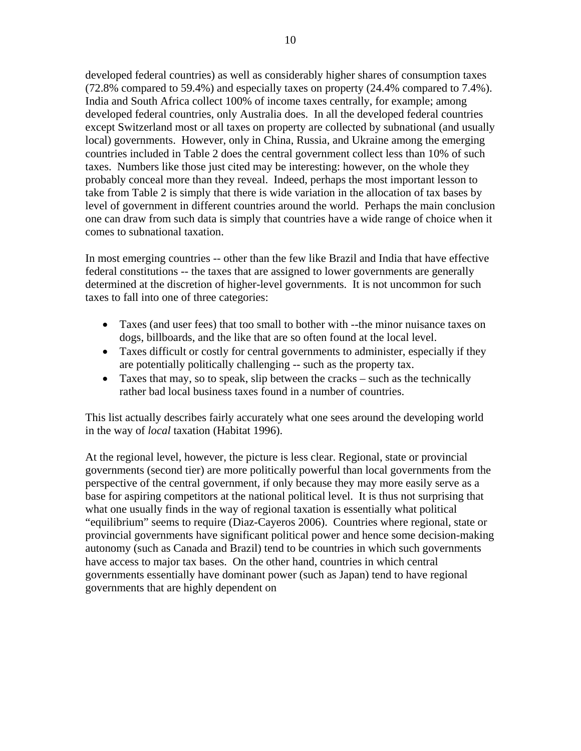developed federal countries) as well as considerably higher shares of consumption taxes (72.8% compared to 59.4%) and especially taxes on property (24.4% compared to 7.4%). India and South Africa collect 100% of income taxes centrally, for example; among developed federal countries, only Australia does. In all the developed federal countries except Switzerland most or all taxes on property are collected by subnational (and usually local) governments. However, only in China, Russia, and Ukraine among the emerging countries included in Table 2 does the central government collect less than 10% of such taxes. Numbers like those just cited may be interesting: however, on the whole they probably conceal more than they reveal. Indeed, perhaps the most important lesson to take from Table 2 is simply that there is wide variation in the allocation of tax bases by level of government in different countries around the world. Perhaps the main conclusion one can draw from such data is simply that countries have a wide range of choice when it comes to subnational taxation.

In most emerging countries -- other than the few like Brazil and India that have effective federal constitutions -- the taxes that are assigned to lower governments are generally determined at the discretion of higher-level governments. It is not uncommon for such taxes to fall into one of three categories:

- Taxes (and user fees) that too small to bother with --the minor nuisance taxes on dogs, billboards, and the like that are so often found at the local level.
- Taxes difficult or costly for central governments to administer, especially if they are potentially politically challenging -- such as the property tax.
- Taxes that may, so to speak, slip between the cracks such as the technically rather bad local business taxes found in a number of countries.

This list actually describes fairly accurately what one sees around the developing world in the way of *local* taxation (Habitat 1996).

At the regional level, however, the picture is less clear. Regional, state or provincial governments (second tier) are more politically powerful than local governments from the perspective of the central government, if only because they may more easily serve as a base for aspiring competitors at the national political level. It is thus not surprising that what one usually finds in the way of regional taxation is essentially what political "equilibrium" seems to require (Diaz-Cayeros 2006). Countries where regional, state or provincial governments have significant political power and hence some decision-making autonomy (such as Canada and Brazil) tend to be countries in which such governments have access to major tax bases. On the other hand, countries in which central governments essentially have dominant power (such as Japan) tend to have regional governments that are highly dependent on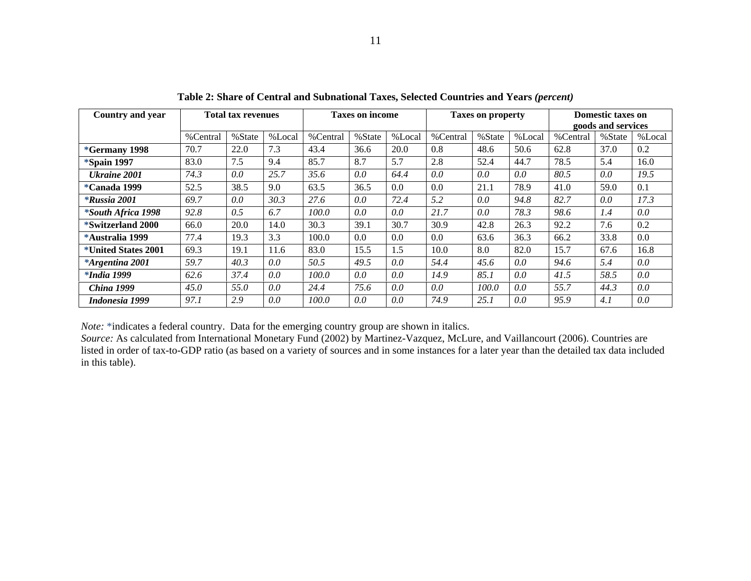| Country and year                | <b>Total tax revenues</b> |         | <b>Taxes on income</b> |          | <b>Taxes on property</b> |        | Domestic taxes on<br>goods and services |        |        |          |        |                  |
|---------------------------------|---------------------------|---------|------------------------|----------|--------------------------|--------|-----------------------------------------|--------|--------|----------|--------|------------------|
|                                 | %Central                  | % State | %Local                 | %Central | %State                   | %Local | %Central                                | %State | %Local | %Central | %State | %Local           |
| *Germany 1998                   | 70.7                      | 22.0    | 7.3                    | 43.4     | 36.6                     | 20.0   | 0.8                                     | 48.6   | 50.6   | 62.8     | 37.0   | 0.2              |
| *Spain 1997                     | 83.0                      | 7.5     | 9.4                    | 85.7     | 8.7                      | 5.7    | 2.8                                     | 52.4   | 44.7   | 78.5     | 5.4    | 16.0             |
| Ukraine 2001                    | 74.3                      | 0.0     | 25.7                   | 35.6     | 0.0                      | 64.4   | 0.0                                     | 0.0    | 0.0    | 80.5     | 0.0    | 19.5             |
| *Canada 1999                    | 52.5                      | 38.5    | 9.0                    | 63.5     | 36.5                     | 0.0    | 0.0                                     | 21.1   | 78.9   | 41.0     | 59.0   | 0.1              |
| <i><b>*Russia 2001</b></i>      | 69.7                      | 0.0     | 30.3                   | 27.6     | 0.0                      | 72.4   | 5.2                                     | 0.0    | 94.8   | 82.7     | 0.0    | 17.3             |
| <i>*South Africa 1998</i>       | 92.8                      | 0.5     | 6.7                    | 100.0    | 0.0                      | 0.0    | 21.7                                    | 0.0    | 78.3   | 98.6     | 1.4    | 0.0              |
| <i><b>*Switzerland 2000</b></i> | 66.0                      | 20.0    | 14.0                   | 30.3     | 39.1                     | 30.7   | 30.9                                    | 42.8   | 26.3   | 92.2     | 7.6    | 0.2              |
| *Australia 1999                 | 77.4                      | 19.3    | 3.3                    | 100.0    | 0.0                      | 0.0    | 0.0                                     | 63.6   | 36.3   | 66.2     | 33.8   | 0.0 <sub>1</sub> |
| *United States 2001             | 69.3                      | 19.1    | 11.6                   | 83.0     | 15.5                     | 1.5    | 10.0                                    | 8.0    | 82.0   | 15.7     | 67.6   | 16.8             |
| <i>*Argentina 2001</i>          | 59.7                      | 40.3    | 0.0                    | 50.5     | 49.5                     | 0.0    | 54.4                                    | 45.6   | 0.0    | 94.6     | 5.4    | $0.0\,$          |
| *India 1999                     | 62.6                      | 37.4    | 0.0                    | 100.0    | 0.0                      | 0.0    | 14.9                                    | 85.1   | 0.0    | 41.5     | 58.5   | $0.0\,$          |
| <i>China 1999</i>               | 45.0                      | 55.0    | 0.0                    | 24.4     | 75.6                     | 0.0    | 0.0                                     | 100.0  | 0.0    | 55.7     | 44.3   | 0.0              |
| Indonesia 1999                  | 97.1                      | 2.9     | 0.0                    | 100.0    | 0.0                      | 0.0    | 74.9                                    | 25.1   | 0.0    | 95.9     | 4.1    | 0.0              |

**Table 2: Share of Central and Subnational Taxes, Selected Countries and Years** *(percent)*

*Note:* \*indicates a federal country. Data for the emerging country group are shown in italics.

*Source:* As calculated from International Monetary Fund (2002) by Martinez-Vazquez, McLure, and Vaillancourt (2006). Countries are listed in order of tax-to-GDP ratio (as based on a variety of sources and in some instances for a later year than the detailed tax data included in this table).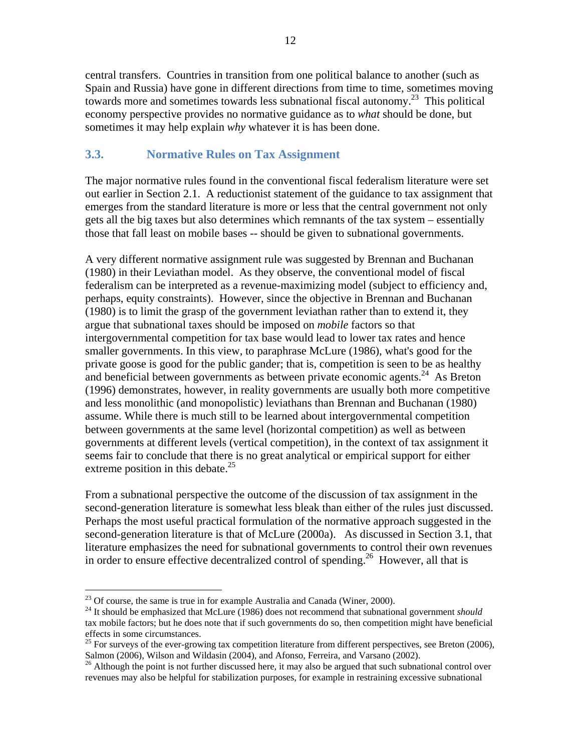central transfers. Countries in transition from one political balance to another (such as Spain and Russia) have gone in different directions from time to time, sometimes moving towards more and sometimes towards less subnational fiscal autonomy.<sup>23</sup> This political economy perspective provides no normative guidance as to *what* should be done, but sometimes it may help explain *why* whatever it is has been done.

#### **3.3. Normative Rules on Tax Assignment**

The major normative rules found in the conventional fiscal federalism literature were set out earlier in Section 2.1. A reductionist statement of the guidance to tax assignment that emerges from the standard literature is more or less that the central government not only gets all the big taxes but also determines which remnants of the tax system – essentially those that fall least on mobile bases -- should be given to subnational governments.

A very different normative assignment rule was suggested by Brennan and Buchanan (1980) in their Leviathan model. As they observe, the conventional model of fiscal federalism can be interpreted as a revenue-maximizing model (subject to efficiency and, perhaps, equity constraints). However, since the objective in Brennan and Buchanan (1980) is to limit the grasp of the government leviathan rather than to extend it, they argue that subnational taxes should be imposed on *mobile* factors so that intergovernmental competition for tax base would lead to lower tax rates and hence smaller governments. In this view, to paraphrase McLure (1986), what's good for the private goose is good for the public gander; that is, competition is seen to be as healthy and beneficial between governments as between private economic agents.<sup>24</sup> As Breton (1996) demonstrates, however, in reality governments are usually both more competitive and less monolithic (and monopolistic) leviathans than Brennan and Buchanan (1980) assume. While there is much still to be learned about intergovernmental competition between governments at the same level (horizontal competition) as well as between governments at different levels (vertical competition), in the context of tax assignment it seems fair to conclude that there is no great analytical or empirical support for either extreme position in this debate. $25$ 

From a subnational perspective the outcome of the discussion of tax assignment in the second-generation literature is somewhat less bleak than either of the rules just discussed. Perhaps the most useful practical formulation of the normative approach suggested in the second-generation literature is that of McLure (2000a). As discussed in Section 3.1, that literature emphasizes the need for subnational governments to control their own revenues in order to ensure effective decentralized control of spending.<sup>26</sup> However, all that is

<sup>&</sup>lt;sup>23</sup> Of course, the same is true in for example Australia and Canada (Winer, 2000).

<sup>&</sup>lt;sup>24</sup> It should be emphasized that McLure (1986) does not recommend that subnational government *should* tax mobile factors; but he does note that if such governments do so, then competition might have beneficial effects in some circumstances.

 $^{25}$  For surveys of the ever-growing tax competition literature from different perspectives, see Breton (2006), Salmon (2006), Wilson and Wildasin (2004), and Afonso, Ferreira, and Varsano (2002).

<sup>&</sup>lt;sup>26</sup> Although the point is not further discussed here, it may also be argued that such subnational control over revenues may also be helpful for stabilization purposes, for example in restraining excessive subnational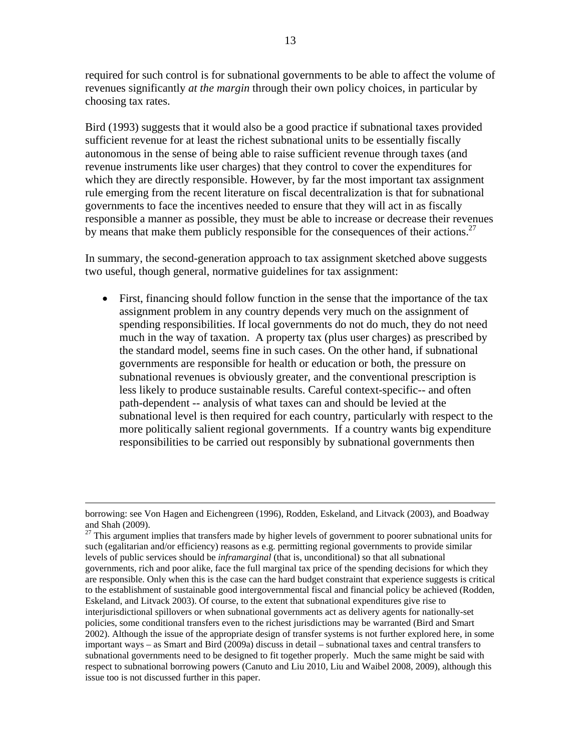required for such control is for subnational governments to be able to affect the volume of revenues significantly *at the margin* through their own policy choices, in particular by choosing tax rates.

Bird (1993) suggests that it would also be a good practice if subnational taxes provided sufficient revenue for at least the richest subnational units to be essentially fiscally autonomous in the sense of being able to raise sufficient revenue through taxes (and revenue instruments like user charges) that they control to cover the expenditures for which they are directly responsible. However, by far the most important tax assignment rule emerging from the recent literature on fiscal decentralization is that for subnational governments to face the incentives needed to ensure that they will act in as fiscally responsible a manner as possible, they must be able to increase or decrease their revenues by means that make them publicly responsible for the consequences of their actions.<sup>27</sup>

In summary, the second-generation approach to tax assignment sketched above suggests two useful, though general, normative guidelines for tax assignment:

 First, financing should follow function in the sense that the importance of the tax assignment problem in any country depends very much on the assignment of spending responsibilities. If local governments do not do much, they do not need much in the way of taxation. A property tax (plus user charges) as prescribed by the standard model, seems fine in such cases. On the other hand, if subnational governments are responsible for health or education or both, the pressure on subnational revenues is obviously greater, and the conventional prescription is less likely to produce sustainable results. Careful context-specific-- and often path-dependent -- analysis of what taxes can and should be levied at the subnational level is then required for each country, particularly with respect to the more politically salient regional governments. If a country wants big expenditure responsibilities to be carried out responsibly by subnational governments then

borrowing: see Von Hagen and Eichengreen (1996), Rodden, Eskeland, and Litvack (2003), and Boadway and Shah (2009).

<sup>&</sup>lt;sup>27</sup> This argument implies that transfers made by higher levels of government to poorer subnational units for such (egalitarian and/or efficiency) reasons as e.g. permitting regional governments to provide similar levels of public services should be *inframarginal* (that is, unconditional) so that all subnational governments, rich and poor alike, face the full marginal tax price of the spending decisions for which they are responsible. Only when this is the case can the hard budget constraint that experience suggests is critical to the establishment of sustainable good intergovernmental fiscal and financial policy be achieved (Rodden, Eskeland, and Litvack 2003). Of course, to the extent that subnational expenditures give rise to interjurisdictional spillovers or when subnational governments act as delivery agents for nationally-set policies, some conditional transfers even to the richest jurisdictions may be warranted (Bird and Smart 2002). Although the issue of the appropriate design of transfer systems is not further explored here, in some important ways – as Smart and Bird (2009a) discuss in detail – subnational taxes and central transfers to subnational governments need to be designed to fit together properly. Much the same might be said with respect to subnational borrowing powers (Canuto and Liu 2010, Liu and Waibel 2008, 2009), although this issue too is not discussed further in this paper.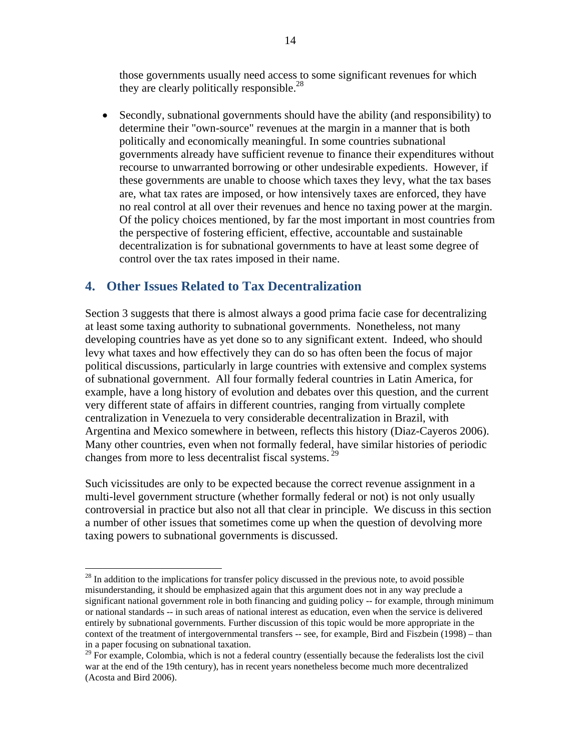those governments usually need access to some significant revenues for which they are clearly politically responsible.<sup>28</sup>

 Secondly, subnational governments should have the ability (and responsibility) to determine their "own-source" revenues at the margin in a manner that is both politically and economically meaningful. In some countries subnational governments already have sufficient revenue to finance their expenditures without recourse to unwarranted borrowing or other undesirable expedients. However, if these governments are unable to choose which taxes they levy, what the tax bases are, what tax rates are imposed, or how intensively taxes are enforced, they have no real control at all over their revenues and hence no taxing power at the margin. Of the policy choices mentioned, by far the most important in most countries from the perspective of fostering efficient, effective, accountable and sustainable decentralization is for subnational governments to have at least some degree of control over the tax rates imposed in their name.

# **4. Other Issues Related to Tax Decentralization**

 $\overline{a}$ 

Section 3 suggests that there is almost always a good prima facie case for decentralizing at least some taxing authority to subnational governments. Nonetheless, not many developing countries have as yet done so to any significant extent. Indeed, who should levy what taxes and how effectively they can do so has often been the focus of major political discussions, particularly in large countries with extensive and complex systems of subnational government. All four formally federal countries in Latin America, for example, have a long history of evolution and debates over this question, and the current very different state of affairs in different countries, ranging from virtually complete centralization in Venezuela to very considerable decentralization in Brazil, with Argentina and Mexico somewhere in between, reflects this history (Diaz-Cayeros 2006). Many other countries, even when not formally federal, have similar histories of periodic changes from more to less decentralist fiscal systems.<sup>29</sup>

Such vicissitudes are only to be expected because the correct revenue assignment in a multi-level government structure (whether formally federal or not) is not only usually controversial in practice but also not all that clear in principle. We discuss in this section a number of other issues that sometimes come up when the question of devolving more taxing powers to subnational governments is discussed.

<sup>&</sup>lt;sup>28</sup> In addition to the implications for transfer policy discussed in the previous note, to avoid possible misunderstanding, it should be emphasized again that this argument does not in any way preclude a significant national government role in both financing and guiding policy -- for example, through minimum or national standards -- in such areas of national interest as education, even when the service is delivered entirely by subnational governments. Further discussion of this topic would be more appropriate in the context of the treatment of intergovernmental transfers -- see, for example, Bird and Fiszbein (1998) – than in a paper focusing on subnational taxation.

<sup>&</sup>lt;sup>29</sup> For example, Colombia, which is not a federal country (essentially because the federalists lost the civil war at the end of the 19th century), has in recent years nonetheless become much more decentralized (Acosta and Bird 2006).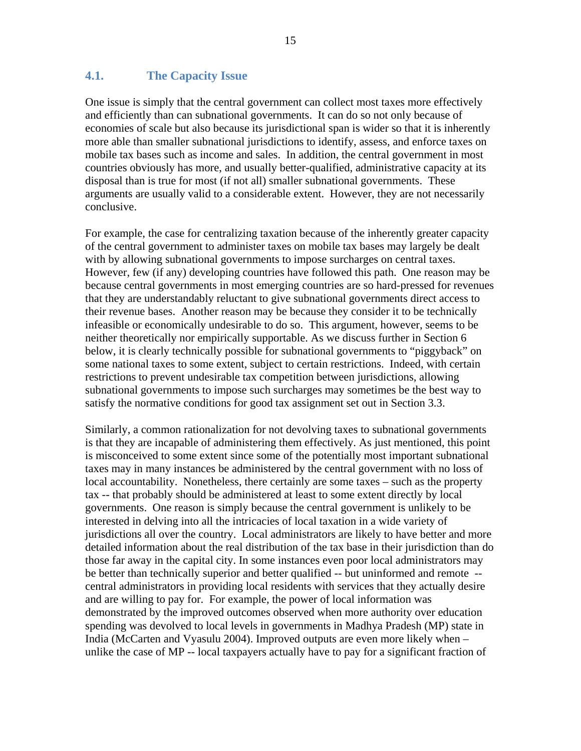#### **4.1. The Capacity Issue**

One issue is simply that the central government can collect most taxes more effectively and efficiently than can subnational governments. It can do so not only because of economies of scale but also because its jurisdictional span is wider so that it is inherently more able than smaller subnational jurisdictions to identify, assess, and enforce taxes on mobile tax bases such as income and sales. In addition, the central government in most countries obviously has more, and usually better-qualified, administrative capacity at its disposal than is true for most (if not all) smaller subnational governments. These arguments are usually valid to a considerable extent. However, they are not necessarily conclusive.

For example, the case for centralizing taxation because of the inherently greater capacity of the central government to administer taxes on mobile tax bases may largely be dealt with by allowing subnational governments to impose surcharges on central taxes. However, few (if any) developing countries have followed this path. One reason may be because central governments in most emerging countries are so hard-pressed for revenues that they are understandably reluctant to give subnational governments direct access to their revenue bases. Another reason may be because they consider it to be technically infeasible or economically undesirable to do so. This argument, however, seems to be neither theoretically nor empirically supportable. As we discuss further in Section 6 below, it is clearly technically possible for subnational governments to "piggyback" on some national taxes to some extent, subject to certain restrictions. Indeed, with certain restrictions to prevent undesirable tax competition between jurisdictions, allowing subnational governments to impose such surcharges may sometimes be the best way to satisfy the normative conditions for good tax assignment set out in Section 3.3.

Similarly, a common rationalization for not devolving taxes to subnational governments is that they are incapable of administering them effectively. As just mentioned, this point is misconceived to some extent since some of the potentially most important subnational taxes may in many instances be administered by the central government with no loss of local accountability. Nonetheless, there certainly are some taxes – such as the property tax -- that probably should be administered at least to some extent directly by local governments. One reason is simply because the central government is unlikely to be interested in delving into all the intricacies of local taxation in a wide variety of jurisdictions all over the country. Local administrators are likely to have better and more detailed information about the real distribution of the tax base in their jurisdiction than do those far away in the capital city. In some instances even poor local administrators may be better than technically superior and better qualified -- but uninformed and remote - central administrators in providing local residents with services that they actually desire and are willing to pay for. For example, the power of local information was demonstrated by the improved outcomes observed when more authority over education spending was devolved to local levels in governments in Madhya Pradesh (MP) state in India (McCarten and Vyasulu 2004). Improved outputs are even more likely when – unlike the case of MP -- local taxpayers actually have to pay for a significant fraction of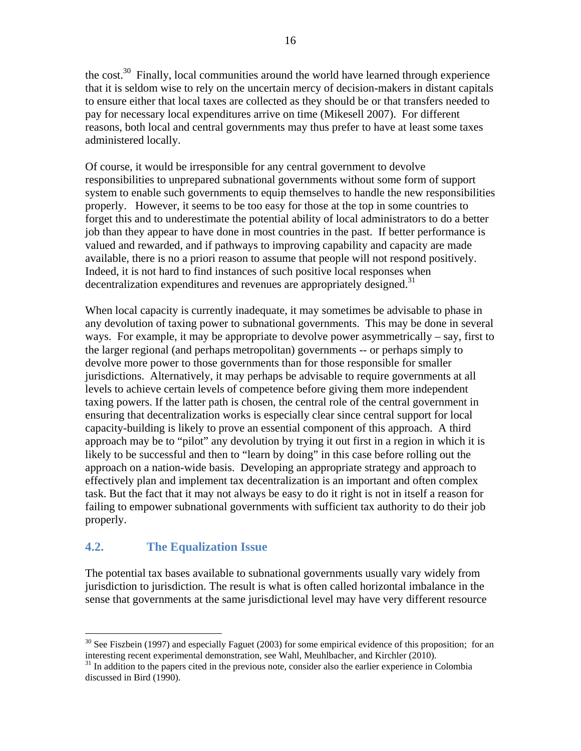the cost. $30$  Finally, local communities around the world have learned through experience that it is seldom wise to rely on the uncertain mercy of decision-makers in distant capitals to ensure either that local taxes are collected as they should be or that transfers needed to pay for necessary local expenditures arrive on time (Mikesell 2007). For different reasons, both local and central governments may thus prefer to have at least some taxes administered locally.

Of course, it would be irresponsible for any central government to devolve responsibilities to unprepared subnational governments without some form of support system to enable such governments to equip themselves to handle the new responsibilities properly. However, it seems to be too easy for those at the top in some countries to forget this and to underestimate the potential ability of local administrators to do a better job than they appear to have done in most countries in the past. If better performance is valued and rewarded, and if pathways to improving capability and capacity are made available, there is no a priori reason to assume that people will not respond positively. Indeed, it is not hard to find instances of such positive local responses when decentralization expenditures and revenues are appropriately designed.<sup>31</sup>

When local capacity is currently inadequate, it may sometimes be advisable to phase in any devolution of taxing power to subnational governments. This may be done in several ways. For example, it may be appropriate to devolve power asymmetrically – say, first to the larger regional (and perhaps metropolitan) governments -- or perhaps simply to devolve more power to those governments than for those responsible for smaller jurisdictions. Alternatively, it may perhaps be advisable to require governments at all levels to achieve certain levels of competence before giving them more independent taxing powers. If the latter path is chosen, the central role of the central government in ensuring that decentralization works is especially clear since central support for local capacity-building is likely to prove an essential component of this approach. A third approach may be to "pilot" any devolution by trying it out first in a region in which it is likely to be successful and then to "learn by doing" in this case before rolling out the approach on a nation-wide basis. Developing an appropriate strategy and approach to effectively plan and implement tax decentralization is an important and often complex task. But the fact that it may not always be easy to do it right is not in itself a reason for failing to empower subnational governments with sufficient tax authority to do their job properly.

# **4.2. The Equalization Issue**

 $\overline{a}$ 

The potential tax bases available to subnational governments usually vary widely from jurisdiction to jurisdiction. The result is what is often called horizontal imbalance in the sense that governments at the same jurisdictional level may have very different resource

 $30$  See Fiszbein (1997) and especially Faguet (2003) for some empirical evidence of this proposition; for an interesting recent experimental demonstration, see Wahl, Meuhlbacher, and Kirchler (2010).

 $31$  In addition to the papers cited in the previous note, consider also the earlier experience in Colombia discussed in Bird (1990).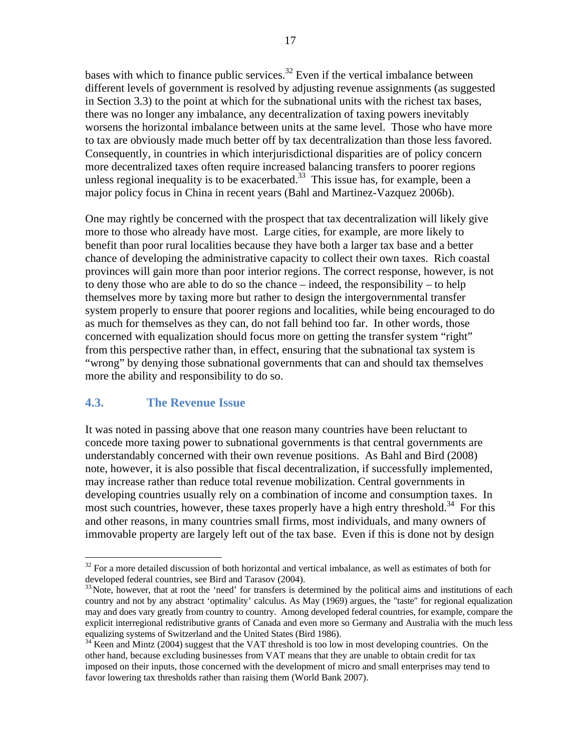bases with which to finance public services.<sup>32</sup> Even if the vertical imbalance between different levels of government is resolved by adjusting revenue assignments (as suggested in Section 3.3) to the point at which for the subnational units with the richest tax bases, there was no longer any imbalance, any decentralization of taxing powers inevitably worsens the horizontal imbalance between units at the same level. Those who have more to tax are obviously made much better off by tax decentralization than those less favored. Consequently, in countries in which interjurisdictional disparities are of policy concern more decentralized taxes often require increased balancing transfers to poorer regions unless regional inequality is to be exacerbated.<sup>33</sup> This issue has, for example, been a major policy focus in China in recent years (Bahl and Martinez-Vazquez 2006b).

One may rightly be concerned with the prospect that tax decentralization will likely give more to those who already have most. Large cities, for example, are more likely to benefit than poor rural localities because they have both a larger tax base and a better chance of developing the administrative capacity to collect their own taxes. Rich coastal provinces will gain more than poor interior regions. The correct response, however, is not to deny those who are able to do so the chance – indeed, the responsibility – to help themselves more by taxing more but rather to design the intergovernmental transfer system properly to ensure that poorer regions and localities, while being encouraged to do as much for themselves as they can, do not fall behind too far. In other words, those concerned with equalization should focus more on getting the transfer system "right" from this perspective rather than, in effect, ensuring that the subnational tax system is "wrong" by denying those subnational governments that can and should tax themselves more the ability and responsibility to do so.

# **4.3. The Revenue Issue**

 $\overline{a}$ 

It was noted in passing above that one reason many countries have been reluctant to concede more taxing power to subnational governments is that central governments are understandably concerned with their own revenue positions. As Bahl and Bird (2008) note, however, it is also possible that fiscal decentralization, if successfully implemented, may increase rather than reduce total revenue mobilization. Central governments in developing countries usually rely on a combination of income and consumption taxes. In most such countries, however, these taxes properly have a high entry threshold.<sup>34</sup> For this and other reasons, in many countries small firms, most individuals, and many owners of immovable property are largely left out of the tax base. Even if this is done not by design

<sup>&</sup>lt;sup>32</sup> For a more detailed discussion of both horizontal and vertical imbalance, as well as estimates of both for developed federal countries, see Bird and Tarasov (2004).

<sup>&</sup>lt;sup>33</sup>.Note, however, that at root the 'need' for transfers is determined by the political aims and institutions of each country and not by any abstract 'optimality' calculus. As May (1969) argues, the "taste" for regional equalization may and does vary greatly from country to country. Among developed federal countries, for example, compare the explicit interregional redistributive grants of Canada and even more so Germany and Australia with the much less equalizing systems of Switzerland and the United States (Bird 1986).

<sup>&</sup>lt;sup>34</sup> Keen and Mintz (2004) suggest that the VAT threshold is too low in most developing countries. On the other hand, because excluding businesses from VAT means that they are unable to obtain credit for tax imposed on their inputs, those concerned with the development of micro and small enterprises may tend to favor lowering tax thresholds rather than raising them (World Bank 2007).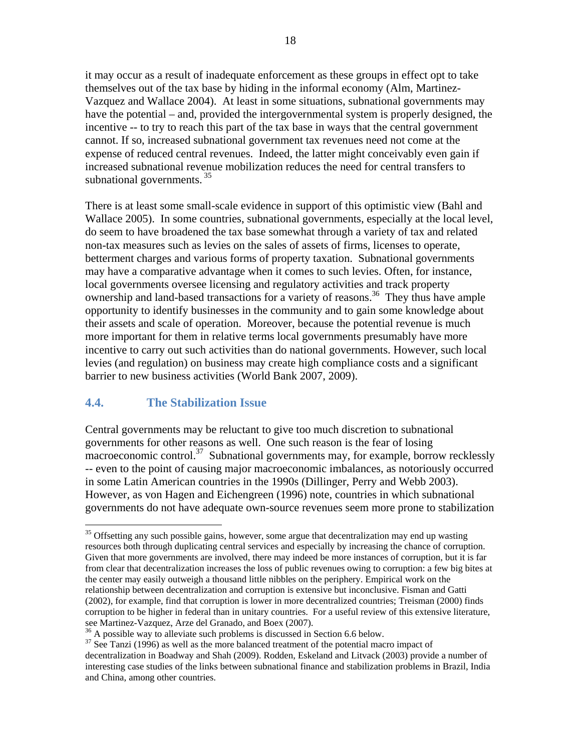18

it may occur as a result of inadequate enforcement as these groups in effect opt to take themselves out of the tax base by hiding in the informal economy (Alm, Martinez-Vazquez and Wallace 2004). At least in some situations, subnational governments may have the potential – and, provided the intergovernmental system is properly designed, the incentive -- to try to reach this part of the tax base in ways that the central government cannot. If so, increased subnational government tax revenues need not come at the expense of reduced central revenues. Indeed, the latter might conceivably even gain if increased subnational revenue mobilization reduces the need for central transfers to subnational governments.  $35$ 

There is at least some small-scale evidence in support of this optimistic view (Bahl and Wallace 2005). In some countries, subnational governments, especially at the local level, do seem to have broadened the tax base somewhat through a variety of tax and related non-tax measures such as levies on the sales of assets of firms, licenses to operate, betterment charges and various forms of property taxation. Subnational governments may have a comparative advantage when it comes to such levies. Often, for instance, local governments oversee licensing and regulatory activities and track property ownership and land-based transactions for a variety of reasons.<sup>36</sup> They thus have ample opportunity to identify businesses in the community and to gain some knowledge about their assets and scale of operation. Moreover, because the potential revenue is much more important for them in relative terms local governments presumably have more incentive to carry out such activities than do national governments. However, such local levies (and regulation) on business may create high compliance costs and a significant barrier to new business activities (World Bank 2007, 2009).

# **4.4. The Stabilization Issue**

 $\overline{a}$ 

Central governments may be reluctant to give too much discretion to subnational governments for other reasons as well. One such reason is the fear of losing macroeconomic control.<sup>37</sup> Subnational governments may, for example, borrow recklessly -- even to the point of causing major macroeconomic imbalances, as notoriously occurred in some Latin American countries in the 1990s (Dillinger, Perry and Webb 2003). However, as von Hagen and Eichengreen (1996) note, countries in which subnational governments do not have adequate own-source revenues seem more prone to stabilization

<sup>&</sup>lt;sup>35</sup> Offsetting any such possible gains, however, some argue that decentralization may end up wasting resources both through duplicating central services and especially by increasing the chance of corruption. Given that more governments are involved, there may indeed be more instances of corruption, but it is far from clear that decentralization increases the loss of public revenues owing to corruption: a few big bites at the center may easily outweigh a thousand little nibbles on the periphery. Empirical work on the relationship between decentralization and corruption is extensive but inconclusive. Fisman and Gatti (2002), for example, find that corruption is lower in more decentralized countries; Treisman (2000) finds corruption to be higher in federal than in unitary countries. For a useful review of this extensive literature, see Martinez-Vazquez, Arze del Granado, and Boex (2007).<br><sup>36</sup> A possible way to alleviate such problems is discussed in Section 6.6 below.

 $37$  See Tanzi (1996) as well as the more balanced treatment of the potential macro impact of decentralization in Boadway and Shah (2009). Rodden, Eskeland and Litvack (2003) provide a number of interesting case studies of the links between subnational finance and stabilization problems in Brazil, India and China, among other countries.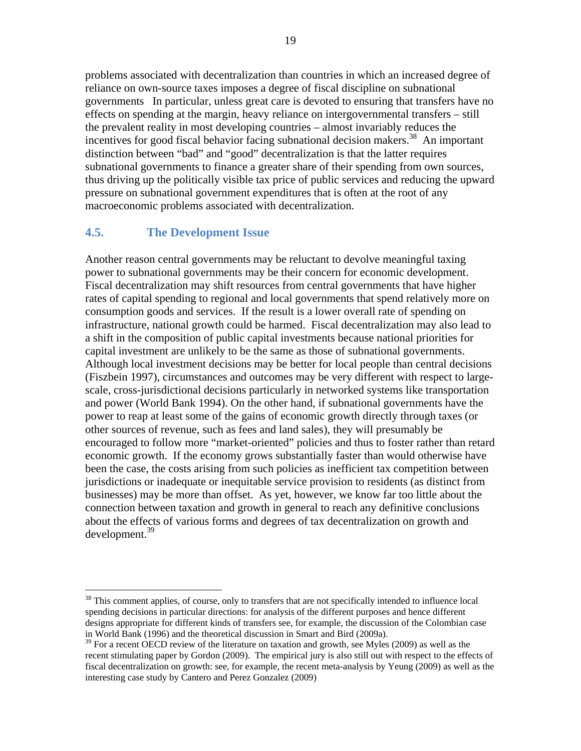problems associated with decentralization than countries in which an increased degree of reliance on own-source taxes imposes a degree of fiscal discipline on subnational governments In particular, unless great care is devoted to ensuring that transfers have no effects on spending at the margin, heavy reliance on intergovernmental transfers – still the prevalent reality in most developing countries – almost invariably reduces the incentives for good fiscal behavior facing subnational decision makers.<sup>38</sup> An important distinction between "bad" and "good" decentralization is that the latter requires subnational governments to finance a greater share of their spending from own sources, thus driving up the politically visible tax price of public services and reducing the upward pressure on subnational government expenditures that is often at the root of any macroeconomic problems associated with decentralization.

#### **4.5. The Development Issue**

 $\overline{a}$ 

Another reason central governments may be reluctant to devolve meaningful taxing power to subnational governments may be their concern for economic development. Fiscal decentralization may shift resources from central governments that have higher rates of capital spending to regional and local governments that spend relatively more on consumption goods and services. If the result is a lower overall rate of spending on infrastructure, national growth could be harmed. Fiscal decentralization may also lead to a shift in the composition of public capital investments because national priorities for capital investment are unlikely to be the same as those of subnational governments. Although local investment decisions may be better for local people than central decisions (Fiszbein 1997), circumstances and outcomes may be very different with respect to largescale, cross-jurisdictional decisions particularly in networked systems like transportation and power (World Bank 1994). On the other hand, if subnational governments have the power to reap at least some of the gains of economic growth directly through taxes (or other sources of revenue, such as fees and land sales), they will presumably be encouraged to follow more "market-oriented" policies and thus to foster rather than retard economic growth. If the economy grows substantially faster than would otherwise have been the case, the costs arising from such policies as inefficient tax competition between jurisdictions or inadequate or inequitable service provision to residents (as distinct from businesses) may be more than offset. As yet, however, we know far too little about the connection between taxation and growth in general to reach any definitive conclusions about the effects of various forms and degrees of tax decentralization on growth and development.39

<sup>&</sup>lt;sup>38</sup> This comment applies, of course, only to transfers that are not specifically intended to influence local spending decisions in particular directions: for analysis of the different purposes and hence different designs appropriate for different kinds of transfers see, for example, the discussion of the Colombian case in World Bank (1996) and the theoretical discussion in Smart and Bird (2009a).

 $39$  For a recent OECD review of the literature on taxation and growth, see Myles (2009) as well as the recent stimulating paper by Gordon (2009). The empirical jury is also still out with respect to the effects of fiscal decentralization on growth: see, for example, the recent meta-analysis by Yeung (2009) as well as the interesting case study by Cantero and Perez Gonzalez (2009)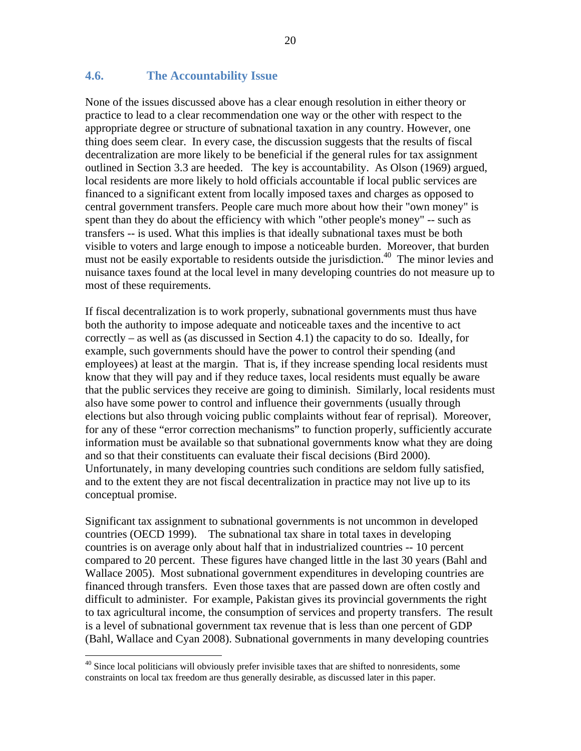#### **4.6. The Accountability Issue**

None of the issues discussed above has a clear enough resolution in either theory or practice to lead to a clear recommendation one way or the other with respect to the appropriate degree or structure of subnational taxation in any country. However, one thing does seem clear. In every case, the discussion suggests that the results of fiscal decentralization are more likely to be beneficial if the general rules for tax assignment outlined in Section 3.3 are heeded. The key is accountability. As Olson (1969) argued, local residents are more likely to hold officials accountable if local public services are financed to a significant extent from locally imposed taxes and charges as opposed to central government transfers. People care much more about how their "own money" is spent than they do about the efficiency with which "other people's money" -- such as transfers -- is used. What this implies is that ideally subnational taxes must be both visible to voters and large enough to impose a noticeable burden. Moreover, that burden must not be easily exportable to residents outside the jurisdiction.<sup>40</sup> The minor levies and nuisance taxes found at the local level in many developing countries do not measure up to most of these requirements.

If fiscal decentralization is to work properly, subnational governments must thus have both the authority to impose adequate and noticeable taxes and the incentive to act correctly – as well as (as discussed in Section 4.1) the capacity to do so. Ideally, for example, such governments should have the power to control their spending (and employees) at least at the margin. That is, if they increase spending local residents must know that they will pay and if they reduce taxes, local residents must equally be aware that the public services they receive are going to diminish. Similarly, local residents must also have some power to control and influence their governments (usually through elections but also through voicing public complaints without fear of reprisal). Moreover, for any of these "error correction mechanisms" to function properly, sufficiently accurate information must be available so that subnational governments know what they are doing and so that their constituents can evaluate their fiscal decisions (Bird 2000). Unfortunately, in many developing countries such conditions are seldom fully satisfied, and to the extent they are not fiscal decentralization in practice may not live up to its conceptual promise.

Significant tax assignment to subnational governments is not uncommon in developed countries (OECD 1999). The subnational tax share in total taxes in developing countries is on average only about half that in industrialized countries -- 10 percent compared to 20 percent. These figures have changed little in the last 30 years (Bahl and Wallace 2005). Most subnational government expenditures in developing countries are financed through transfers. Even those taxes that are passed down are often costly and difficult to administer. For example, Pakistan gives its provincial governments the right to tax agricultural income, the consumption of services and property transfers. The result is a level of subnational government tax revenue that is less than one percent of GDP (Bahl, Wallace and Cyan 2008). Subnational governments in many developing countries

<sup>&</sup>lt;sup>40</sup> Since local politicians will obviously prefer invisible taxes that are shifted to nonresidents, some constraints on local tax freedom are thus generally desirable, as discussed later in this paper.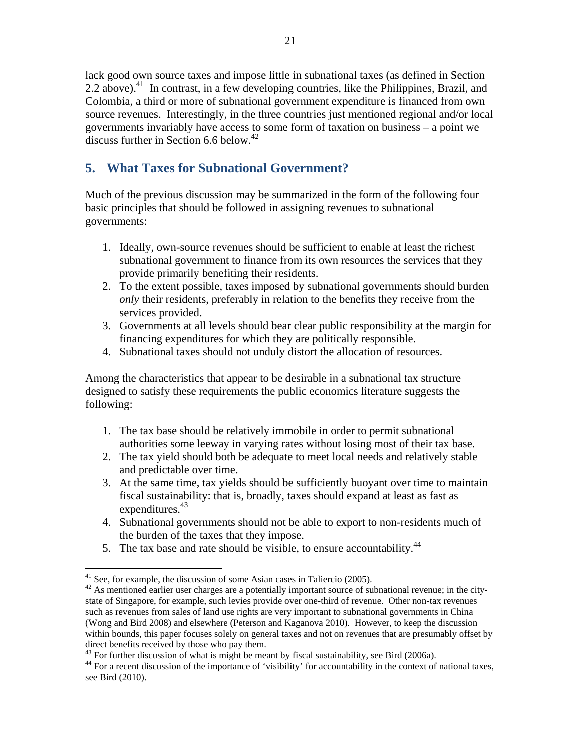lack good own source taxes and impose little in subnational taxes (as defined in Section 2.2 above).<sup>41</sup> In contrast, in a few developing countries, like the Philippines, Brazil, and Colombia, a third or more of subnational government expenditure is financed from own source revenues. Interestingly, in the three countries just mentioned regional and/or local governments invariably have access to some form of taxation on business – a point we discuss further in Section 6.6 below.<sup>42</sup>

# **5. What Taxes for Subnational Government?**

Much of the previous discussion may be summarized in the form of the following four basic principles that should be followed in assigning revenues to subnational governments:

- 1. Ideally, own-source revenues should be sufficient to enable at least the richest subnational government to finance from its own resources the services that they provide primarily benefiting their residents.
- 2. To the extent possible, taxes imposed by subnational governments should burden *only* their residents, preferably in relation to the benefits they receive from the services provided.
- 3. Governments at all levels should bear clear public responsibility at the margin for financing expenditures for which they are politically responsible.
- 4. Subnational taxes should not unduly distort the allocation of resources.

Among the characteristics that appear to be desirable in a subnational tax structure designed to satisfy these requirements the public economics literature suggests the following:

- 1. The tax base should be relatively immobile in order to permit subnational authorities some leeway in varying rates without losing most of their tax base.
- 2. The tax yield should both be adequate to meet local needs and relatively stable and predictable over time.
- 3. At the same time, tax yields should be sufficiently buoyant over time to maintain fiscal sustainability: that is, broadly, taxes should expand at least as fast as expenditures.<sup>43</sup>
- 4. Subnational governments should not be able to export to non-residents much of the burden of the taxes that they impose.
- 5. The tax base and rate should be visible, to ensure accountability.<sup>44</sup>

<sup>&</sup>lt;sup>41</sup> See, for example, the discussion of some Asian cases in Taliercio (2005).<br><sup>42</sup> As mentioned earlier user charges are a potentially important source of subnational revenue; in the citystate of Singapore, for example, such levies provide over one-third of revenue. Other non-tax revenues such as revenues from sales of land use rights are very important to subnational governments in China (Wong and Bird 2008) and elsewhere (Peterson and Kaganova 2010). However, to keep the discussion within bounds, this paper focuses solely on general taxes and not on revenues that are presumably offset by direct benefits received by those who pay them.

 $43$  For further discussion of what is might be meant by fiscal sustainability, see Bird (2006a).

<sup>&</sup>lt;sup>44</sup> For a recent discussion of the importance of 'visibility' for accountability in the context of national taxes, see Bird (2010).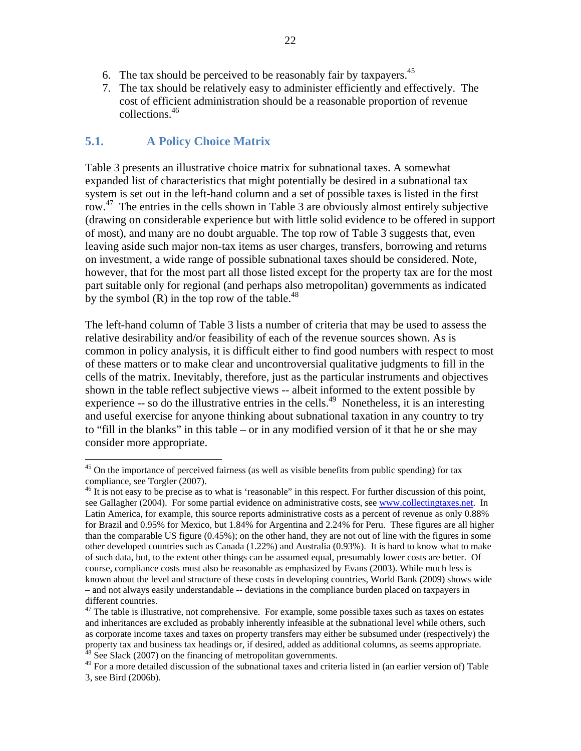7. The tax should be relatively easy to administer efficiently and effectively. The cost of efficient administration should be a reasonable proportion of revenue collections.46

# **5.1. A Policy Choice Matrix**

 $\overline{a}$ 

Table 3 presents an illustrative choice matrix for subnational taxes. A somewhat expanded list of characteristics that might potentially be desired in a subnational tax system is set out in the left-hand column and a set of possible taxes is listed in the first row.<sup>47</sup> The entries in the cells shown in Table 3 are obviously almost entirely subjective (drawing on considerable experience but with little solid evidence to be offered in support of most), and many are no doubt arguable. The top row of Table 3 suggests that, even leaving aside such major non-tax items as user charges, transfers, borrowing and returns on investment, a wide range of possible subnational taxes should be considered. Note, however, that for the most part all those listed except for the property tax are for the most part suitable only for regional (and perhaps also metropolitan) governments as indicated by the symbol  $(R)$  in the top row of the table.<sup>48</sup>

The left-hand column of Table 3 lists a number of criteria that may be used to assess the relative desirability and/or feasibility of each of the revenue sources shown. As is common in policy analysis, it is difficult either to find good numbers with respect to most of these matters or to make clear and uncontroversial qualitative judgments to fill in the cells of the matrix. Inevitably, therefore, just as the particular instruments and objectives shown in the table reflect subjective views -- albeit informed to the extent possible by experience  $-$  so do the illustrative entries in the cells.<sup>49</sup> Nonetheless, it is an interesting and useful exercise for anyone thinking about subnational taxation in any country to try to "fill in the blanks" in this table – or in any modified version of it that he or she may consider more appropriate.

<sup>&</sup>lt;sup>45</sup> On the importance of perceived fairness (as well as visible benefits from public spending) for tax compliance, see Torgler (2007).

<sup>&</sup>lt;sup>46</sup> It is not easy to be precise as to what is 'reasonable' in this respect. For further discussion of this point, see Gallagher (2004). For some partial evidence on administrative costs, see www.collectingtaxes.net. In Latin America, for example, this source reports administrative costs as a percent of revenue as only 0.88% for Brazil and 0.95% for Mexico, but 1.84% for Argentina and 2.24% for Peru. These figures are all higher than the comparable US figure (0.45%); on the other hand, they are not out of line with the figures in some other developed countries such as Canada (1.22%) and Australia (0.93%). It is hard to know what to make of such data, but, to the extent other things can be assumed equal, presumably lower costs are better. Of course, compliance costs must also be reasonable as emphasized by Evans (2003). While much less is known about the level and structure of these costs in developing countries, World Bank (2009) shows wide – and not always easily understandable -- deviations in the compliance burden placed on taxpayers in different countries.

 $47$  The table is illustrative, not comprehensive. For example, some possible taxes such as taxes on estates and inheritances are excluded as probably inherently infeasible at the subnational level while others, such as corporate income taxes and taxes on property transfers may either be subsumed under (respectively) the property tax and business tax headings or, if desired, added as additional columns, as seems appropriate.  $48$  See Slack (2007) on the financing of metropolitan governments.

<sup>&</sup>lt;sup>49</sup> For a more detailed discussion of the subnational taxes and criteria listed in (an earlier version of) Table 3, see Bird (2006b).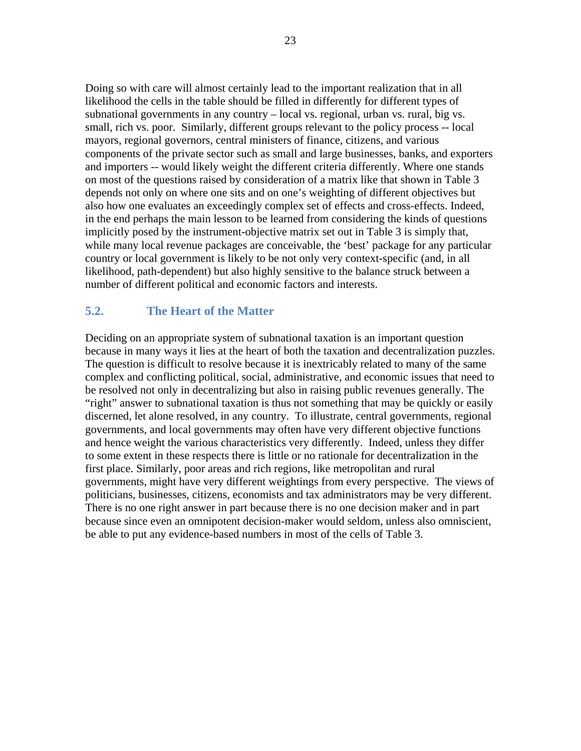Doing so with care will almost certainly lead to the important realization that in all likelihood the cells in the table should be filled in differently for different types of subnational governments in any country – local vs. regional, urban vs. rural, big vs. small, rich vs. poor. Similarly, different groups relevant to the policy process -- local mayors, regional governors, central ministers of finance, citizens, and various components of the private sector such as small and large businesses, banks, and exporters and importers -- would likely weight the different criteria differently. Where one stands on most of the questions raised by consideration of a matrix like that shown in Table 3 depends not only on where one sits and on one's weighting of different objectives but also how one evaluates an exceedingly complex set of effects and cross-effects. Indeed, in the end perhaps the main lesson to be learned from considering the kinds of questions implicitly posed by the instrument-objective matrix set out in Table 3 is simply that, while many local revenue packages are conceivable, the 'best' package for any particular country or local government is likely to be not only very context-specific (and, in all likelihood, path-dependent) but also highly sensitive to the balance struck between a number of different political and economic factors and interests.

#### **5.2. The Heart of the Matter**

Deciding on an appropriate system of subnational taxation is an important question because in many ways it lies at the heart of both the taxation and decentralization puzzles. The question is difficult to resolve because it is inextricably related to many of the same complex and conflicting political, social, administrative, and economic issues that need to be resolved not only in decentralizing but also in raising public revenues generally. The "right" answer to subnational taxation is thus not something that may be quickly or easily discerned, let alone resolved, in any country. To illustrate, central governments, regional governments, and local governments may often have very different objective functions and hence weight the various characteristics very differently. Indeed, unless they differ to some extent in these respects there is little or no rationale for decentralization in the first place. Similarly, poor areas and rich regions, like metropolitan and rural governments, might have very different weightings from every perspective. The views of politicians, businesses, citizens, economists and tax administrators may be very different. There is no one right answer in part because there is no one decision maker and in part because since even an omnipotent decision-maker would seldom, unless also omniscient, be able to put any evidence-based numbers in most of the cells of Table 3.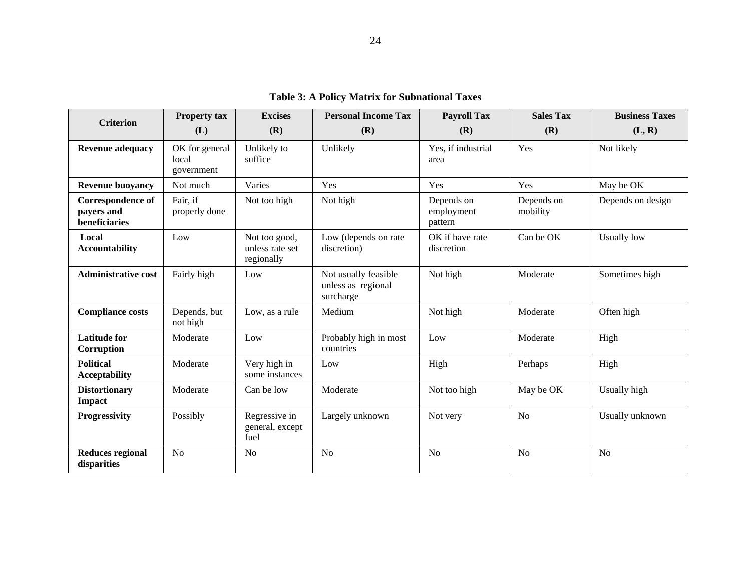| <b>Criterion</b>                                        | <b>Property tax</b>                   | <b>Excises</b>                                 | <b>Personal Income Tax</b>                              | <b>Payroll Tax</b>                  | <b>Sales Tax</b>       | <b>Business Taxes</b> |
|---------------------------------------------------------|---------------------------------------|------------------------------------------------|---------------------------------------------------------|-------------------------------------|------------------------|-----------------------|
|                                                         | (L)                                   | (R)                                            | (R)                                                     | (R)                                 | (R)                    | (L, R)                |
| <b>Revenue adequacy</b>                                 | OK for general<br>local<br>government | Unlikely to<br>suffice                         | Unlikely                                                | Yes, if industrial<br>area          | Yes                    | Not likely            |
| <b>Revenue buoyancy</b>                                 | Not much                              | Varies                                         | Yes                                                     | Yes                                 | Yes                    | May be OK             |
| <b>Correspondence of</b><br>payers and<br>beneficiaries | Fair, if<br>properly done             | Not too high                                   | Not high                                                | Depends on<br>employment<br>pattern | Depends on<br>mobility | Depends on design     |
| Local<br><b>Accountability</b>                          | Low                                   | Not too good,<br>unless rate set<br>regionally | Low (depends on rate<br>discretion)                     | OK if have rate<br>discretion       | Can be OK              | Usually low           |
| <b>Administrative cost</b>                              | Fairly high                           | Low                                            | Not usually feasible<br>unless as regional<br>surcharge | Not high                            | Moderate               | Sometimes high        |
| <b>Compliance costs</b>                                 | Depends, but<br>not high              | Low, as a rule                                 | Medium                                                  | Not high                            | Moderate               | Often high            |
| <b>Latitude for</b><br><b>Corruption</b>                | Moderate                              | Low                                            | Probably high in most<br>countries                      | Low                                 | Moderate               | High                  |
| <b>Political</b><br><b>Acceptability</b>                | Moderate                              | Very high in<br>some instances                 | Low                                                     | High                                | Perhaps                | High                  |
| <b>Distortionary</b><br>Impact                          | Moderate                              | Can be low                                     | Moderate                                                | Not too high                        | May be OK              | Usually high          |
| Progressivity                                           | Possibly                              | Regressive in<br>general, except<br>fuel       | Largely unknown                                         | Not very                            | N <sub>o</sub>         | Usually unknown       |
| <b>Reduces regional</b><br>disparities                  | N <sub>o</sub>                        | N <sub>0</sub>                                 | No                                                      | N <sub>0</sub>                      | N <sub>o</sub>         | N <sub>o</sub>        |

**Table 3: A Policy Matrix for Subnational Taxes**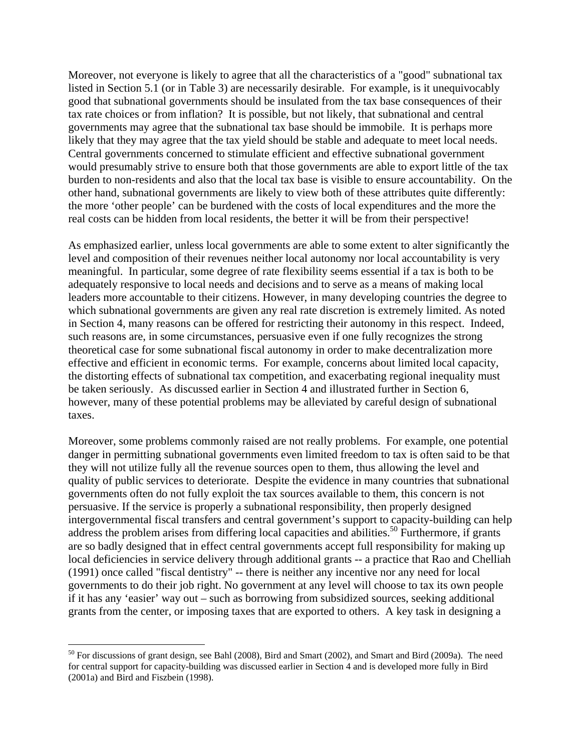Moreover, not everyone is likely to agree that all the characteristics of a "good" subnational tax listed in Section 5.1 (or in Table 3) are necessarily desirable. For example, is it unequivocably good that subnational governments should be insulated from the tax base consequences of their tax rate choices or from inflation? It is possible, but not likely, that subnational and central governments may agree that the subnational tax base should be immobile. It is perhaps more likely that they may agree that the tax yield should be stable and adequate to meet local needs. Central governments concerned to stimulate efficient and effective subnational government would presumably strive to ensure both that those governments are able to export little of the tax burden to non-residents and also that the local tax base is visible to ensure accountability. On the other hand, subnational governments are likely to view both of these attributes quite differently: the more 'other people' can be burdened with the costs of local expenditures and the more the real costs can be hidden from local residents, the better it will be from their perspective!

As emphasized earlier, unless local governments are able to some extent to alter significantly the level and composition of their revenues neither local autonomy nor local accountability is very meaningful. In particular, some degree of rate flexibility seems essential if a tax is both to be adequately responsive to local needs and decisions and to serve as a means of making local leaders more accountable to their citizens. However, in many developing countries the degree to which subnational governments are given any real rate discretion is extremely limited. As noted in Section 4, many reasons can be offered for restricting their autonomy in this respect. Indeed, such reasons are, in some circumstances, persuasive even if one fully recognizes the strong theoretical case for some subnational fiscal autonomy in order to make decentralization more effective and efficient in economic terms. For example, concerns about limited local capacity, the distorting effects of subnational tax competition, and exacerbating regional inequality must be taken seriously. As discussed earlier in Section 4 and illustrated further in Section 6, however, many of these potential problems may be alleviated by careful design of subnational taxes.

Moreover, some problems commonly raised are not really problems. For example, one potential danger in permitting subnational governments even limited freedom to tax is often said to be that they will not utilize fully all the revenue sources open to them, thus allowing the level and quality of public services to deteriorate. Despite the evidence in many countries that subnational governments often do not fully exploit the tax sources available to them, this concern is not persuasive. If the service is properly a subnational responsibility, then properly designed intergovernmental fiscal transfers and central government's support to capacity-building can help address the problem arises from differing local capacities and abilities.<sup>50</sup> Furthermore, if grants are so badly designed that in effect central governments accept full responsibility for making up local deficiencies in service delivery through additional grants -- a practice that Rao and Chelliah (1991) once called "fiscal dentistry" -- there is neither any incentive nor any need for local governments to do their job right. No government at any level will choose to tax its own people if it has any 'easier' way out – such as borrowing from subsidized sources, seeking additional grants from the center, or imposing taxes that are exported to others. A key task in designing a

<sup>&</sup>lt;sup>50</sup> For discussions of grant design, see Bahl (2008), Bird and Smart (2002), and Smart and Bird (2009a). The need for central support for capacity-building was discussed earlier in Section 4 and is developed more fully in Bird (2001a) and Bird and Fiszbein (1998).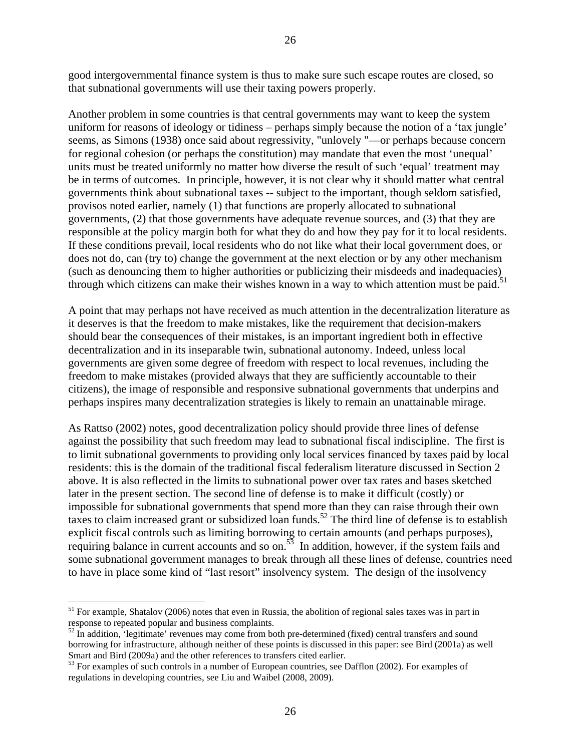good intergovernmental finance system is thus to make sure such escape routes are closed, so that subnational governments will use their taxing powers properly.

Another problem in some countries is that central governments may want to keep the system uniform for reasons of ideology or tidiness – perhaps simply because the notion of a 'tax jungle' seems, as Simons (1938) once said about regressivity, "unlovely "—or perhaps because concern for regional cohesion (or perhaps the constitution) may mandate that even the most 'unequal' units must be treated uniformly no matter how diverse the result of such 'equal' treatment may be in terms of outcomes. In principle, however, it is not clear why it should matter what central governments think about subnational taxes -- subject to the important, though seldom satisfied, provisos noted earlier, namely (1) that functions are properly allocated to subnational governments, (2) that those governments have adequate revenue sources, and (3) that they are responsible at the policy margin both for what they do and how they pay for it to local residents. If these conditions prevail, local residents who do not like what their local government does, or does not do, can (try to) change the government at the next election or by any other mechanism (such as denouncing them to higher authorities or publicizing their misdeeds and inadequacies) through which citizens can make their wishes known in a way to which attention must be paid.<sup>51</sup>

A point that may perhaps not have received as much attention in the decentralization literature as it deserves is that the freedom to make mistakes, like the requirement that decision-makers should bear the consequences of their mistakes, is an important ingredient both in effective decentralization and in its inseparable twin, subnational autonomy. Indeed, unless local governments are given some degree of freedom with respect to local revenues, including the freedom to make mistakes (provided always that they are sufficiently accountable to their citizens), the image of responsible and responsive subnational governments that underpins and perhaps inspires many decentralization strategies is likely to remain an unattainable mirage.

As Rattso (2002) notes, good decentralization policy should provide three lines of defense against the possibility that such freedom may lead to subnational fiscal indiscipline. The first is to limit subnational governments to providing only local services financed by taxes paid by local residents: this is the domain of the traditional fiscal federalism literature discussed in Section 2 above. It is also reflected in the limits to subnational power over tax rates and bases sketched later in the present section. The second line of defense is to make it difficult (costly) or impossible for subnational governments that spend more than they can raise through their own taxes to claim increased grant or subsidized loan funds.<sup>52</sup> The third line of defense is to establish explicit fiscal controls such as limiting borrowing to certain amounts (and perhaps purposes), requiring balance in current accounts and so on.<sup>53</sup> In addition, however, if the system fails and some subnational government manages to break through all these lines of defense, countries need to have in place some kind of "last resort" insolvency system. The design of the insolvency

<sup>&</sup>lt;sup>51</sup> For example, Shatalov (2006) notes that even in Russia, the abolition of regional sales taxes was in part in response to repeated popular and business complaints.

<sup>&</sup>lt;sup>52</sup> In addition, 'legitimate' revenues may come from both pre-determined (fixed) central transfers and sound borrowing for infrastructure, although neither of these points is discussed in this paper: see Bird (2001a) as well Smart and Bird (2009a) and the other references to transfers cited earlier.<br><sup>53</sup> For examples of such controls in a number of European countries, see Dafflon (2002). For examples of

regulations in developing countries, see Liu and Waibel (2008, 2009).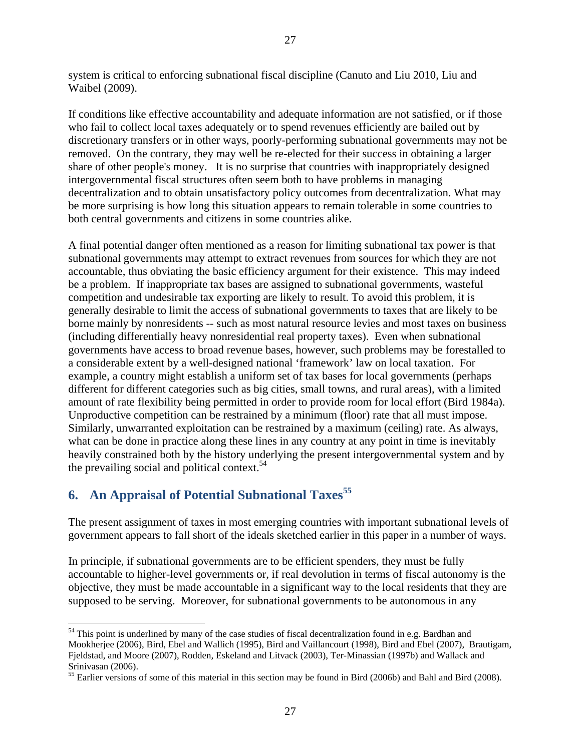system is critical to enforcing subnational fiscal discipline (Canuto and Liu 2010, Liu and Waibel (2009).

If conditions like effective accountability and adequate information are not satisfied, or if those who fail to collect local taxes adequately or to spend revenues efficiently are bailed out by discretionary transfers or in other ways, poorly-performing subnational governments may not be removed. On the contrary, they may well be re-elected for their success in obtaining a larger share of other people's money. It is no surprise that countries with inappropriately designed intergovernmental fiscal structures often seem both to have problems in managing decentralization and to obtain unsatisfactory policy outcomes from decentralization. What may be more surprising is how long this situation appears to remain tolerable in some countries to both central governments and citizens in some countries alike.

A final potential danger often mentioned as a reason for limiting subnational tax power is that subnational governments may attempt to extract revenues from sources for which they are not accountable, thus obviating the basic efficiency argument for their existence. This may indeed be a problem. If inappropriate tax bases are assigned to subnational governments, wasteful competition and undesirable tax exporting are likely to result. To avoid this problem, it is generally desirable to limit the access of subnational governments to taxes that are likely to be borne mainly by nonresidents -- such as most natural resource levies and most taxes on business (including differentially heavy nonresidential real property taxes). Even when subnational governments have access to broad revenue bases, however, such problems may be forestalled to a considerable extent by a well-designed national 'framework' law on local taxation. For example, a country might establish a uniform set of tax bases for local governments (perhaps different for different categories such as big cities, small towns, and rural areas), with a limited amount of rate flexibility being permitted in order to provide room for local effort (Bird 1984a). Unproductive competition can be restrained by a minimum (floor) rate that all must impose. Similarly, unwarranted exploitation can be restrained by a maximum (ceiling) rate. As always, what can be done in practice along these lines in any country at any point in time is inevitably heavily constrained both by the history underlying the present intergovernmental system and by the prevailing social and political context. $54$ 

# **6. An Appraisal of Potential Subnational Taxes<sup>55</sup>**

1

The present assignment of taxes in most emerging countries with important subnational levels of government appears to fall short of the ideals sketched earlier in this paper in a number of ways.

In principle, if subnational governments are to be efficient spenders, they must be fully accountable to higher-level governments or, if real devolution in terms of fiscal autonomy is the objective, they must be made accountable in a significant way to the local residents that they are supposed to be serving. Moreover, for subnational governments to be autonomous in any

<sup>&</sup>lt;sup>54</sup> This point is underlined by many of the case studies of fiscal decentralization found in e.g. Bardhan and Mookherjee (2006), Bird, Ebel and Wallich (1995), Bird and Vaillancourt (1998), Bird and Ebel (2007), Brautigam, Fjeldstad, and Moore (2007), Rodden, Eskeland and Litvack (2003), Ter-Minassian (1997b) and Wallack and Srinivasan (2006).

<sup>&</sup>lt;sup>55</sup> Earlier versions of some of this material in this section may be found in Bird (2006b) and Bahl and Bird (2008).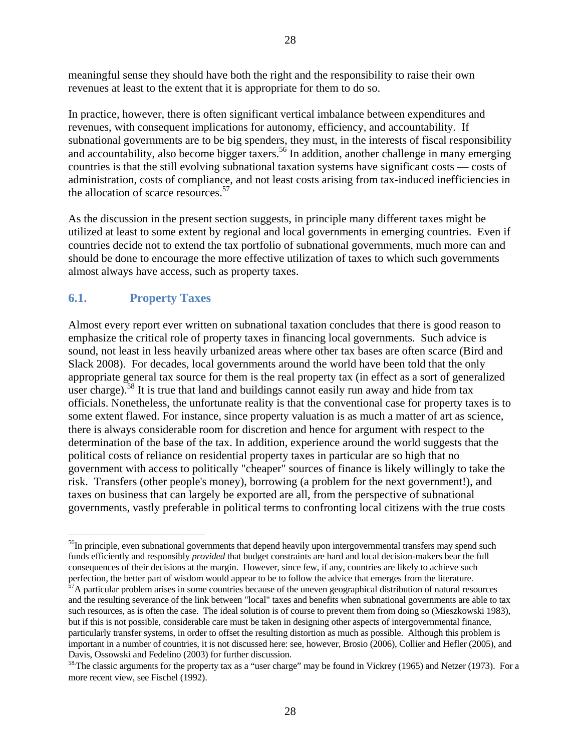meaningful sense they should have both the right and the responsibility to raise their own revenues at least to the extent that it is appropriate for them to do so.

In practice, however, there is often significant vertical imbalance between expenditures and revenues, with consequent implications for autonomy, efficiency, and accountability. If subnational governments are to be big spenders, they must, in the interests of fiscal responsibility and accountability, also become bigger taxers.<sup>56</sup> In addition, another challenge in many emerging countries is that the still evolving subnational taxation systems have significant costs — costs of administration, costs of compliance, and not least costs arising from tax-induced inefficiencies in the allocation of scarce resources.<sup>57</sup>

As the discussion in the present section suggests, in principle many different taxes might be utilized at least to some extent by regional and local governments in emerging countries. Even if countries decide not to extend the tax portfolio of subnational governments, much more can and should be done to encourage the more effective utilization of taxes to which such governments almost always have access, such as property taxes.

# **6.1. Property Taxes**

 $\overline{a}$ 

Almost every report ever written on subnational taxation concludes that there is good reason to emphasize the critical role of property taxes in financing local governments. Such advice is sound, not least in less heavily urbanized areas where other tax bases are often scarce (Bird and Slack 2008). For decades, local governments around the world have been told that the only appropriate general tax source for them is the real property tax (in effect as a sort of generalized user charge).<sup>58</sup> It is true that land and buildings cannot easily run away and hide from tax officials. Nonetheless, the unfortunate reality is that the conventional case for property taxes is to some extent flawed. For instance, since property valuation is as much a matter of art as science, there is always considerable room for discretion and hence for argument with respect to the determination of the base of the tax. In addition, experience around the world suggests that the political costs of reliance on residential property taxes in particular are so high that no government with access to politically "cheaper" sources of finance is likely willingly to take the risk. Transfers (other people's money), borrowing (a problem for the next government!), and taxes on business that can largely be exported are all, from the perspective of subnational governments, vastly preferable in political terms to confronting local citizens with the true costs

<sup>&</sup>lt;sup>56</sup>In principle, even subnational governments that depend heavily upon intergovernmental transfers may spend such funds efficiently and responsibly *provided* that budget constraints are hard and local decision-makers bear the full consequences of their decisions at the margin. However, since few, if any, countries are likely to achieve such

perfection, the better part of wisdom would appear to be to follow the advice that emerges from the literature.<br><sup>57</sup>A particular problem arises in some countries because of the uneven geographical distribution of natural r and the resulting severance of the link between "local" taxes and benefits when subnational governments are able to tax such resources, as is often the case. The ideal solution is of course to prevent them from doing so (Mieszkowski 1983), but if this is not possible, considerable care must be taken in designing other aspects of intergovernmental finance, particularly transfer systems, in order to offset the resulting distortion as much as possible. Although this problem is important in a number of countries, it is not discussed here: see, however, Brosio (2006), Collier and Hefler (2005), and Davis, Ossowski and Fedelino (2003) for further discussion.

<sup>&</sup>lt;sup>58.</sup>The classic arguments for the property tax as a "user charge" may be found in Vickrey (1965) and Netzer (1973). For a more recent view, see Fischel (1992).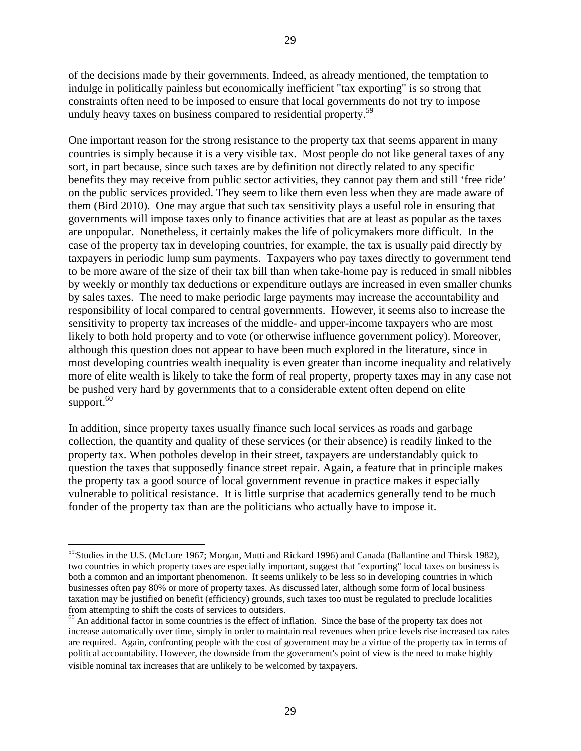of the decisions made by their governments. Indeed, as already mentioned, the temptation to indulge in politically painless but economically inefficient "tax exporting" is so strong that constraints often need to be imposed to ensure that local governments do not try to impose unduly heavy taxes on business compared to residential property.<sup>39</sup>

One important reason for the strong resistance to the property tax that seems apparent in many countries is simply because it is a very visible tax. Most people do not like general taxes of any sort, in part because, since such taxes are by definition not directly related to any specific benefits they may receive from public sector activities, they cannot pay them and still 'free ride' on the public services provided. They seem to like them even less when they are made aware of them (Bird 2010). One may argue that such tax sensitivity plays a useful role in ensuring that governments will impose taxes only to finance activities that are at least as popular as the taxes are unpopular. Nonetheless, it certainly makes the life of policymakers more difficult. In the case of the property tax in developing countries, for example, the tax is usually paid directly by taxpayers in periodic lump sum payments. Taxpayers who pay taxes directly to government tend to be more aware of the size of their tax bill than when take-home pay is reduced in small nibbles by weekly or monthly tax deductions or expenditure outlays are increased in even smaller chunks by sales taxes. The need to make periodic large payments may increase the accountability and responsibility of local compared to central governments. However, it seems also to increase the sensitivity to property tax increases of the middle- and upper-income taxpayers who are most likely to both hold property and to vote (or otherwise influence government policy). Moreover, although this question does not appear to have been much explored in the literature, since in most developing countries wealth inequality is even greater than income inequality and relatively more of elite wealth is likely to take the form of real property, property taxes may in any case not be pushed very hard by governments that to a considerable extent often depend on elite support. $60$ 

In addition, since property taxes usually finance such local services as roads and garbage collection, the quantity and quality of these services (or their absence) is readily linked to the property tax. When potholes develop in their street, taxpayers are understandably quick to question the taxes that supposedly finance street repair. Again, a feature that in principle makes the property tax a good source of local government revenue in practice makes it especially vulnerable to political resistance. It is little surprise that academics generally tend to be much fonder of the property tax than are the politicians who actually have to impose it.

<sup>59.</sup>Studies in the U.S. (McLure 1967; Morgan, Mutti and Rickard 1996) and Canada (Ballantine and Thirsk 1982), two countries in which property taxes are especially important, suggest that "exporting" local taxes on business is both a common and an important phenomenon. It seems unlikely to be less so in developing countries in which businesses often pay 80% or more of property taxes. As discussed later, although some form of local business taxation may be justified on benefit (efficiency) grounds, such taxes too must be regulated to preclude localities from attempting to shift the costs of services to outsiders.

 $60$  An additional factor in some countries is the effect of inflation. Since the base of the property tax does not increase automatically over time, simply in order to maintain real revenues when price levels rise increased tax rates are required. Again, confronting people with the cost of government may be a virtue of the property tax in terms of political accountability. However, the downside from the government's point of view is the need to make highly visible nominal tax increases that are unlikely to be welcomed by taxpayers.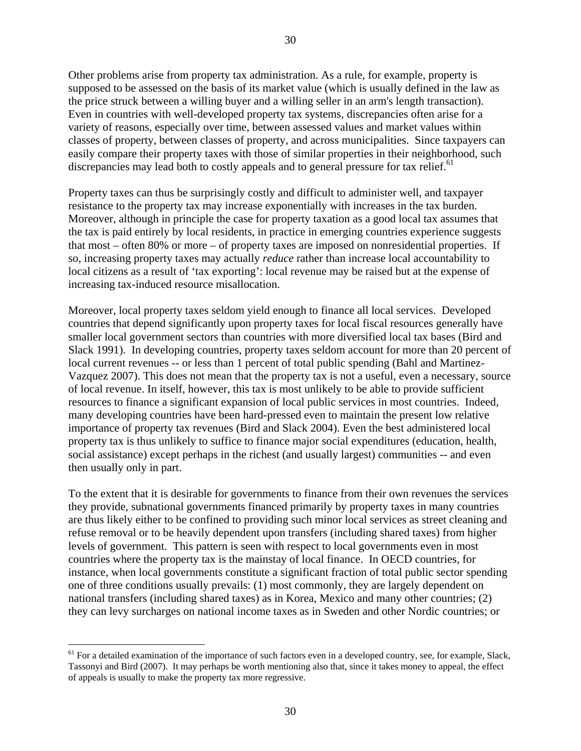Other problems arise from property tax administration. As a rule, for example, property is supposed to be assessed on the basis of its market value (which is usually defined in the law as the price struck between a willing buyer and a willing seller in an arm's length transaction). Even in countries with well-developed property tax systems, discrepancies often arise for a variety of reasons, especially over time, between assessed values and market values within classes of property, between classes of property, and across municipalities. Since taxpayers can easily compare their property taxes with those of similar properties in their neighborhood, such discrepancies may lead both to costly appeals and to general pressure for tax relief.<sup>61</sup>

Property taxes can thus be surprisingly costly and difficult to administer well, and taxpayer resistance to the property tax may increase exponentially with increases in the tax burden. Moreover, although in principle the case for property taxation as a good local tax assumes that the tax is paid entirely by local residents, in practice in emerging countries experience suggests that most – often 80% or more – of property taxes are imposed on nonresidential properties. If so, increasing property taxes may actually *reduce* rather than increase local accountability to local citizens as a result of 'tax exporting': local revenue may be raised but at the expense of increasing tax-induced resource misallocation.

Moreover, local property taxes seldom yield enough to finance all local services. Developed countries that depend significantly upon property taxes for local fiscal resources generally have smaller local government sectors than countries with more diversified local tax bases (Bird and Slack 1991). In developing countries, property taxes seldom account for more than 20 percent of local current revenues -- or less than 1 percent of total public spending (Bahl and Martinez-Vazquez 2007). This does not mean that the property tax is not a useful, even a necessary, source of local revenue. In itself, however, this tax is most unlikely to be able to provide sufficient resources to finance a significant expansion of local public services in most countries. Indeed, many developing countries have been hard-pressed even to maintain the present low relative importance of property tax revenues (Bird and Slack 2004). Even the best administered local property tax is thus unlikely to suffice to finance major social expenditures (education, health, social assistance) except perhaps in the richest (and usually largest) communities -- and even then usually only in part.

To the extent that it is desirable for governments to finance from their own revenues the services they provide, subnational governments financed primarily by property taxes in many countries are thus likely either to be confined to providing such minor local services as street cleaning and refuse removal or to be heavily dependent upon transfers (including shared taxes) from higher levels of government. This pattern is seen with respect to local governments even in most countries where the property tax is the mainstay of local finance. In OECD countries, for instance, when local governments constitute a significant fraction of total public sector spending one of three conditions usually prevails: (1) most commonly, they are largely dependent on national transfers (including shared taxes) as in Korea, Mexico and many other countries; (2) they can levy surcharges on national income taxes as in Sweden and other Nordic countries; or

<sup>&</sup>lt;sup>61</sup> For a detailed examination of the importance of such factors even in a developed country, see, for example, Slack, Tassonyi and Bird (2007). It may perhaps be worth mentioning also that, since it takes money to appeal, the effect of appeals is usually to make the property tax more regressive.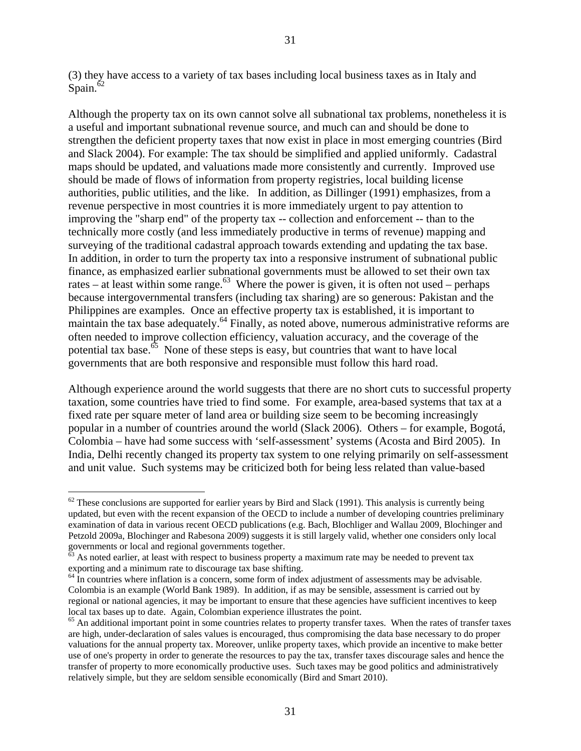(3) they have access to a variety of tax bases including local business taxes as in Italy and Spain. $62$ 

Although the property tax on its own cannot solve all subnational tax problems, nonetheless it is a useful and important subnational revenue source, and much can and should be done to strengthen the deficient property taxes that now exist in place in most emerging countries (Bird and Slack 2004). For example: The tax should be simplified and applied uniformly. Cadastral maps should be updated, and valuations made more consistently and currently. Improved use should be made of flows of information from property registries, local building license authorities, public utilities, and the like. In addition, as Dillinger (1991) emphasizes, from a revenue perspective in most countries it is more immediately urgent to pay attention to improving the "sharp end" of the property tax -- collection and enforcement -- than to the technically more costly (and less immediately productive in terms of revenue) mapping and surveying of the traditional cadastral approach towards extending and updating the tax base. In addition, in order to turn the property tax into a responsive instrument of subnational public finance, as emphasized earlier subnational governments must be allowed to set their own tax rates – at least within some range.<sup>63</sup> Where the power is given, it is often not used – perhaps because intergovernmental transfers (including tax sharing) are so generous: Pakistan and the Philippines are examples. Once an effective property tax is established, it is important to maintain the tax base adequately.64 Finally, as noted above, numerous administrative reforms are often needed to improve collection efficiency, valuation accuracy, and the coverage of the potential tax base. $65$  None of these steps is easy, but countries that want to have local governments that are both responsive and responsible must follow this hard road.

Although experience around the world suggests that there are no short cuts to successful property taxation, some countries have tried to find some. For example, area-based systems that tax at a fixed rate per square meter of land area or building size seem to be becoming increasingly popular in a number of countries around the world (Slack 2006). Others – for example, Bogotá, Colombia – have had some success with 'self-assessment' systems (Acosta and Bird 2005). In India, Delhi recently changed its property tax system to one relying primarily on self-assessment and unit value. Such systems may be criticized both for being less related than value-based

 $62$  These conclusions are supported for earlier years by Bird and Slack (1991). This analysis is currently being updated, but even with the recent expansion of the OECD to include a number of developing countries preliminary examination of data in various recent OECD publications (e.g. Bach, Blochliger and Wallau 2009, Blochinger and Petzold 2009a, Blochinger and Rabesona 2009) suggests it is still largely valid, whether one considers only local governments or local and regional governments together.

 $\frac{63}{10}$  As noted earlier, at least with respect to business property a maximum rate may be needed to prevent tax exporting and a minimum rate to discourage tax base shifting.

 $64$  In countries where inflation is a concern, some form of index adjustment of assessments may be advisable. Colombia is an example (World Bank 1989). In addition, if as may be sensible, assessment is carried out by regional or national agencies, it may be important to ensure that these agencies have sufficient incentives to keep local tax bases up to date. Again, Colombian experience illustrates the point.

<sup>&</sup>lt;sup>65</sup> An additional important point in some countries relates to property transfer taxes. When the rates of transfer taxes are high, under-declaration of sales values is encouraged, thus compromising the data base necessary to do proper valuations for the annual property tax. Moreover, unlike property taxes, which provide an incentive to make better use of one's property in order to generate the resources to pay the tax, transfer taxes discourage sales and hence the transfer of property to more economically productive uses. Such taxes may be good politics and administratively relatively simple, but they are seldom sensible economically (Bird and Smart 2010).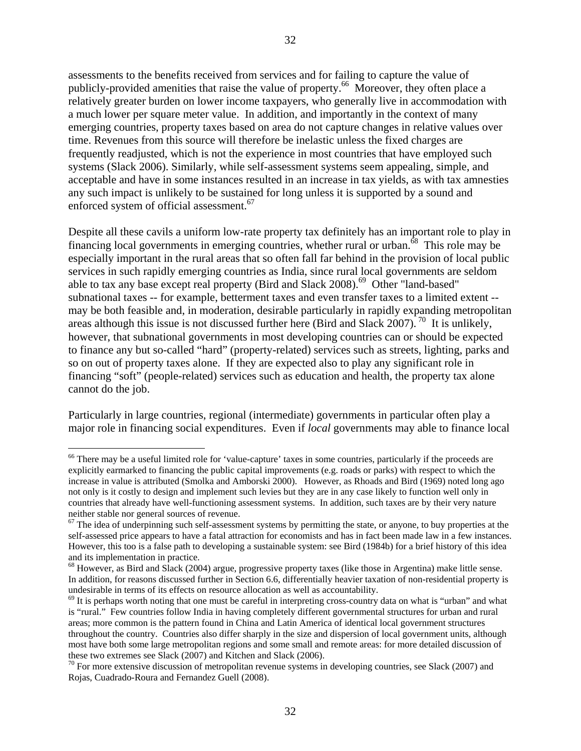assessments to the benefits received from services and for failing to capture the value of publicly-provided amenities that raise the value of property.<sup>66</sup> Moreover, they often place a relatively greater burden on lower income taxpayers, who generally live in accommodation with a much lower per square meter value. In addition, and importantly in the context of many emerging countries, property taxes based on area do not capture changes in relative values over time. Revenues from this source will therefore be inelastic unless the fixed charges are frequently readjusted, which is not the experience in most countries that have employed such systems (Slack 2006). Similarly, while self-assessment systems seem appealing, simple, and acceptable and have in some instances resulted in an increase in tax yields, as with tax amnesties any such impact is unlikely to be sustained for long unless it is supported by a sound and enforced system of official assessment.<sup>67</sup>

Despite all these cavils a uniform low-rate property tax definitely has an important role to play in financing local governments in emerging countries, whether rural or urban. $^{68}$  This role may be especially important in the rural areas that so often fall far behind in the provision of local public services in such rapidly emerging countries as India, since rural local governments are seldom able to tax any base except real property (Bird and Slack 2008).<sup>69</sup> Other "land-based" subnational taxes -- for example, betterment taxes and even transfer taxes to a limited extent - may be both feasible and, in moderation, desirable particularly in rapidly expanding metropolitan areas although this issue is not discussed further here (Bird and Slack 2007).<sup>70</sup> It is unlikely, however, that subnational governments in most developing countries can or should be expected to finance any but so-called "hard" (property-related) services such as streets, lighting, parks and so on out of property taxes alone. If they are expected also to play any significant role in financing "soft" (people-related) services such as education and health, the property tax alone cannot do the job.

Particularly in large countries, regional (intermediate) governments in particular often play a major role in financing social expenditures. Even if *local* governments may able to finance local

<sup>&</sup>lt;sup>66</sup> There may be a useful limited role for 'value-capture' taxes in some countries, particularly if the proceeds are explicitly earmarked to financing the public capital improvements (e.g. roads or parks) with respect to which the increase in value is attributed (Smolka and Amborski 2000). However, as Rhoads and Bird (1969) noted long ago not only is it costly to design and implement such levies but they are in any case likely to function well only in countries that already have well-functioning assessment systems. In addition, such taxes are by their very nature neither stable nor general sources of revenue.

 $67$  The idea of underpinning such self-assessment systems by permitting the state, or anyone, to buy properties at the self-assessed price appears to have a fatal attraction for economists and has in fact been made law in a few instances. However, this too is a false path to developing a sustainable system: see Bird (1984b) for a brief history of this idea and its implementation in practice.

<sup>&</sup>lt;sup>68</sup> However, as Bird and Slack (2004) argue, progressive property taxes (like those in Argentina) make little sense. In addition, for reasons discussed further in Section 6.6, differentially heavier taxation of non-residential property is undesirable in terms of its effects on resource allocation as well as accountability.<br><sup>69</sup> It is perhaps worth noting that one must be careful in interpreting cross-country data on what is "urban" and what

is "rural." Few countries follow India in having completely different governmental structures for urban and rural areas; more common is the pattern found in China and Latin America of identical local government structures throughout the country. Countries also differ sharply in the size and dispersion of local government units, although most have both some large metropolitan regions and some small and remote areas: for more detailed discussion of these two extremes see Slack (2007) and Kitchen and Slack (2006).<br><sup>70</sup> For more extensive discussion of metropolitan revenue systems in developing countries, see Slack (2007) and

Rojas, Cuadrado-Roura and Fernandez Guell (2008).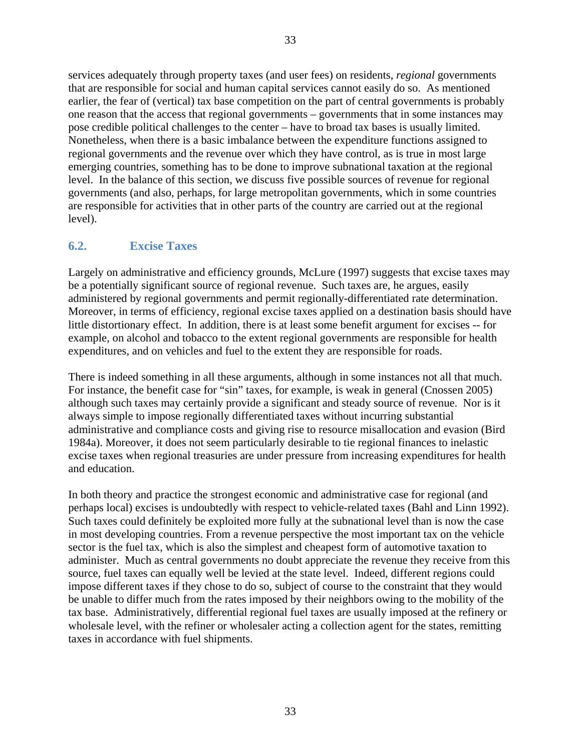services adequately through property taxes (and user fees) on residents, *regional* governments that are responsible for social and human capital services cannot easily do so. As mentioned earlier, the fear of (vertical) tax base competition on the part of central governments is probably one reason that the access that regional governments – governments that in some instances may pose credible political challenges to the center – have to broad tax bases is usually limited. Nonetheless, when there is a basic imbalance between the expenditure functions assigned to regional governments and the revenue over which they have control, as is true in most large emerging countries, something has to be done to improve subnational taxation at the regional level. In the balance of this section, we discuss five possible sources of revenue for regional governments (and also, perhaps, for large metropolitan governments, which in some countries are responsible for activities that in other parts of the country are carried out at the regional level).

#### **6.2. Excise Taxes**

Largely on administrative and efficiency grounds, McLure (1997) suggests that excise taxes may be a potentially significant source of regional revenue. Such taxes are, he argues, easily administered by regional governments and permit regionally-differentiated rate determination. Moreover, in terms of efficiency, regional excise taxes applied on a destination basis should have little distortionary effect. In addition, there is at least some benefit argument for excises -- for example, on alcohol and tobacco to the extent regional governments are responsible for health expenditures, and on vehicles and fuel to the extent they are responsible for roads.

There is indeed something in all these arguments, although in some instances not all that much. For instance, the benefit case for "sin" taxes, for example, is weak in general (Cnossen 2005) although such taxes may certainly provide a significant and steady source of revenue. Nor is it always simple to impose regionally differentiated taxes without incurring substantial administrative and compliance costs and giving rise to resource misallocation and evasion (Bird 1984a). Moreover, it does not seem particularly desirable to tie regional finances to inelastic excise taxes when regional treasuries are under pressure from increasing expenditures for health and education.

In both theory and practice the strongest economic and administrative case for regional (and perhaps local) excises is undoubtedly with respect to vehicle-related taxes (Bahl and Linn 1992). Such taxes could definitely be exploited more fully at the subnational level than is now the case in most developing countries. From a revenue perspective the most important tax on the vehicle sector is the fuel tax, which is also the simplest and cheapest form of automotive taxation to administer. Much as central governments no doubt appreciate the revenue they receive from this source, fuel taxes can equally well be levied at the state level. Indeed, different regions could impose different taxes if they chose to do so, subject of course to the constraint that they would be unable to differ much from the rates imposed by their neighbors owing to the mobility of the tax base. Administratively, differential regional fuel taxes are usually imposed at the refinery or wholesale level, with the refiner or wholesaler acting a collection agent for the states, remitting taxes in accordance with fuel shipments.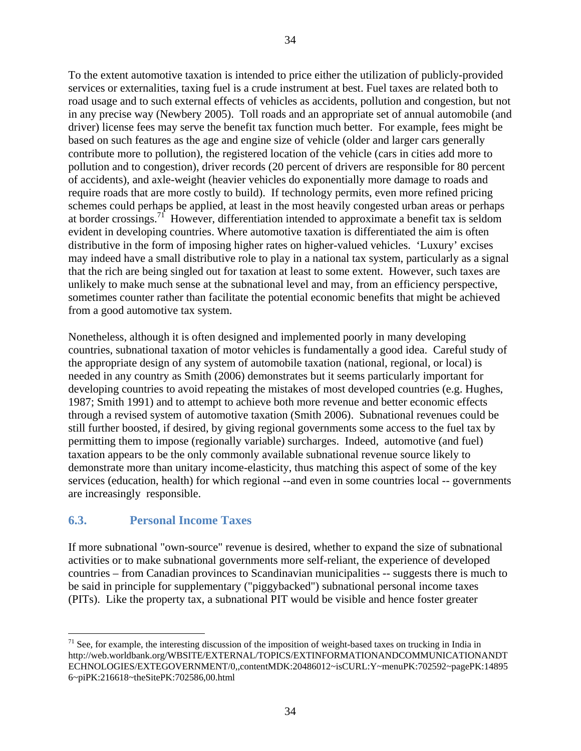To the extent automotive taxation is intended to price either the utilization of publicly-provided services or externalities, taxing fuel is a crude instrument at best. Fuel taxes are related both to road usage and to such external effects of vehicles as accidents, pollution and congestion, but not in any precise way (Newbery 2005). Toll roads and an appropriate set of annual automobile (and driver) license fees may serve the benefit tax function much better. For example, fees might be based on such features as the age and engine size of vehicle (older and larger cars generally contribute more to pollution), the registered location of the vehicle (cars in cities add more to pollution and to congestion), driver records (20 percent of drivers are responsible for 80 percent of accidents), and axle-weight (heavier vehicles do exponentially more damage to roads and require roads that are more costly to build). If technology permits, even more refined pricing schemes could perhaps be applied, at least in the most heavily congested urban areas or perhaps at border crossings.<sup>71</sup> However, differentiation intended to approximate a benefit tax is seldom evident in developing countries. Where automotive taxation is differentiated the aim is often distributive in the form of imposing higher rates on higher-valued vehicles. 'Luxury' excises may indeed have a small distributive role to play in a national tax system, particularly as a signal that the rich are being singled out for taxation at least to some extent. However, such taxes are unlikely to make much sense at the subnational level and may, from an efficiency perspective, sometimes counter rather than facilitate the potential economic benefits that might be achieved from a good automotive tax system.

Nonetheless, although it is often designed and implemented poorly in many developing countries, subnational taxation of motor vehicles is fundamentally a good idea. Careful study of the appropriate design of any system of automobile taxation (national, regional, or local) is needed in any country as Smith (2006) demonstrates but it seems particularly important for developing countries to avoid repeating the mistakes of most developed countries (e.g. Hughes, 1987; Smith 1991) and to attempt to achieve both more revenue and better economic effects through a revised system of automotive taxation (Smith 2006). Subnational revenues could be still further boosted, if desired, by giving regional governments some access to the fuel tax by permitting them to impose (regionally variable) surcharges. Indeed, automotive (and fuel) taxation appears to be the only commonly available subnational revenue source likely to demonstrate more than unitary income-elasticity, thus matching this aspect of some of the key services (education, health) for which regional --and even in some countries local -- governments are increasingly responsible.

#### **6.3. Personal Income Taxes**

 $\overline{a}$ 

If more subnational "own-source" revenue is desired, whether to expand the size of subnational activities or to make subnational governments more self-reliant, the experience of developed countries – from Canadian provinces to Scandinavian municipalities -- suggests there is much to be said in principle for supplementary ("piggybacked") subnational personal income taxes (PITs). Like the property tax, a subnational PIT would be visible and hence foster greater

 $71$  See, for example, the interesting discussion of the imposition of weight-based taxes on trucking in India in http://web.worldbank.org/WBSITE/EXTERNAL/TOPICS/EXTINFORMATIONANDCOMMUNICATIONANDT ECHNOLOGIES/EXTEGOVERNMENT/0,,contentMDK:20486012~isCURL:Y~menuPK:702592~pagePK:14895 6~piPK:216618~theSitePK:702586,00.html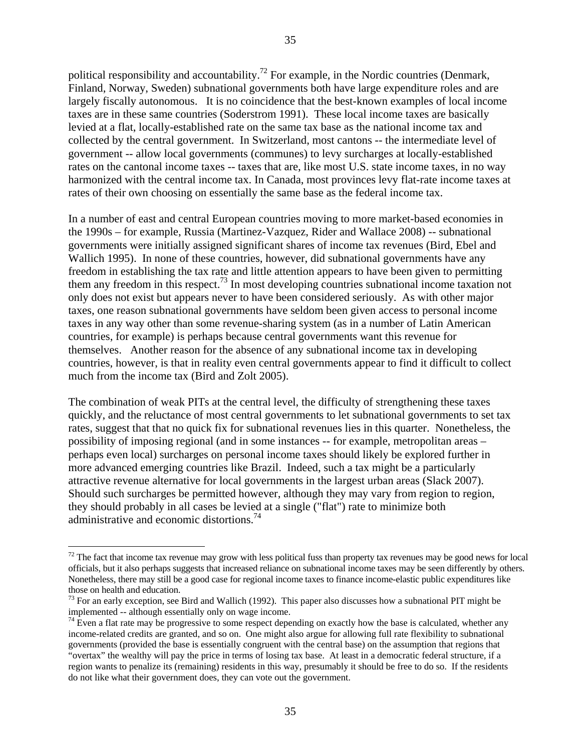political responsibility and accountability.<sup>72</sup> For example, in the Nordic countries (Denmark, Finland, Norway, Sweden) subnational governments both have large expenditure roles and are largely fiscally autonomous. It is no coincidence that the best-known examples of local income taxes are in these same countries (Soderstrom 1991). These local income taxes are basically levied at a flat, locally-established rate on the same tax base as the national income tax and collected by the central government. In Switzerland, most cantons -- the intermediate level of government -- allow local governments (communes) to levy surcharges at locally-established rates on the cantonal income taxes -- taxes that are, like most U.S. state income taxes, in no way harmonized with the central income tax. In Canada, most provinces levy flat-rate income taxes at rates of their own choosing on essentially the same base as the federal income tax.

In a number of east and central European countries moving to more market-based economies in the 1990s – for example, Russia (Martinez-Vazquez, Rider and Wallace 2008) -- subnational governments were initially assigned significant shares of income tax revenues (Bird, Ebel and Wallich 1995). In none of these countries, however, did subnational governments have any freedom in establishing the tax rate and little attention appears to have been given to permitting them any freedom in this respect.<sup>73</sup> In most developing countries subnational income taxation not only does not exist but appears never to have been considered seriously. As with other major taxes, one reason subnational governments have seldom been given access to personal income taxes in any way other than some revenue-sharing system (as in a number of Latin American countries, for example) is perhaps because central governments want this revenue for themselves. Another reason for the absence of any subnational income tax in developing countries, however, is that in reality even central governments appear to find it difficult to collect much from the income tax (Bird and Zolt 2005).

The combination of weak PITs at the central level, the difficulty of strengthening these taxes quickly, and the reluctance of most central governments to let subnational governments to set tax rates, suggest that that no quick fix for subnational revenues lies in this quarter. Nonetheless, the possibility of imposing regional (and in some instances -- for example, metropolitan areas – perhaps even local) surcharges on personal income taxes should likely be explored further in more advanced emerging countries like Brazil. Indeed, such a tax might be a particularly attractive revenue alternative for local governments in the largest urban areas (Slack 2007). Should such surcharges be permitted however, although they may vary from region to region, they should probably in all cases be levied at a single ("flat") rate to minimize both administrative and economic distortions.74

 $72$  The fact that income tax revenue may grow with less political fuss than property tax revenues may be good news for local officials, but it also perhaps suggests that increased reliance on subnational income taxes may be seen differently by others. Nonetheless, there may still be a good case for regional income taxes to finance income-elastic public expenditures like those on health and education.

 $73$  For an early exception, see Bird and Wallich (1992). This paper also discusses how a subnational PIT might be implemented -- although essentially only on wage income.

 $74$  Even a flat rate may be progressive to some respect depending on exactly how the base is calculated, whether any income-related credits are granted, and so on. One might also argue for allowing full rate flexibility to subnational governments (provided the base is essentially congruent with the central base) on the assumption that regions that "overtax" the wealthy will pay the price in terms of losing tax base. At least in a democratic federal structure, if a region wants to penalize its (remaining) residents in this way, presumably it should be free to do so. If the residents do not like what their government does, they can vote out the government.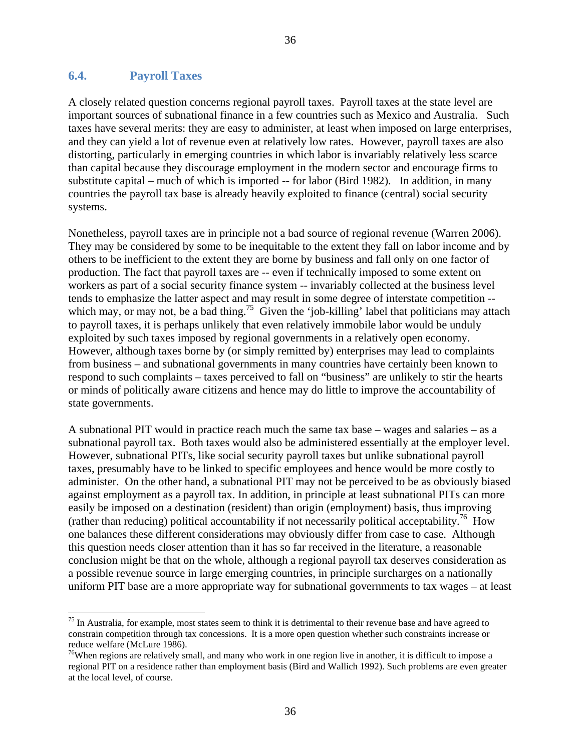#### **6.4. Payroll Taxes**

1

A closely related question concerns regional payroll taxes. Payroll taxes at the state level are important sources of subnational finance in a few countries such as Mexico and Australia. Such taxes have several merits: they are easy to administer, at least when imposed on large enterprises, and they can yield a lot of revenue even at relatively low rates. However, payroll taxes are also distorting, particularly in emerging countries in which labor is invariably relatively less scarce than capital because they discourage employment in the modern sector and encourage firms to substitute capital – much of which is imported -- for labor (Bird 1982). In addition, in many countries the payroll tax base is already heavily exploited to finance (central) social security systems.

Nonetheless, payroll taxes are in principle not a bad source of regional revenue (Warren 2006). They may be considered by some to be inequitable to the extent they fall on labor income and by others to be inefficient to the extent they are borne by business and fall only on one factor of production. The fact that payroll taxes are -- even if technically imposed to some extent on workers as part of a social security finance system -- invariably collected at the business level tends to emphasize the latter aspect and may result in some degree of interstate competition - which may, or may not, be a bad thing.<sup>75</sup> Given the 'job-killing' label that politicians may attach to payroll taxes, it is perhaps unlikely that even relatively immobile labor would be unduly exploited by such taxes imposed by regional governments in a relatively open economy. However, although taxes borne by (or simply remitted by) enterprises may lead to complaints from business – and subnational governments in many countries have certainly been known to respond to such complaints – taxes perceived to fall on "business" are unlikely to stir the hearts or minds of politically aware citizens and hence may do little to improve the accountability of state governments.

A subnational PIT would in practice reach much the same tax base – wages and salaries – as a subnational payroll tax. Both taxes would also be administered essentially at the employer level. However, subnational PITs, like social security payroll taxes but unlike subnational payroll taxes, presumably have to be linked to specific employees and hence would be more costly to administer. On the other hand, a subnational PIT may not be perceived to be as obviously biased against employment as a payroll tax. In addition, in principle at least subnational PITs can more easily be imposed on a destination (resident) than origin (employment) basis, thus improving (rather than reducing) political accountability if not necessarily political acceptability.76 How one balances these different considerations may obviously differ from case to case. Although this question needs closer attention than it has so far received in the literature, a reasonable conclusion might be that on the whole, although a regional payroll tax deserves consideration as a possible revenue source in large emerging countries, in principle surcharges on a nationally uniform PIT base are a more appropriate way for subnational governments to tax wages – at least

 $75$  In Australia, for example, most states seem to think it is detrimental to their revenue base and have agreed to constrain competition through tax concessions. It is a more open question whether such constraints increase or reduce welfare (McLure 1986).

 $76$ When regions are relatively small, and many who work in one region live in another, it is difficult to impose a regional PIT on a residence rather than employment basis (Bird and Wallich 1992). Such problems are even greater at the local level, of course.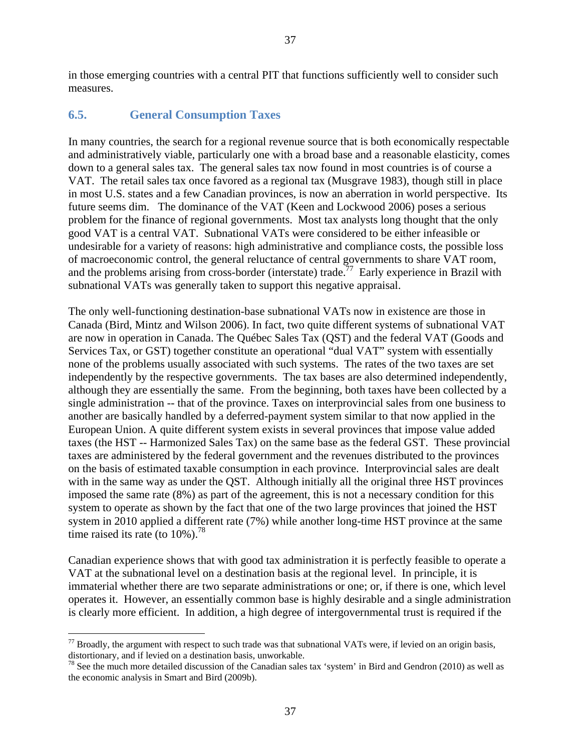in those emerging countries with a central PIT that functions sufficiently well to consider such measures.

# **6.5. General Consumption Taxes**

 $\overline{a}$ 

In many countries, the search for a regional revenue source that is both economically respectable and administratively viable, particularly one with a broad base and a reasonable elasticity, comes down to a general sales tax. The general sales tax now found in most countries is of course a VAT. The retail sales tax once favored as a regional tax (Musgrave 1983), though still in place in most U.S. states and a few Canadian provinces, is now an aberration in world perspective. Its future seems dim. The dominance of the VAT (Keen and Lockwood 2006) poses a serious problem for the finance of regional governments. Most tax analysts long thought that the only good VAT is a central VAT. Subnational VATs were considered to be either infeasible or undesirable for a variety of reasons: high administrative and compliance costs, the possible loss of macroeconomic control, the general reluctance of central governments to share VAT room, and the problems arising from cross-border (interstate) trade.<sup>77</sup> Early experience in Brazil with subnational VATs was generally taken to support this negative appraisal.

The only well-functioning destination-base subnational VATs now in existence are those in Canada (Bird, Mintz and Wilson 2006). In fact, two quite different systems of subnational VAT are now in operation in Canada. The Québec Sales Tax (QST) and the federal VAT (Goods and Services Tax, or GST) together constitute an operational "dual VAT" system with essentially none of the problems usually associated with such systems. The rates of the two taxes are set independently by the respective governments. The tax bases are also determined independently, although they are essentially the same. From the beginning, both taxes have been collected by a single administration -- that of the province. Taxes on interprovincial sales from one business to another are basically handled by a deferred-payment system similar to that now applied in the European Union. A quite different system exists in several provinces that impose value added taxes (the HST -- Harmonized Sales Tax) on the same base as the federal GST. These provincial taxes are administered by the federal government and the revenues distributed to the provinces on the basis of estimated taxable consumption in each province. Interprovincial sales are dealt with in the same way as under the QST. Although initially all the original three HST provinces imposed the same rate (8%) as part of the agreement, this is not a necessary condition for this system to operate as shown by the fact that one of the two large provinces that joined the HST system in 2010 applied a different rate (7%) while another long-time HST province at the same time raised its rate (to  $10\%$ ).<sup>78</sup>

Canadian experience shows that with good tax administration it is perfectly feasible to operate a VAT at the subnational level on a destination basis at the regional level. In principle, it is immaterial whether there are two separate administrations or one; or, if there is one, which level operates it. However, an essentially common base is highly desirable and a single administration is clearly more efficient. In addition, a high degree of intergovernmental trust is required if the

 $^{77}$  Broadly, the argument with respect to such trade was that subnational VATs were, if levied on an origin basis, distortionary, and if levied on a destination basis, unworkable.

<sup>&</sup>lt;sup>78</sup> See the much more detailed discussion of the Canadian sales tax 'system' in Bird and Gendron (2010) as well as the economic analysis in Smart and Bird (2009b).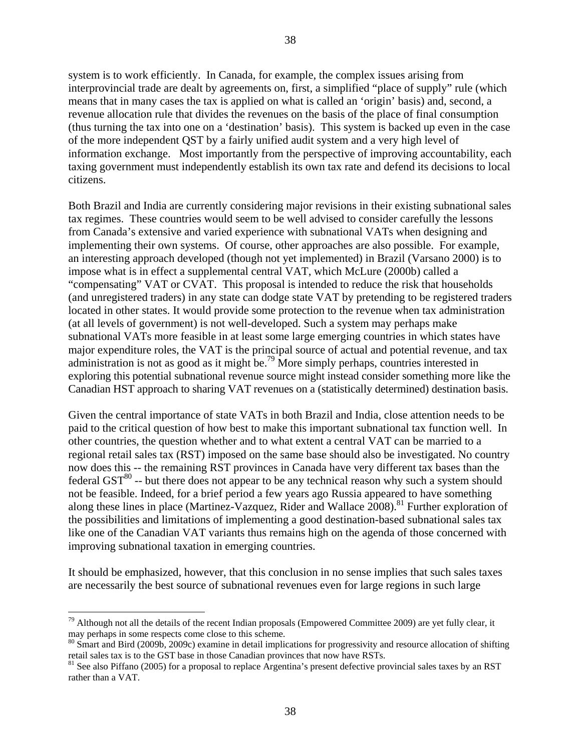system is to work efficiently. In Canada, for example, the complex issues arising from interprovincial trade are dealt by agreements on, first, a simplified "place of supply" rule (which means that in many cases the tax is applied on what is called an 'origin' basis) and, second, a revenue allocation rule that divides the revenues on the basis of the place of final consumption (thus turning the tax into one on a 'destination' basis). This system is backed up even in the case of the more independent QST by a fairly unified audit system and a very high level of information exchange. Most importantly from the perspective of improving accountability, each taxing government must independently establish its own tax rate and defend its decisions to local citizens.

Both Brazil and India are currently considering major revisions in their existing subnational sales tax regimes. These countries would seem to be well advised to consider carefully the lessons from Canada's extensive and varied experience with subnational VATs when designing and implementing their own systems. Of course, other approaches are also possible. For example, an interesting approach developed (though not yet implemented) in Brazil (Varsano 2000) is to impose what is in effect a supplemental central VAT, which McLure (2000b) called a "compensating" VAT or CVAT. This proposal is intended to reduce the risk that households (and unregistered traders) in any state can dodge state VAT by pretending to be registered traders located in other states. It would provide some protection to the revenue when tax administration (at all levels of government) is not well-developed. Such a system may perhaps make subnational VATs more feasible in at least some large emerging countries in which states have major expenditure roles, the VAT is the principal source of actual and potential revenue, and tax administration is not as good as it might be.<sup>79</sup> More simply perhaps, countries interested in exploring this potential subnational revenue source might instead consider something more like the Canadian HST approach to sharing VAT revenues on a (statistically determined) destination basis.

Given the central importance of state VATs in both Brazil and India, close attention needs to be paid to the critical question of how best to make this important subnational tax function well. In other countries, the question whether and to what extent a central VAT can be married to a regional retail sales tax (RST) imposed on the same base should also be investigated. No country now does this -- the remaining RST provinces in Canada have very different tax bases than the federal  $GST^{80}$  -- but there does not appear to be any technical reason why such a system should not be feasible. Indeed, for a brief period a few years ago Russia appeared to have something along these lines in place (Martinez-Vazquez, Rider and Wallace 2008).<sup>81</sup> Further exploration of the possibilities and limitations of implementing a good destination-based subnational sales tax like one of the Canadian VAT variants thus remains high on the agenda of those concerned with improving subnational taxation in emerging countries.

It should be emphasized, however, that this conclusion in no sense implies that such sales taxes are necessarily the best source of subnational revenues even for large regions in such large

 $79$  Although not all the details of the recent Indian proposals (Empowered Committee 2009) are yet fully clear, it may perhaps in some respects come close to this scheme.

 $80$  Smart and Bird (2009b, 2009c) examine in detail implications for progressivity and resource allocation of shifting retail sales tax is to the GST base in those Canadian provinces that now have RSTs.

<sup>&</sup>lt;sup>81</sup> See also Piffano (2005) for a proposal to replace Argentina's present defective provincial sales taxes by an RST rather than a VAT.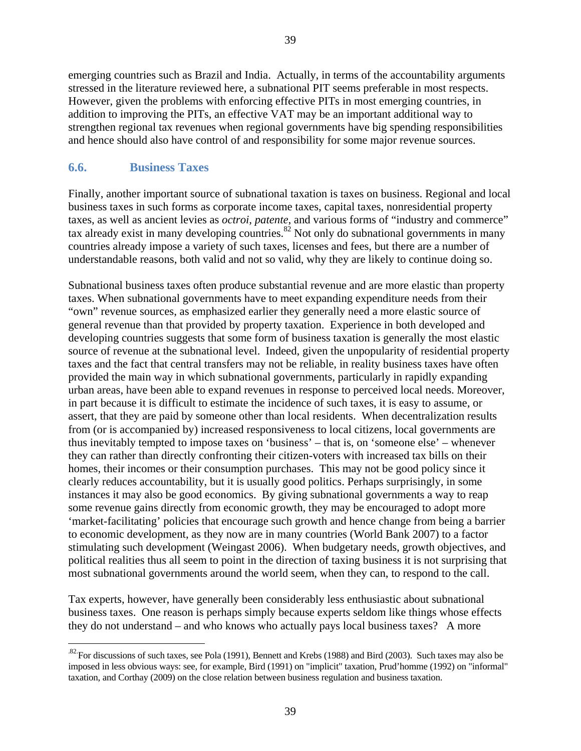emerging countries such as Brazil and India. Actually, in terms of the accountability arguments stressed in the literature reviewed here, a subnational PIT seems preferable in most respects. However, given the problems with enforcing effective PITs in most emerging countries, in addition to improving the PITs, an effective VAT may be an important additional way to strengthen regional tax revenues when regional governments have big spending responsibilities and hence should also have control of and responsibility for some major revenue sources.

#### **6.6. Business Taxes**

 $\overline{a}$ 

Finally, another important source of subnational taxation is taxes on business. Regional and local business taxes in such forms as corporate income taxes, capital taxes, nonresidential property taxes, as well as ancient levies as *octroi, patente*, and various forms of "industry and commerce" tax already exist in many developing countries.<sup>82</sup> Not only do subnational governments in many countries already impose a variety of such taxes, licenses and fees, but there are a number of understandable reasons, both valid and not so valid, why they are likely to continue doing so.

Subnational business taxes often produce substantial revenue and are more elastic than property taxes. When subnational governments have to meet expanding expenditure needs from their "own" revenue sources, as emphasized earlier they generally need a more elastic source of general revenue than that provided by property taxation. Experience in both developed and developing countries suggests that some form of business taxation is generally the most elastic source of revenue at the subnational level. Indeed, given the unpopularity of residential property taxes and the fact that central transfers may not be reliable, in reality business taxes have often provided the main way in which subnational governments, particularly in rapidly expanding urban areas, have been able to expand revenues in response to perceived local needs. Moreover, in part because it is difficult to estimate the incidence of such taxes, it is easy to assume, or assert, that they are paid by someone other than local residents. When decentralization results from (or is accompanied by) increased responsiveness to local citizens, local governments are thus inevitably tempted to impose taxes on 'business' – that is, on 'someone else' – whenever they can rather than directly confronting their citizen-voters with increased tax bills on their homes, their incomes or their consumption purchases. This may not be good policy since it clearly reduces accountability, but it is usually good politics. Perhaps surprisingly, in some instances it may also be good economics. By giving subnational governments a way to reap some revenue gains directly from economic growth, they may be encouraged to adopt more 'market-facilitating' policies that encourage such growth and hence change from being a barrier to economic development, as they now are in many countries (World Bank 2007) to a factor stimulating such development (Weingast 2006). When budgetary needs, growth objectives, and political realities thus all seem to point in the direction of taxing business it is not surprising that most subnational governments around the world seem, when they can, to respond to the call.

Tax experts, however, have generally been considerably less enthusiastic about subnational business taxes. One reason is perhaps simply because experts seldom like things whose effects they do not understand – and who knows who actually pays local business taxes? A more

<sup>.82.</sup>For discussions of such taxes, see Pola (1991), Bennett and Krebs (1988) and Bird (2003). Such taxes may also be imposed in less obvious ways: see, for example, Bird (1991) on "implicit" taxation, Prud'homme (1992) on "informal" taxation, and Corthay (2009) on the close relation between business regulation and business taxation.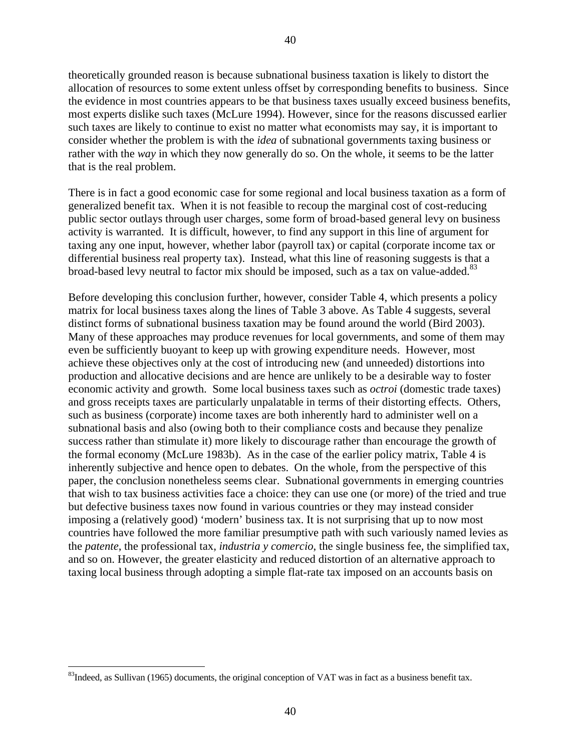theoretically grounded reason is because subnational business taxation is likely to distort the allocation of resources to some extent unless offset by corresponding benefits to business. Since the evidence in most countries appears to be that business taxes usually exceed business benefits, most experts dislike such taxes (McLure 1994). However, since for the reasons discussed earlier such taxes are likely to continue to exist no matter what economists may say, it is important to consider whether the problem is with the *idea* of subnational governments taxing business or rather with the *way* in which they now generally do so. On the whole, it seems to be the latter that is the real problem.

There is in fact a good economic case for some regional and local business taxation as a form of generalized benefit tax. When it is not feasible to recoup the marginal cost of cost-reducing public sector outlays through user charges, some form of broad-based general levy on business activity is warranted. It is difficult, however, to find any support in this line of argument for taxing any one input, however, whether labor (payroll tax) or capital (corporate income tax or differential business real property tax). Instead, what this line of reasoning suggests is that a broad-based levy neutral to factor mix should be imposed, such as a tax on value-added.<sup>83</sup>

Before developing this conclusion further, however, consider Table 4, which presents a policy matrix for local business taxes along the lines of Table 3 above. As Table 4 suggests, several distinct forms of subnational business taxation may be found around the world (Bird 2003). Many of these approaches may produce revenues for local governments, and some of them may even be sufficiently buoyant to keep up with growing expenditure needs. However, most achieve these objectives only at the cost of introducing new (and unneeded) distortions into production and allocative decisions and are hence are unlikely to be a desirable way to foster economic activity and growth. Some local business taxes such as *octroi* (domestic trade taxes) and gross receipts taxes are particularly unpalatable in terms of their distorting effects. Others, such as business (corporate) income taxes are both inherently hard to administer well on a subnational basis and also (owing both to their compliance costs and because they penalize success rather than stimulate it) more likely to discourage rather than encourage the growth of the formal economy (McLure 1983b). As in the case of the earlier policy matrix, Table 4 is inherently subjective and hence open to debates. On the whole, from the perspective of this paper, the conclusion nonetheless seems clear. Subnational governments in emerging countries that wish to tax business activities face a choice: they can use one (or more) of the tried and true but defective business taxes now found in various countries or they may instead consider imposing a (relatively good) 'modern' business tax. It is not surprising that up to now most countries have followed the more familiar presumptive path with such variously named levies as the *patente*, the professional tax, *industria y comercio*, the single business fee, the simplified tax, and so on. However, the greater elasticity and reduced distortion of an alternative approach to taxing local business through adopting a simple flat-rate tax imposed on an accounts basis on

<sup>&</sup>lt;sup>83</sup>Indeed, as Sullivan (1965) documents, the original conception of VAT was in fact as a business benefit tax.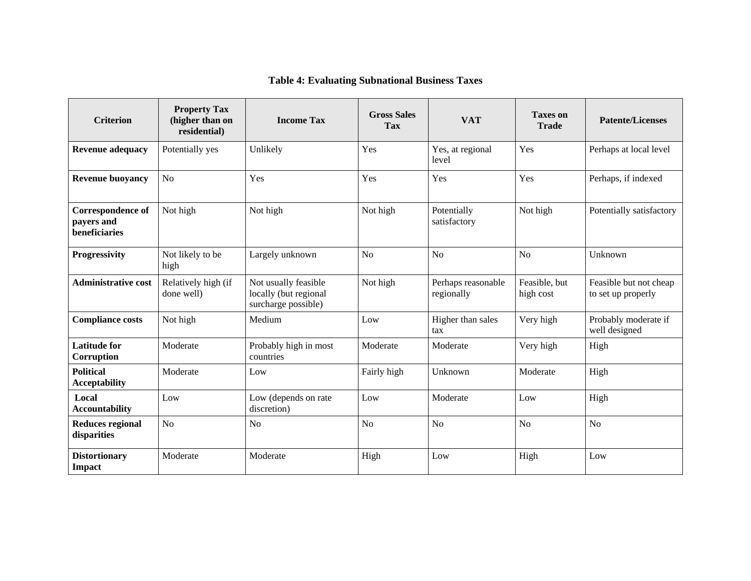| <b>Criterion</b>                                        | <b>Property Tax</b><br>(higher than on<br>residential) | <b>Income Tax</b>                                                    | <b>Gross Sales</b><br><b>Tax</b> | <b>VAT</b>                       | <b>Taxes</b> on<br><b>Trade</b> | <b>Patente/Licenses</b>                      |
|---------------------------------------------------------|--------------------------------------------------------|----------------------------------------------------------------------|----------------------------------|----------------------------------|---------------------------------|----------------------------------------------|
| <b>Revenue adequacy</b>                                 | Potentially yes                                        | Unlikely                                                             | Yes                              | Yes, at regional<br>level        | Yes                             | Perhaps at local level                       |
| <b>Revenue buoyancy</b>                                 | N <sub>o</sub>                                         | Yes                                                                  | Yes                              | Yes                              | Yes                             | Perhaps, if indexed                          |
| <b>Correspondence of</b><br>payers and<br>beneficiaries | Not high                                               | Not high                                                             | Not high                         | Potentially<br>satisfactory      | Not high                        | Potentially satisfactory                     |
| Progressivity                                           | Not likely to be<br>high                               | Largely unknown                                                      | N <sub>o</sub>                   | N <sub>o</sub>                   | N <sub>o</sub>                  | Unknown                                      |
| <b>Administrative cost</b>                              | Relatively high (if<br>done well)                      | Not usually feasible<br>locally (but regional<br>surcharge possible) | Not high                         | Perhaps reasonable<br>regionally | Feasible, but<br>high cost      | Feasible but not cheap<br>to set up properly |
| <b>Compliance costs</b>                                 | Not high                                               | Medium                                                               | Low                              | Higher than sales<br>tax         | Very high                       | Probably moderate if<br>well designed        |
| <b>Latitude for</b><br>Corruption                       | Moderate                                               | Probably high in most<br>countries                                   | Moderate                         | Moderate                         | Very high                       | High                                         |
| <b>Political</b><br><b>Acceptability</b>                | Moderate                                               | Low                                                                  | Fairly high                      | Unknown                          | Moderate                        | High                                         |
| Local<br><b>Accountability</b>                          | Low                                                    | Low (depends on rate<br>discretion)                                  | Low                              | Moderate                         | Low                             | High                                         |
| <b>Reduces regional</b><br>disparities                  | N <sub>o</sub>                                         | N <sub>0</sub>                                                       | N <sub>o</sub>                   | N <sub>o</sub>                   | N <sub>o</sub>                  | N <sub>o</sub>                               |
| <b>Distortionary</b><br>Impact                          | Moderate                                               | Moderate                                                             | High                             | Low                              | High                            | Low                                          |

# **Table 4: Evaluating Subnational Business Taxes**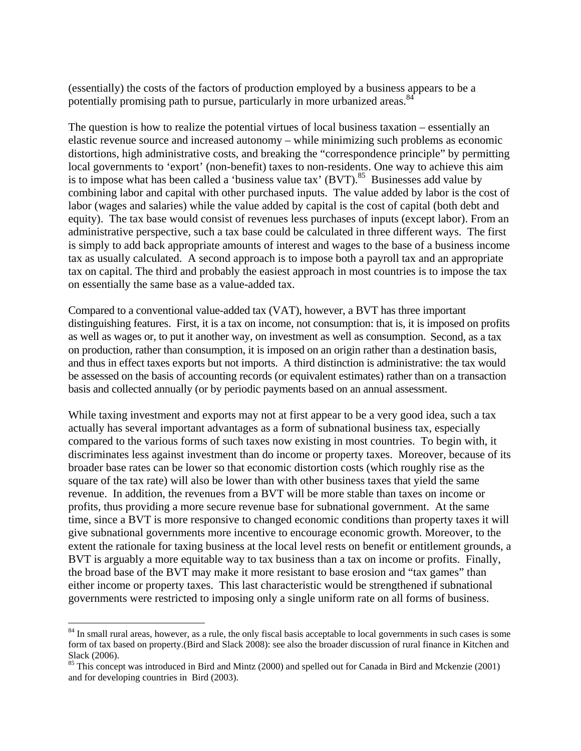(essentially) the costs of the factors of production employed by a business appears to be a potentially promising path to pursue, particularly in more urbanized areas.<sup>84</sup>

The question is how to realize the potential virtues of local business taxation – essentially an elastic revenue source and increased autonomy – while minimizing such problems as economic distortions, high administrative costs, and breaking the "correspondence principle" by permitting local governments to 'export' (non-benefit) taxes to non-residents. One way to achieve this aim is to impose what has been called a 'business value tax'  $(BVT)$ .<sup>85</sup> Businesses add value by combining labor and capital with other purchased inputs. The value added by labor is the cost of labor (wages and salaries) while the value added by capital is the cost of capital (both debt and equity). The tax base would consist of revenues less purchases of inputs (except labor). From an administrative perspective, such a tax base could be calculated in three different ways. The first is simply to add back appropriate amounts of interest and wages to the base of a business income tax as usually calculated. A second approach is to impose both a payroll tax and an appropriate tax on capital. The third and probably the easiest approach in most countries is to impose the tax on essentially the same base as a value-added tax.

Compared to a conventional value-added tax (VAT), however, a BVT has three important distinguishing features. First, it is a tax on income, not consumption: that is, it is imposed on profits as well as wages or, to put it another way, on investment as well as consumption. Second, as a tax on production, rather than consumption, it is imposed on an origin rather than a destination basis, and thus in effect taxes exports but not imports. A third distinction is administrative: the tax would be assessed on the basis of accounting records (or equivalent estimates) rather than on a transaction basis and collected annually (or by periodic payments based on an annual assessment.

While taxing investment and exports may not at first appear to be a very good idea, such a tax actually has several important advantages as a form of subnational business tax, especially compared to the various forms of such taxes now existing in most countries. To begin with, it discriminates less against investment than do income or property taxes. Moreover, because of its broader base rates can be lower so that economic distortion costs (which roughly rise as the square of the tax rate) will also be lower than with other business taxes that yield the same revenue. In addition, the revenues from a BVT will be more stable than taxes on income or profits, thus providing a more secure revenue base for subnational government. At the same time, since a BVT is more responsive to changed economic conditions than property taxes it will give subnational governments more incentive to encourage economic growth. Moreover, to the extent the rationale for taxing business at the local level rests on benefit or entitlement grounds, a BVT is arguably a more equitable way to tax business than a tax on income or profits. Finally, the broad base of the BVT may make it more resistant to base erosion and "tax games" than either income or property taxes. This last characteristic would be strengthened if subnational governments were restricted to imposing only a single uniform rate on all forms of business.

<sup>&</sup>lt;sup>84</sup> In small rural areas, however, as a rule, the only fiscal basis acceptable to local governments in such cases is some form of tax based on property.(Bird and Slack 2008): see also the broader discussion of rural finance in Kitchen and Slack (2006).

<sup>&</sup>lt;sup>85</sup> This concept was introduced in Bird and Mintz (2000) and spelled out for Canada in Bird and Mckenzie (2001) and for developing countries in Bird (2003).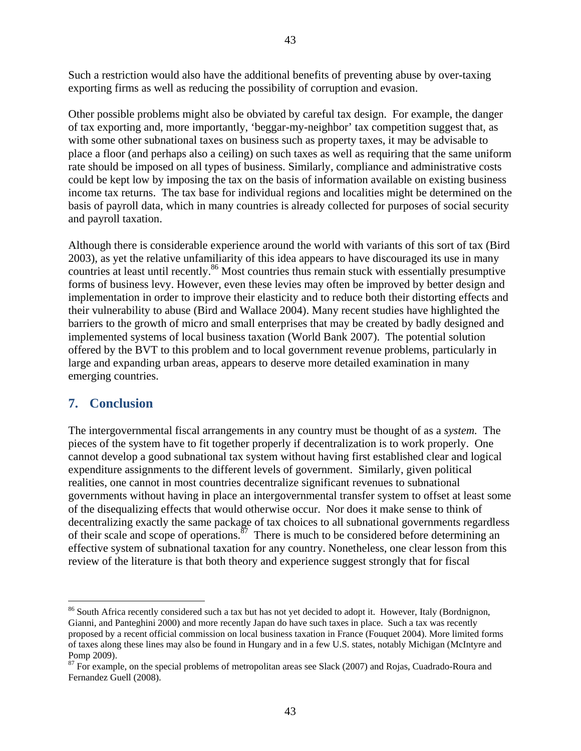Such a restriction would also have the additional benefits of preventing abuse by over-taxing exporting firms as well as reducing the possibility of corruption and evasion.

Other possible problems might also be obviated by careful tax design. For example, the danger of tax exporting and, more importantly, 'beggar-my-neighbor' tax competition suggest that, as with some other subnational taxes on business such as property taxes, it may be advisable to place a floor (and perhaps also a ceiling) on such taxes as well as requiring that the same uniform rate should be imposed on all types of business. Similarly, compliance and administrative costs could be kept low by imposing the tax on the basis of information available on existing business income tax returns. The tax base for individual regions and localities might be determined on the basis of payroll data, which in many countries is already collected for purposes of social security and payroll taxation.

Although there is considerable experience around the world with variants of this sort of tax (Bird 2003), as yet the relative unfamiliarity of this idea appears to have discouraged its use in many countries at least until recently.<sup>86</sup> Most countries thus remain stuck with essentially presumptive forms of business levy. However, even these levies may often be improved by better design and implementation in order to improve their elasticity and to reduce both their distorting effects and their vulnerability to abuse (Bird and Wallace 2004). Many recent studies have highlighted the barriers to the growth of micro and small enterprises that may be created by badly designed and implemented systems of local business taxation (World Bank 2007). The potential solution offered by the BVT to this problem and to local government revenue problems, particularly in large and expanding urban areas, appears to deserve more detailed examination in many emerging countries.

# **7. Conclusion**

 $\overline{a}$ 

The intergovernmental fiscal arrangements in any country must be thought of as a *system.* The pieces of the system have to fit together properly if decentralization is to work properly. One cannot develop a good subnational tax system without having first established clear and logical expenditure assignments to the different levels of government. Similarly, given political realities, one cannot in most countries decentralize significant revenues to subnational governments without having in place an intergovernmental transfer system to offset at least some of the disequalizing effects that would otherwise occur. Nor does it make sense to think of decentralizing exactly the same package of tax choices to all subnational governments regardless of their scale and scope of operations.<sup>87</sup> There is much to be considered before determining an effective system of subnational taxation for any country. Nonetheless, one clear lesson from this review of the literature is that both theory and experience suggest strongly that for fiscal

<sup>&</sup>lt;sup>86</sup> South Africa recently considered such a tax but has not yet decided to adopt it. However, Italy (Bordnignon, Gianni, and Panteghini 2000) and more recently Japan do have such taxes in place. Such a tax was recently proposed by a recent official commission on local business taxation in France (Fouquet 2004). More limited forms of taxes along these lines may also be found in Hungary and in a few U.S. states, notably Michigan (McIntyre and Pomp 2009).

<sup>&</sup>lt;sup>87</sup> For example, on the special problems of metropolitan areas see Slack (2007) and Rojas, Cuadrado-Roura and Fernandez Guell (2008).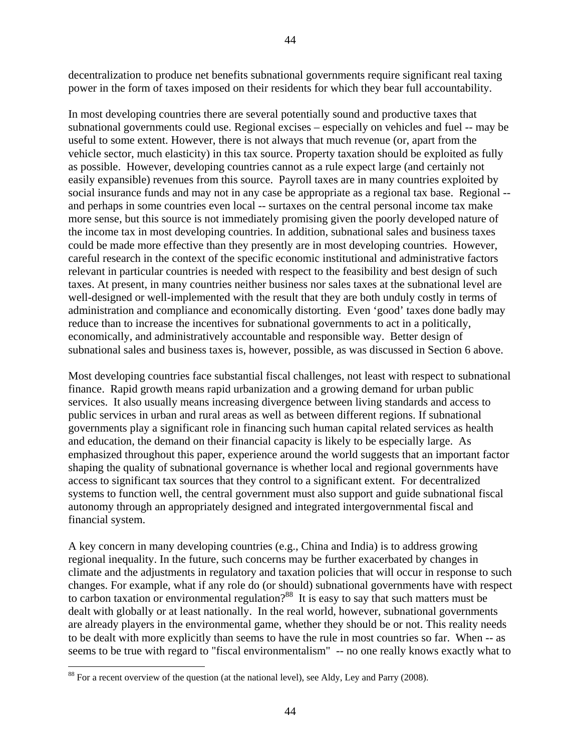decentralization to produce net benefits subnational governments require significant real taxing power in the form of taxes imposed on their residents for which they bear full accountability.

In most developing countries there are several potentially sound and productive taxes that subnational governments could use. Regional excises – especially on vehicles and fuel -- may be useful to some extent. However, there is not always that much revenue (or, apart from the vehicle sector, much elasticity) in this tax source. Property taxation should be exploited as fully as possible. However, developing countries cannot as a rule expect large (and certainly not easily expansible) revenues from this source. Payroll taxes are in many countries exploited by social insurance funds and may not in any case be appropriate as a regional tax base. Regional - and perhaps in some countries even local -- surtaxes on the central personal income tax make more sense, but this source is not immediately promising given the poorly developed nature of the income tax in most developing countries. In addition, subnational sales and business taxes could be made more effective than they presently are in most developing countries. However, careful research in the context of the specific economic institutional and administrative factors relevant in particular countries is needed with respect to the feasibility and best design of such taxes. At present, in many countries neither business nor sales taxes at the subnational level are well-designed or well-implemented with the result that they are both unduly costly in terms of administration and compliance and economically distorting. Even 'good' taxes done badly may reduce than to increase the incentives for subnational governments to act in a politically, economically, and administratively accountable and responsible way. Better design of subnational sales and business taxes is, however, possible, as was discussed in Section 6 above.

Most developing countries face substantial fiscal challenges, not least with respect to subnational finance. Rapid growth means rapid urbanization and a growing demand for urban public services. It also usually means increasing divergence between living standards and access to public services in urban and rural areas as well as between different regions. If subnational governments play a significant role in financing such human capital related services as health and education, the demand on their financial capacity is likely to be especially large. As emphasized throughout this paper, experience around the world suggests that an important factor shaping the quality of subnational governance is whether local and regional governments have access to significant tax sources that they control to a significant extent. For decentralized systems to function well, the central government must also support and guide subnational fiscal autonomy through an appropriately designed and integrated intergovernmental fiscal and financial system.

A key concern in many developing countries (e.g., China and India) is to address growing regional inequality. In the future, such concerns may be further exacerbated by changes in climate and the adjustments in regulatory and taxation policies that will occur in response to such changes. For example, what if any role do (or should) subnational governments have with respect to carbon taxation or environmental regulation?<sup>88</sup> It is easy to say that such matters must be dealt with globally or at least nationally. In the real world, however, subnational governments are already players in the environmental game, whether they should be or not. This reality needs to be dealt with more explicitly than seems to have the rule in most countries so far. When -- as seems to be true with regard to "fiscal environmentalism" -- no one really knows exactly what to

<sup>88</sup> For a recent overview of the question (at the national level), see Aldy, Ley and Parry (2008).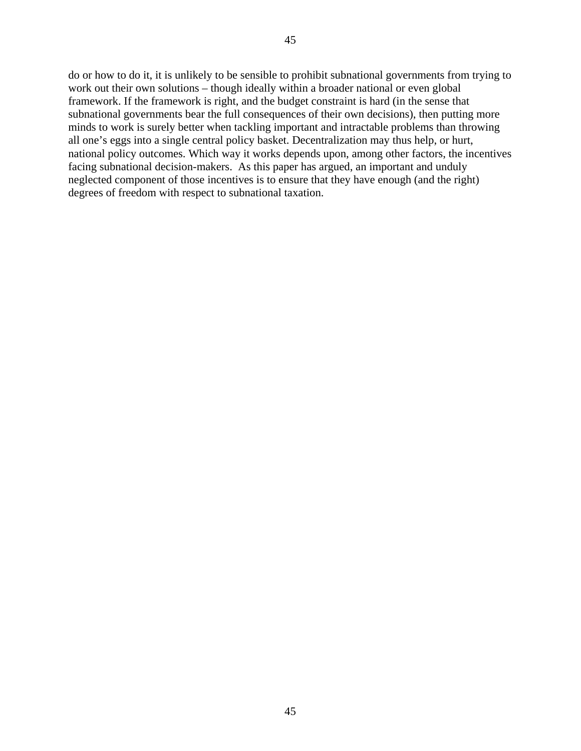do or how to do it, it is unlikely to be sensible to prohibit subnational governments from trying to work out their own solutions – though ideally within a broader national or even global framework. If the framework is right, and the budget constraint is hard (in the sense that subnational governments bear the full consequences of their own decisions), then putting more minds to work is surely better when tackling important and intractable problems than throwing all one's eggs into a single central policy basket. Decentralization may thus help, or hurt, national policy outcomes. Which way it works depends upon, among other factors, the incentives facing subnational decision-makers. As this paper has argued, an important and unduly neglected component of those incentives is to ensure that they have enough (and the right) degrees of freedom with respect to subnational taxation.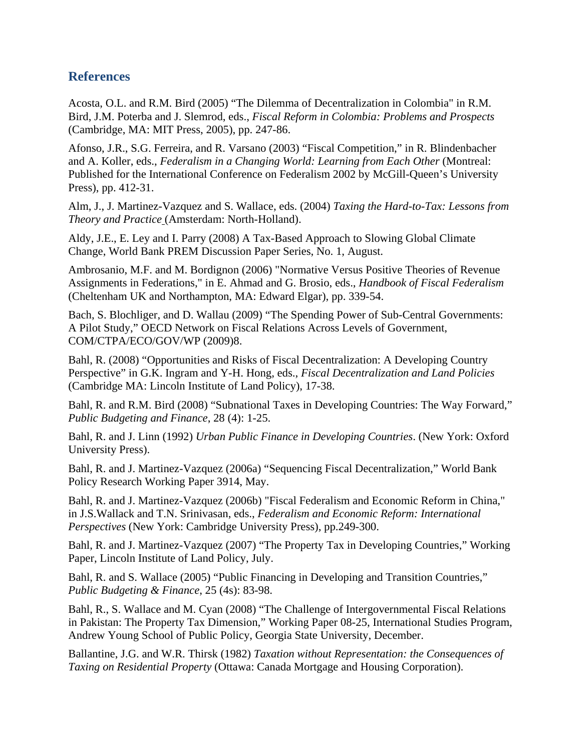# **References**

Acosta, O.L. and R.M. Bird (2005) "The Dilemma of Decentralization in Colombia" in R.M. Bird, J.M. Poterba and J. Slemrod, eds., *Fiscal Reform in Colombia: Problems and Prospects* (Cambridge, MA: MIT Press, 2005), pp. 247-86.

Afonso, J.R., S.G. Ferreira, and R. Varsano (2003) "Fiscal Competition," in R. Blindenbacher and A. Koller, eds., *Federalism in a Changing World: Learning from Each Other* (Montreal: Published for the International Conference on Federalism 2002 by McGill-Queen's University Press), pp. 412-31.

Alm, J., J. Martinez-Vazquez and S. Wallace, eds. (2004) *Taxing the Hard-to-Tax: Lessons from Theory and Practice* (Amsterdam: North-Holland).

Aldy, J.E., E. Ley and I. Parry (2008) A Tax-Based Approach to Slowing Global Climate Change, World Bank PREM Discussion Paper Series, No. 1, August.

Ambrosanio, M.F. and M. Bordignon (2006) "Normative Versus Positive Theories of Revenue Assignments in Federations," in E. Ahmad and G. Brosio, eds., *Handbook of Fiscal Federalism* (Cheltenham UK and Northampton, MA: Edward Elgar), pp. 339-54.

Bach, S. Blochliger, and D. Wallau (2009) "The Spending Power of Sub-Central Governments: A Pilot Study," OECD Network on Fiscal Relations Across Levels of Government, COM/CTPA/ECO/GOV/WP (2009)8.

Bahl, R. (2008) "Opportunities and Risks of Fiscal Decentralization: A Developing Country Perspective" in G.K. Ingram and Y-H. Hong, eds., *Fiscal Decentralization and Land Policies* (Cambridge MA: Lincoln Institute of Land Policy), 17-38.

Bahl, R. and R.M. Bird (2008) "Subnational Taxes in Developing Countries: The Way Forward," *Public Budgeting and Finance*, 28 (4): 1-25.

Bahl, R. and J. Linn (1992) *Urban Public Finance in Developing Countries*. (New York: Oxford University Press).

Bahl, R. and J. Martinez-Vazquez (2006a) "Sequencing Fiscal Decentralization," World Bank Policy Research Working Paper 3914, May.

Bahl, R. and J. Martinez-Vazquez (2006b) "Fiscal Federalism and Economic Reform in China," in J.S.Wallack and T.N. Srinivasan, eds., *Federalism and Economic Reform: International Perspectives* (New York: Cambridge University Press), pp.249-300.

Bahl, R. and J. Martinez-Vazquez (2007) "The Property Tax in Developing Countries," Working Paper, Lincoln Institute of Land Policy, July.

Bahl, R. and S. Wallace (2005) "Public Financing in Developing and Transition Countries," *Public Budgeting & Finance*, 25 (4s): 83-98.

Bahl, R., S. Wallace and M. Cyan (2008) "The Challenge of Intergovernmental Fiscal Relations in Pakistan: The Property Tax Dimension," Working Paper 08-25, International Studies Program, Andrew Young School of Public Policy, Georgia State University, December.

Ballantine, J.G. and W.R. Thirsk (1982) *Taxation without Representation: the Consequences of Taxing on Residential Property* (Ottawa: Canada Mortgage and Housing Corporation).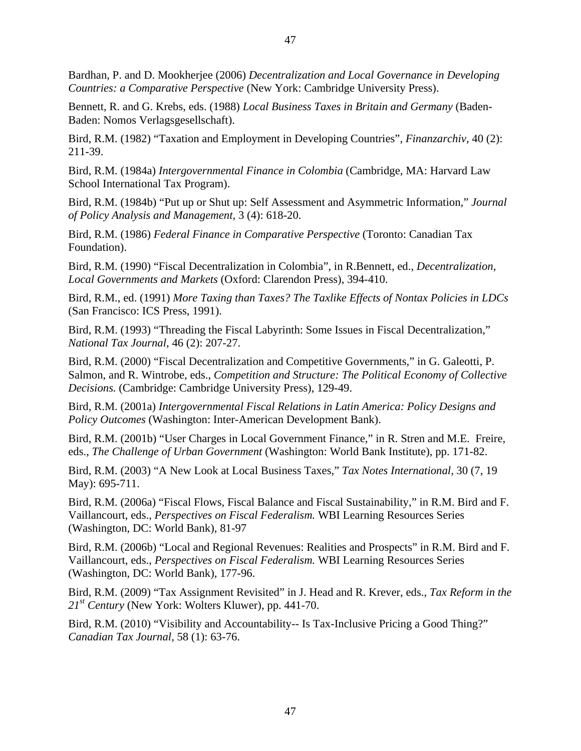Bardhan, P. and D. Mookherjee (2006) *Decentralization and Local Governance in Developing Countries: a Comparative Perspective* (New York: Cambridge University Press).

Bennett, R. and G. Krebs, eds. (1988) *Local Business Taxes in Britain and Germany* (Baden-Baden: Nomos Verlagsgesellschaft).

Bird, R.M. (1982) "Taxation and Employment in Developing Countries", *Finanzarchiv*, 40 (2): 211-39.

Bird, R.M. (1984a) *Intergovernmental Finance in Colombia* (Cambridge, MA: Harvard Law School International Tax Program).

Bird, R.M. (1984b) "Put up or Shut up: Self Assessment and Asymmetric Information," *Journal of Policy Analysis and Management*, 3 (4): 618-20.

Bird, R.M. (1986) *Federal Finance in Comparative Perspective* (Toronto: Canadian Tax Foundation).

Bird, R.M. (1990) "Fiscal Decentralization in Colombia", in R.Bennett, ed., *Decentralization, Local Governments and Markets* (Oxford: Clarendon Press), 394-410.

Bird, R.M., ed. (1991) *More Taxing than Taxes? The Taxlike Effects of Nontax Policies in LDCs* (San Francisco: ICS Press, 1991).

Bird, R.M. (1993) "Threading the Fiscal Labyrinth: Some Issues in Fiscal Decentralization," *National Tax Journal*, 46 (2): 207-27.

Bird, R.M. (2000) "Fiscal Decentralization and Competitive Governments," in G. Galeotti, P. Salmon, and R. Wintrobe, eds., *Competition and Structure: The Political Economy of Collective Decisions.* (Cambridge: Cambridge University Press), 129-49.

Bird, R.M. (2001a) *Intergovernmental Fiscal Relations in Latin America: Policy Designs and Policy Outcomes* (Washington: Inter-American Development Bank).

Bird, R.M. (2001b) "User Charges in Local Government Finance," in R. Stren and M.E. Freire, eds., *The Challenge of Urban Government* (Washington: World Bank Institute), pp. 171-82.

Bird, R.M. (2003) "A New Look at Local Business Taxes," *Tax Notes International,* 30 (7, 19 May): 695-711.

Bird, R.M. (2006a) "Fiscal Flows, Fiscal Balance and Fiscal Sustainability," in R.M. Bird and F. Vaillancourt, eds., *Perspectives on Fiscal Federalism.* WBI Learning Resources Series (Washington, DC: World Bank), 81-97

Bird, R.M. (2006b) "Local and Regional Revenues: Realities and Prospects" in R.M. Bird and F. Vaillancourt, eds., *Perspectives on Fiscal Federalism.* WBI Learning Resources Series (Washington, DC: World Bank), 177-96.

Bird, R.M. (2009) "Tax Assignment Revisited" in J. Head and R. Krever, eds., *Tax Reform in the 21st Century* (New York: Wolters Kluwer), pp. 441-70.

Bird, R.M. (2010) "Visibility and Accountability-- Is Tax-Inclusive Pricing a Good Thing?" *Canadian Tax Journal,* 58 (1): 63-76.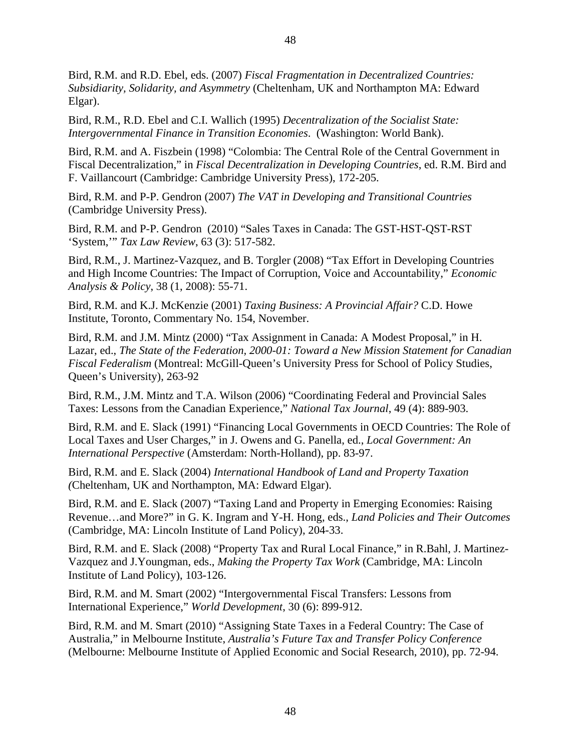Bird, R.M. and R.D. Ebel, eds. (2007) *Fiscal Fragmentation in Decentralized Countries: Subsidiarity, Solidarity, and Asymmetry* (Cheltenham, UK and Northampton MA: Edward Elgar).

Bird, R.M., R.D. Ebel and C.I. Wallich (1995) *Decentralization of the Socialist State: Intergovernmental Finance in Transition Economies*. (Washington: World Bank).

Bird, R.M. and A. Fiszbein (1998) "Colombia: The Central Role of the Central Government in Fiscal Decentralization," in *Fiscal Decentralization in Developing Countries*, ed. R.M. Bird and F. Vaillancourt (Cambridge: Cambridge University Press), 172-205.

Bird, R.M. and P-P. Gendron (2007) *The VAT in Developing and Transitional Countries* (Cambridge University Press).

Bird, R.M. and P-P. Gendron (2010) "Sales Taxes in Canada: The GST-HST-QST-RST 'System,'" *Tax Law Review*, 63 (3): 517-582.

Bird, R.M., J. Martinez-Vazquez, and B. Torgler (2008) "Tax Effort in Developing Countries and High Income Countries: The Impact of Corruption, Voice and Accountability," *Economic Analysis & Policy*, 38 (1, 2008): 55-71.

Bird, R.M. and K.J. McKenzie (2001) *Taxing Business: A Provincial Affair?* C.D. Howe Institute, Toronto, Commentary No. 154, November.

Bird, R.M. and J.M. Mintz (2000) "Tax Assignment in Canada: A Modest Proposal," in H. Lazar, ed., *The State of the Federation, 2000-01: Toward a New Mission Statement for Canadian Fiscal Federalism* (Montreal: McGill-Queen's University Press for School of Policy Studies, Queen's University), 263-92

Bird, R.M., J.M. Mintz and T.A. Wilson (2006) "Coordinating Federal and Provincial Sales Taxes: Lessons from the Canadian Experience," *National Tax Journal*, 49 (4): 889-903.

Bird, R.M. and E. Slack (1991) "Financing Local Governments in OECD Countries: The Role of Local Taxes and User Charges," in J. Owens and G. Panella, ed., *Local Government: An International Perspective* (Amsterdam: North-Holland), pp. 83-97.

Bird, R.M. and E. Slack (2004) *International Handbook of Land and Property Taxation (*Cheltenham, UK and Northampton, MA: Edward Elgar).

Bird, R.M. and E. Slack (2007) "Taxing Land and Property in Emerging Economies: Raising Revenue…and More?" in G. K. Ingram and Y-H. Hong, eds., *Land Policies and Their Outcomes* (Cambridge, MA: Lincoln Institute of Land Policy), 204-33.

Bird, R.M. and E. Slack (2008) "Property Tax and Rural Local Finance," in R.Bahl, J. Martinez-Vazquez and J.Youngman, eds., *Making the Property Tax Work* (Cambridge, MA: Lincoln Institute of Land Policy), 103-126.

Bird, R.M. and M. Smart (2002) "Intergovernmental Fiscal Transfers: Lessons from International Experience," *World Development*, 30 (6): 899-912.

Bird, R.M. and M. Smart (2010) "Assigning State Taxes in a Federal Country: The Case of Australia," in Melbourne Institute, *Australia's Future Tax and Transfer Policy Conference* (Melbourne: Melbourne Institute of Applied Economic and Social Research, 2010), pp. 72-94.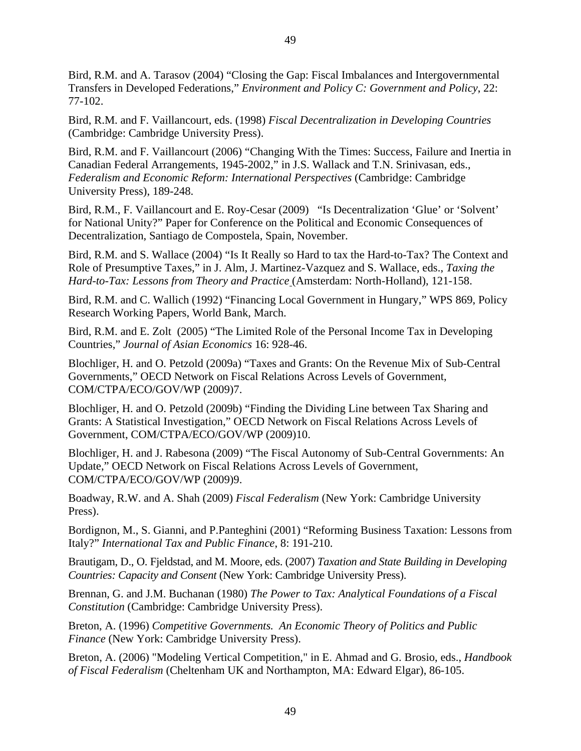Bird, R.M. and A. Tarasov (2004) "Closing the Gap: Fiscal Imbalances and Intergovernmental Transfers in Developed Federations," *Environment and Policy C: Government and Policy*, 22: 77-102.

Bird, R.M. and F. Vaillancourt, eds. (1998) *Fiscal Decentralization in Developing Countries* (Cambridge: Cambridge University Press).

Bird, R.M. and F. Vaillancourt (2006) "Changing With the Times: Success, Failure and Inertia in Canadian Federal Arrangements, 1945-2002," in J.S. Wallack and T.N. Srinivasan, eds., *Federalism and Economic Reform: International Perspectives* (Cambridge: Cambridge University Press), 189-248.

Bird, R.M., F. Vaillancourt and E. Roy-Cesar (2009) "Is Decentralization 'Glue' or 'Solvent' for National Unity?" Paper for Conference on the Political and Economic Consequences of Decentralization, Santiago de Compostela, Spain, November.

Bird, R.M. and S. Wallace (2004) "Is It Really so Hard to tax the Hard-to-Tax? The Context and Role of Presumptive Taxes," in J. Alm, J. Martinez-Vazquez and S. Wallace, eds., *Taxing the Hard-to-Tax: Lessons from Theory and Practice* (Amsterdam: North-Holland), 121-158.

Bird, R.M. and C. Wallich (1992) "Financing Local Government in Hungary," WPS 869, Policy Research Working Papers, World Bank, March.

Bird, R.M. and E. Zolt (2005) "The Limited Role of the Personal Income Tax in Developing Countries," *Journal of Asian Economics* 16: 928-46.

Blochliger, H. and O. Petzold (2009a) "Taxes and Grants: On the Revenue Mix of Sub-Central Governments," OECD Network on Fiscal Relations Across Levels of Government, COM/CTPA/ECO/GOV/WP (2009)7.

Blochliger, H. and O. Petzold (2009b) "Finding the Dividing Line between Tax Sharing and Grants: A Statistical Investigation," OECD Network on Fiscal Relations Across Levels of Government, COM/CTPA/ECO/GOV/WP (2009)10.

Blochliger, H. and J. Rabesona (2009) "The Fiscal Autonomy of Sub-Central Governments: An Update," OECD Network on Fiscal Relations Across Levels of Government, COM/CTPA/ECO/GOV/WP (2009)9.

Boadway, R.W. and A. Shah (2009) *Fiscal Federalism* (New York: Cambridge University Press).

Bordignon, M., S. Gianni, and P.Panteghini (2001) "Reforming Business Taxation: Lessons from Italy?" *International Tax and Public Finance*, 8: 191-210.

Brautigam, D., O. Fjeldstad, and M. Moore, eds. (2007) *Taxation and State Building in Developing Countries: Capacity and Consent* (New York: Cambridge University Press).

Brennan, G. and J.M. Buchanan (1980) *The Power to Tax: Analytical Foundations of a Fiscal Constitution* (Cambridge: Cambridge University Press).

Breton, A. (1996) *Competitive Governments. An Economic Theory of Politics and Public Finance* (New York: Cambridge University Press).

Breton, A. (2006) "Modeling Vertical Competition," in E. Ahmad and G. Brosio, eds., *Handbook of Fiscal Federalism* (Cheltenham UK and Northampton, MA: Edward Elgar), 86-105.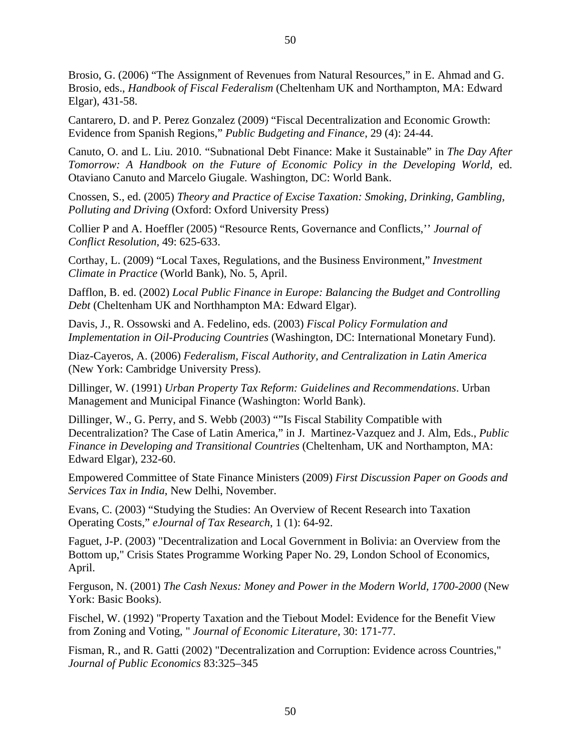Brosio, G. (2006) "The Assignment of Revenues from Natural Resources," in E. Ahmad and G. Brosio, eds., *Handbook of Fiscal Federalism* (Cheltenham UK and Northampton, MA: Edward Elgar), 431-58.

Cantarero, D. and P. Perez Gonzalez (2009) "Fiscal Decentralization and Economic Growth: Evidence from Spanish Regions," *Public Budgeting and Finance*, 29 (4): 24-44.

Canuto, O. and L. Liu. 2010. "Subnational Debt Finance: Make it Sustainable" in *The Day After Tomorrow: A Handbook on the Future of Economic Policy in the Developing World,* ed. Otaviano Canuto and Marcelo Giugale*.* Washington, DC: World Bank.

Cnossen, S., ed. (2005) *Theory and Practice of Excise Taxation: Smoking, Drinking, Gambling, Polluting and Driving* (Oxford: Oxford University Press)

Collier P and A. Hoeffler (2005) "Resource Rents, Governance and Conflicts,'' *Journal of Conflict Resolution,* 49: 625-633.

Corthay, L. (2009) "Local Taxes, Regulations, and the Business Environment," *Investment Climate in Practice* (World Bank), No. 5, April.

Dafflon, B. ed. (2002) *Local Public Finance in Europe: Balancing the Budget and Controlling Debt* (Cheltenham UK and Northhampton MA: Edward Elgar).

Davis, J., R. Ossowski and A. Fedelino, eds. (2003) *Fiscal Policy Formulation and Implementation in Oil-Producing Countries* (Washington, DC: International Monetary Fund).

Diaz-Cayeros, A. (2006) *Federalism, Fiscal Authority, and Centralization in Latin America*  (New York: Cambridge University Press).

Dillinger, W. (1991) *Urban Property Tax Reform: Guidelines and Recommendations*. Urban Management and Municipal Finance (Washington: World Bank).

Dillinger, W., G. Perry, and S. Webb (2003) ""Is Fiscal Stability Compatible with Decentralization? The Case of Latin America," in J. Martinez-Vazquez and J. Alm, Eds., *Public Finance in Developing and Transitional Countries* (Cheltenham, UK and Northampton, MA: Edward Elgar), 232-60.

Empowered Committee of State Finance Ministers (2009) *First Discussion Paper on Goods and Services Tax in India*, New Delhi, November.

Evans, C. (2003) "Studying the Studies: An Overview of Recent Research into Taxation Operating Costs," *eJournal of Tax Research*, 1 (1): 64-92.

Faguet, J-P. (2003) "Decentralization and Local Government in Bolivia: an Overview from the Bottom up," Crisis States Programme Working Paper No. 29, London School of Economics, April.

Ferguson, N. (2001) *The Cash Nexus: Money and Power in the Modern World, 1700-2000* (New York: Basic Books).

Fischel, W. (1992) "Property Taxation and the Tiebout Model: Evidence for the Benefit View from Zoning and Voting, " *Journal of Economic Literature,* 30: 171-77.

Fisman, R., and R. Gatti (2002) "Decentralization and Corruption: Evidence across Countries," *Journal of Public Economics* 83:325–345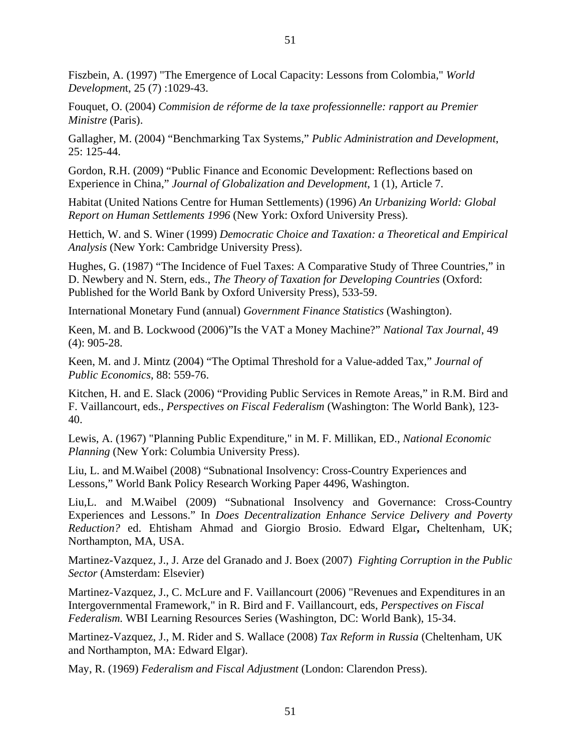Fiszbein, A. (1997) "The Emergence of Local Capacity: Lessons from Colombia," *World Developmen*t, 25 (7) :1029-43.

Fouquet, O. (2004) *Commision de réforme de la taxe professionnelle: rapport au Premier Ministre* (Paris).

Gallagher, M. (2004) "Benchmarking Tax Systems," *Public Administration and Development*, 25: 125-44.

Gordon, R.H. (2009) "Public Finance and Economic Development: Reflections based on Experience in China," *Journal of Globalization and Development*, 1 (1), Article 7.

Habitat (United Nations Centre for Human Settlements) (1996) *An Urbanizing World: Global Report on Human Settlements 1996* (New York: Oxford University Press).

Hettich, W. and S. Winer (1999) *Democratic Choice and Taxation: a Theoretical and Empirical Analysis* (New York: Cambridge University Press).

Hughes, G. (1987) "The Incidence of Fuel Taxes: A Comparative Study of Three Countries," in D. Newbery and N. Stern, eds., *The Theory of Taxation for Developing Countries* (Oxford: Published for the World Bank by Oxford University Press), 533-59.

International Monetary Fund (annual) *Government Finance Statistics* (Washington).

Keen, M. and B. Lockwood (2006)"Is the VAT a Money Machine?" *National Tax Journal*, 49 (4): 905-28.

Keen, M. and J. Mintz (2004) "The Optimal Threshold for a Value-added Tax," *Journal of Public Economics*, 88: 559-76.

Kitchen, H. and E. Slack (2006) "Providing Public Services in Remote Areas," in R.M. Bird and F. Vaillancourt, eds., *Perspectives on Fiscal Federalism* (Washington: The World Bank), 123- 40.

Lewis, A. (1967) "Planning Public Expenditure," in M. F. Millikan, ED., *National Economic Planning* (New York: Columbia University Press).

Liu, L. and M.Waibel (2008) "Subnational Insolvency: Cross-Country Experiences and Lessons," World Bank Policy Research Working Paper 4496, Washington.

Liu,L. and M.Waibel (2009) "Subnational Insolvency and Governance: Cross-Country Experiences and Lessons." In *Does Decentralization Enhance Service Delivery and Poverty Reduction?* ed. Ehtisham Ahmad and Giorgio Brosio. Edward Elgar**,** Cheltenham, UK; Northampton, MA, USA.

Martinez-Vazquez, J., J. Arze del Granado and J. Boex (2007) *Fighting Corruption in the Public Sector* (Amsterdam: Elsevier)

Martinez-Vazquez, J., C. McLure and F. Vaillancourt (2006) "Revenues and Expenditures in an Intergovernmental Framework," in R. Bird and F. Vaillancourt, eds, *Perspectives on Fiscal Federalism.* WBI Learning Resources Series (Washington, DC: World Bank), 15-34.

Martinez-Vazquez, J., M. Rider and S. Wallace (2008) *Tax Reform in Russia* (Cheltenham, UK and Northampton, MA: Edward Elgar).

May, R. (1969) *Federalism and Fiscal Adjustment* (London: Clarendon Press).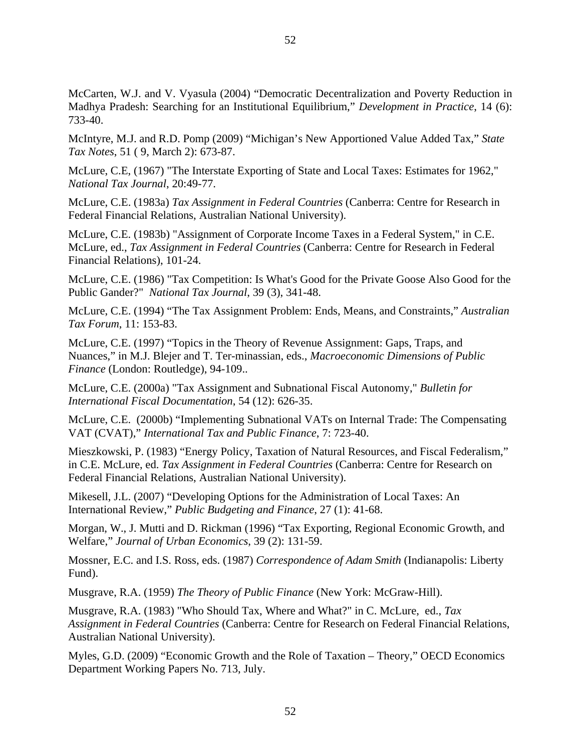McCarten, W.J. and V. Vyasula (2004) "Democratic Decentralization and Poverty Reduction in Madhya Pradesh: Searching for an Institutional Equilibrium," *Development in Practice*, 14 (6): 733-40.

McIntyre, M.J. and R.D. Pomp (2009) "Michigan's New Apportioned Value Added Tax," *State Tax Notes*, 51 ( 9, March 2): 673-87.

McLure, C.E, (1967) "The Interstate Exporting of State and Local Taxes: Estimates for 1962," *National Tax Journal*, 20:49-77.

McLure, C.E. (1983a) *Tax Assignment in Federal Countries* (Canberra: Centre for Research in Federal Financial Relations, Australian National University).

McLure, C.E. (1983b) "Assignment of Corporate Income Taxes in a Federal System," in C.E. McLure, ed., *Tax Assignment in Federal Countries* (Canberra: Centre for Research in Federal Financial Relations), 101-24.

McLure, C.E. (1986) "Tax Competition: Is What's Good for the Private Goose Also Good for the Public Gander?" *National Tax Journal*, 39 (3), 341-48.

McLure, C.E. (1994) "The Tax Assignment Problem: Ends, Means, and Constraints," *Australian Tax Forum*, 11: 153-83.

McLure, C.E. (1997) "Topics in the Theory of Revenue Assignment: Gaps, Traps, and Nuances," in M.J. Blejer and T. Ter-minassian, eds., *Macroeconomic Dimensions of Public Finance* (London: Routledge), 94-109..

McLure, C.E. (2000a) "Tax Assignment and Subnational Fiscal Autonomy," *Bulletin for International Fiscal Documentation*, 54 (12): 626-35.

McLure, C.E. (2000b) "Implementing Subnational VATs on Internal Trade: The Compensating VAT (CVAT)," *International Tax and Public Finance*, 7: 723-40.

Mieszkowski, P. (1983) "Energy Policy, Taxation of Natural Resources, and Fiscal Federalism," in C.E. McLure, ed. *Tax Assignment in Federal Countries* (Canberra: Centre for Research on Federal Financial Relations, Australian National University).

Mikesell, J.L. (2007) "Developing Options for the Administration of Local Taxes: An International Review," *Public Budgeting and Finance*, 27 (1): 41-68.

Morgan, W., J. Mutti and D. Rickman (1996) "Tax Exporting, Regional Economic Growth, and Welfare," *Journal of Urban Economics*, 39 (2): 131-59.

Mossner, E.C. and I.S. Ross, eds. (1987) *Correspondence of Adam Smith* (Indianapolis: Liberty Fund).

Musgrave, R.A. (1959) *The Theory of Public Finance* (New York: McGraw-Hill).

Musgrave, R.A. (1983) "Who Should Tax, Where and What?" in C. McLure, ed., *Tax Assignment in Federal Countries* (Canberra: Centre for Research on Federal Financial Relations, Australian National University).

Myles, G.D. (2009) "Economic Growth and the Role of Taxation – Theory," OECD Economics Department Working Papers No. 713, July.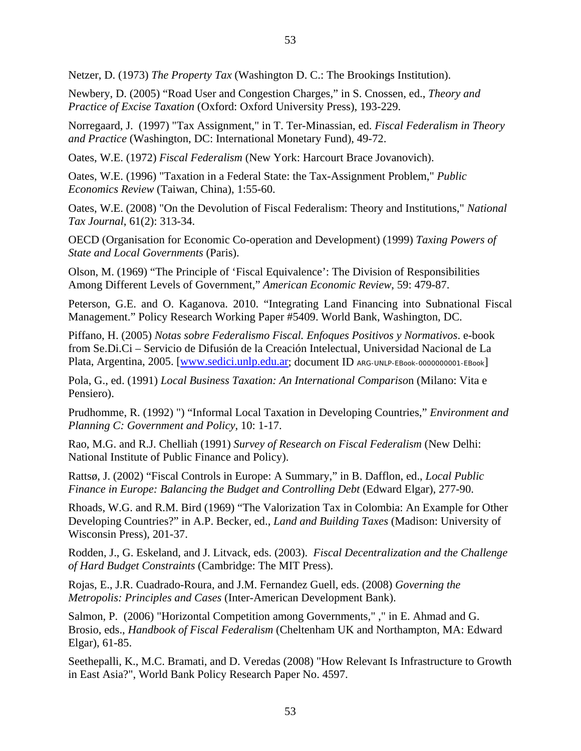Netzer, D. (1973) *The Property Tax* (Washington D. C.: The Brookings Institution).

Newbery, D. (2005) "Road User and Congestion Charges," in S. Cnossen, ed., *Theory and Practice of Excise Taxation* (Oxford: Oxford University Press), 193-229.

Norregaard, J. (1997) "Tax Assignment," in T. Ter-Minassian, ed. *Fiscal Federalism in Theory and Practice* (Washington, DC: International Monetary Fund), 49-72.

Oates, W.E. (1972) *Fiscal Federalism* (New York: Harcourt Brace Jovanovich).

Oates, W.E. (1996) "Taxation in a Federal State: the Tax-Assignment Problem," *Public Economics Review* (Taiwan, China), 1:55-60.

Oates, W.E. (2008) "On the Devolution of Fiscal Federalism: Theory and Institutions," *National Tax Journal*, 61(2): 313-34.

OECD (Organisation for Economic Co-operation and Development) (1999) *Taxing Powers of State and Local Governments* (Paris).

Olson, M. (1969) "The Principle of 'Fiscal Equivalence': The Division of Responsibilities Among Different Levels of Government," *American Economic Review*, 59: 479-87.

Peterson, G.E. and O. Kaganova. 2010. "Integrating Land Financing into Subnational Fiscal Management." Policy Research Working Paper #5409. World Bank, Washington, DC.

Piffano, H. (2005) *Notas sobre Federalismo Fiscal. Enfoques Positivos y Normativos*. e-book from Se.Di.Ci – Servicio de Difusión de la Creación Intelectual, Universidad Nacional de La Plata, Argentina, 2005. [www.sedici.unlp.edu.ar; document ID ARG-UNLP-EBook-0000000001-EBook]

Pola, G., ed. (1991) *Local Business Taxation: An International Compariso*n (Milano: Vita e Pensiero).

Prudhomme, R. (1992) ") "Informal Local Taxation in Developing Countries," *Environment and Planning C: Government and Policy*, 10: 1-17.

Rao, M.G. and R.J. Chelliah (1991) *Survey of Research on Fiscal Federalism* (New Delhi: National Institute of Public Finance and Policy).

Rattsø, J. (2002) "Fiscal Controls in Europe: A Summary," in B. Dafflon, ed., *Local Public Finance in Europe: Balancing the Budget and Controlling Debt* (Edward Elgar), 277-90.

Rhoads, W.G. and R.M. Bird (1969) "The Valorization Tax in Colombia: An Example for Other Developing Countries?" in A.P. Becker, ed., *Land and Building Taxes* (Madison: University of Wisconsin Press), 201-37.

Rodden, J., G. Eskeland, and J. Litvack, eds. (2003). *Fiscal Decentralization and the Challenge of Hard Budget Constraints* (Cambridge: The MIT Press).

Rojas, E., J.R. Cuadrado-Roura, and J.M. Fernandez Guell, eds. (2008) *Governing the Metropolis: Principles and Cases* (Inter-American Development Bank).

Salmon, P. (2006) "Horizontal Competition among Governments," ," in E. Ahmad and G. Brosio, eds., *Handbook of Fiscal Federalism* (Cheltenham UK and Northampton, MA: Edward Elgar), 61-85.

Seethepalli, K., M.C. Bramati, and D. Veredas (2008) "How Relevant Is Infrastructure to Growth in East Asia?", World Bank Policy Research Paper No. 4597.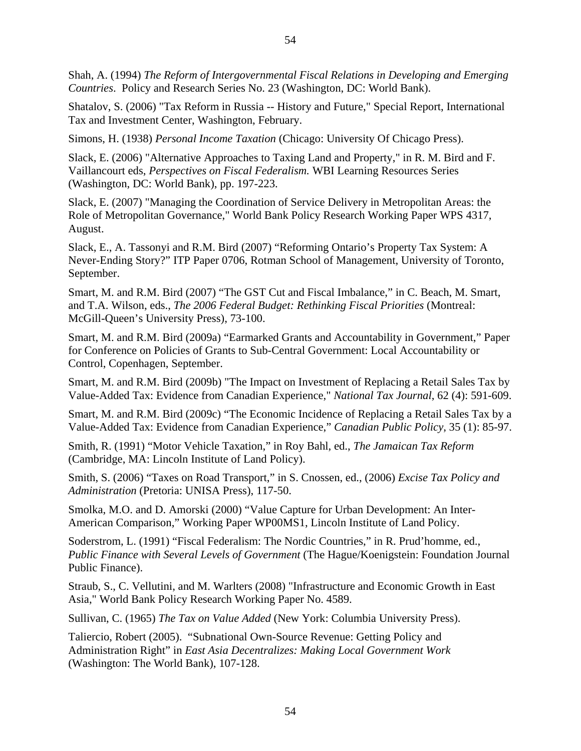Shah, A. (1994) *The Reform of Intergovernmental Fiscal Relations in Developing and Emerging Countries*. Policy and Research Series No. 23 (Washington, DC: World Bank).

Shatalov, S. (2006) "Tax Reform in Russia -- History and Future," Special Report, International Tax and Investment Center, Washington, February.

Simons, H. (1938) *Personal Income Taxation* (Chicago: University Of Chicago Press).

Slack, E. (2006) "Alternative Approaches to Taxing Land and Property," in R. M. Bird and F. Vaillancourt eds, *Perspectives on Fiscal Federalism.* WBI Learning Resources Series (Washington, DC: World Bank), pp. 197-223.

Slack, E. (2007) "Managing the Coordination of Service Delivery in Metropolitan Areas: the Role of Metropolitan Governance," World Bank Policy Research Working Paper WPS 4317, August.

Slack, E., A. Tassonyi and R.M. Bird (2007) "Reforming Ontario's Property Tax System: A Never-Ending Story?" ITP Paper 0706, Rotman School of Management, University of Toronto, September.

Smart, M. and R.M. Bird (2007) "The GST Cut and Fiscal Imbalance," in C. Beach, M. Smart, and T.A. Wilson, eds., *The 2006 Federal Budget: Rethinking Fiscal Priorities* (Montreal: McGill-Queen's University Press), 73-100.

Smart, M. and R.M. Bird (2009a) "Earmarked Grants and Accountability in Government," Paper for Conference on Policies of Grants to Sub-Central Government: Local Accountability or Control, Copenhagen, September.

Smart, M. and R.M. Bird (2009b) "The Impact on Investment of Replacing a Retail Sales Tax by Value-Added Tax: Evidence from Canadian Experience," *National Tax Journal*, 62 (4): 591-609.

Smart, M. and R.M. Bird (2009c) "The Economic Incidence of Replacing a Retail Sales Tax by a Value-Added Tax: Evidence from Canadian Experience," *Canadian Public Policy*, 35 (1): 85-97.

Smith, R. (1991) "Motor Vehicle Taxation," in Roy Bahl, ed., *The Jamaican Tax Reform*  (Cambridge, MA: Lincoln Institute of Land Policy).

Smith, S. (2006) "Taxes on Road Transport," in S. Cnossen, ed., (2006) *Excise Tax Policy and Administration* (Pretoria: UNISA Press), 117-50.

Smolka, M.O. and D. Amorski (2000) "Value Capture for Urban Development: An Inter-American Comparison," Working Paper WP00MS1, Lincoln Institute of Land Policy.

Soderstrom, L. (1991) "Fiscal Federalism: The Nordic Countries," in R. Prud'homme, ed., *Public Finance with Several Levels of Government* (The Hague/Koenigstein: Foundation Journal Public Finance).

Straub, S., C. Vellutini, and M. Warlters (2008) "Infrastructure and Economic Growth in East Asia," World Bank Policy Research Working Paper No. 4589.

Sullivan, C. (1965) *The Tax on Value Added* (New York: Columbia University Press).

Taliercio, Robert (2005). "Subnational Own-Source Revenue: Getting Policy and Administration Right" in *East Asia Decentralizes: Making Local Government Work* (Washington: The World Bank), 107-128.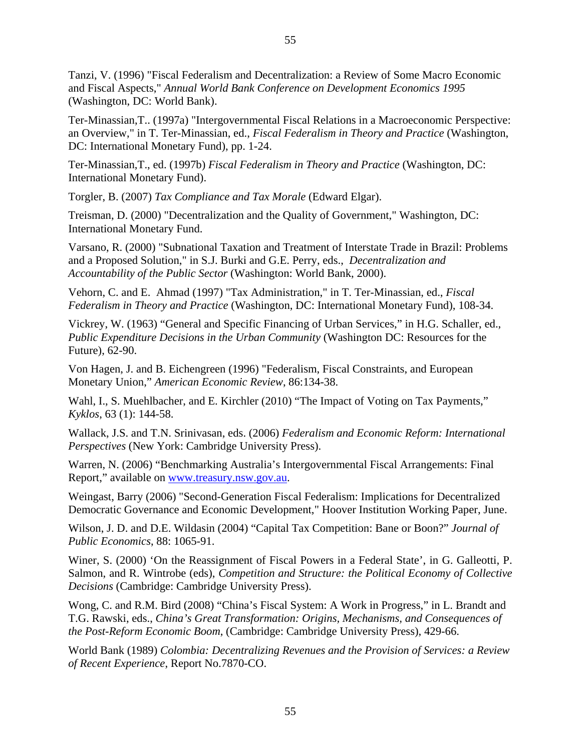Tanzi, V. (1996) "Fiscal Federalism and Decentralization: a Review of Some Macro Economic and Fiscal Aspects," *Annual World Bank Conference on Development Economics 1995*  (Washington, DC: World Bank).

Ter-Minassian,T.. (1997a) "Intergovernmental Fiscal Relations in a Macroeconomic Perspective: an Overview," in T. Ter-Minassian, ed., *Fiscal Federalism in Theory and Practice* (Washington, DC: International Monetary Fund), pp. 1-24.

Ter-Minassian,T., ed. (1997b) *Fiscal Federalism in Theory and Practice* (Washington, DC: International Monetary Fund).

Torgler, B. (2007) *Tax Compliance and Tax Morale* (Edward Elgar).

Treisman, D. (2000) "Decentralization and the Quality of Government," Washington, DC: International Monetary Fund.

Varsano, R. (2000) "Subnational Taxation and Treatment of Interstate Trade in Brazil: Problems and a Proposed Solution," in S.J. Burki and G.E. Perry, eds., *Decentralization and Accountability of the Public Sector* (Washington: World Bank, 2000).

Vehorn, C. and E. Ahmad (1997) "Tax Administration," in T. Ter-Minassian, ed., *Fiscal Federalism in Theory and Practice* (Washington, DC: International Monetary Fund), 108-34.

Vickrey, W. (1963) "General and Specific Financing of Urban Services," in H.G. Schaller, ed., *Public Expenditure Decisions in the Urban Community* (Washington DC: Resources for the Future), 62-90.

Von Hagen, J. and B. Eichengreen (1996) "Federalism, Fiscal Constraints, and European Monetary Union," *American Economic Review*, 86:134-38.

Wahl, I., S. Muehlbacher, and E. Kirchler (2010) "The Impact of Voting on Tax Payments," *Kyklos*, 63 (1): 144-58.

Wallack, J.S. and T.N. Srinivasan, eds. (2006) *Federalism and Economic Reform: International Perspectives* (New York: Cambridge University Press).

Warren, N. (2006) "Benchmarking Australia's Intergovernmental Fiscal Arrangements: Final Report," available on www.treasury.nsw.gov.au.

Weingast, Barry (2006) "Second-Generation Fiscal Federalism: Implications for Decentralized Democratic Governance and Economic Development," Hoover Institution Working Paper, June.

Wilson, J. D. and D.E. Wildasin (2004) "Capital Tax Competition: Bane or Boon?" *Journal of Public Economics*, 88: 1065-91.

Winer, S. (2000) 'On the Reassignment of Fiscal Powers in a Federal State', in G. Galleotti, P. Salmon, and R. Wintrobe (eds), *Competition and Structure: the Political Economy of Collective Decisions* (Cambridge: Cambridge University Press).

Wong, C. and R.M. Bird (2008) "China's Fiscal System: A Work in Progress," in L. Brandt and T.G. Rawski, eds., *China's Great Transformation: Origins, Mechanisms, and Consequences of the Post-Reform Economic Boom*, (Cambridge: Cambridge University Press), 429-66.

World Bank (1989) *Colombia: Decentralizing Revenues and the Provision of Services: a Review of Recent Experience*, Report No.7870-CO.